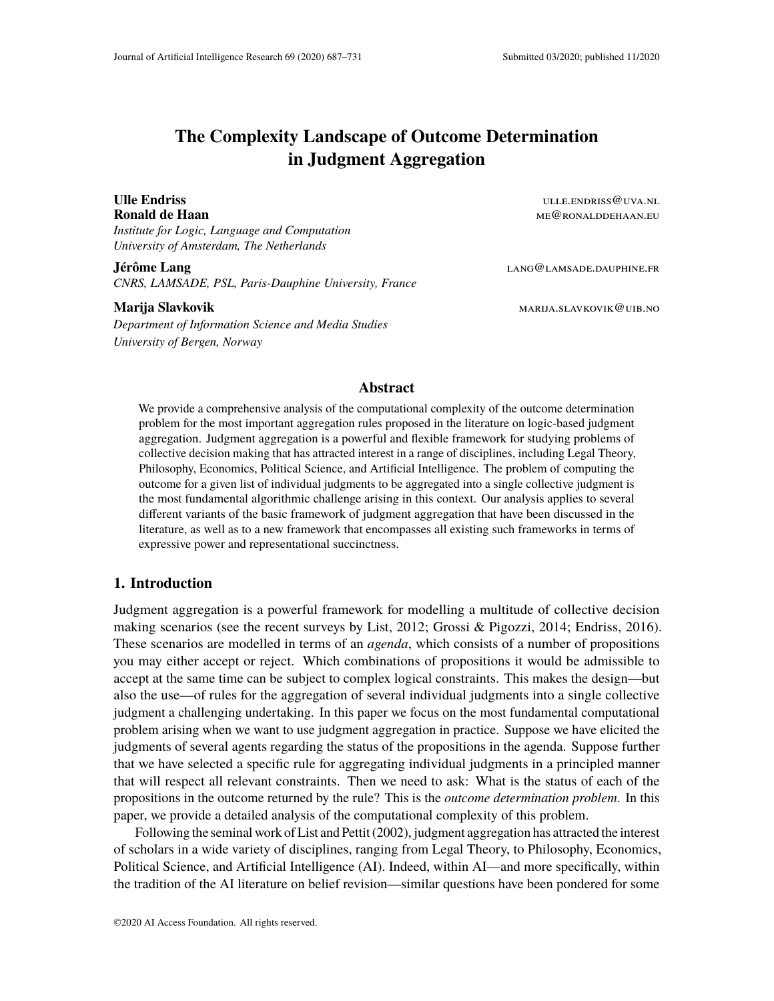# **The Complexity Landscape of Outcome Determination in Judgment Aggregation**

*Institute for Logic, Language and Computation University of Amsterdam, The Netherlands*

**Jérôme Lang** lang@lamsade.dauphine.fr *CNRS, LAMSADE, PSL, Paris-Dauphine University, France*

*Department of Information Science and Media Studies University of Bergen, Norway*

**Ulle Endriss** ulteration of the contract of the contract of the contract of the contract of the contract of the contract of the contract of the contract of the contract of the contract of the contract of the contract of t **Ronald de Haan** members of the second control of the second members of the members of the members of the second memorial and memorial memorial memorial memorial memorial memorial memorial memorial memorial memorial memori

**Marija Slavkovik** marija.slavkovik@uib.no

## **Abstract**

We provide a comprehensive analysis of the computational complexity of the outcome determination problem for the most important aggregation rules proposed in the literature on logic-based judgment aggregation. Judgment aggregation is a powerful and flexible framework for studying problems of collective decision making that has attracted interest in a range of disciplines, including Legal Theory, Philosophy, Economics, Political Science, and Artificial Intelligence. The problem of computing the outcome for a given list of individual judgments to be aggregated into a single collective judgment is the most fundamental algorithmic challenge arising in this context. Our analysis applies to several different variants of the basic framework of judgment aggregation that have been discussed in the literature, as well as to a new framework that encompasses all existing such frameworks in terms of expressive power and representational succinctness.

## **1. Introduction**

Judgment aggregation is a powerful framework for modelling a multitude of collective decision making scenarios (see the recent surveys by List, 2012; Grossi & Pigozzi, 2014; Endriss, 2016). These scenarios are modelled in terms of an *agenda*, which consists of a number of propositions you may either accept or reject. Which combinations of propositions it would be admissible to accept at the same time can be subject to complex logical constraints. This makes the design—but also the use—of rules for the aggregation of several individual judgments into a single collective judgment a challenging undertaking. In this paper we focus on the most fundamental computational problem arising when we want to use judgment aggregation in practice. Suppose we have elicited the judgments of several agents regarding the status of the propositions in the agenda. Suppose further that we have selected a specific rule for aggregating individual judgments in a principled manner that will respect all relevant constraints. Then we need to ask: What is the status of each of the propositions in the outcome returned by the rule? This is the *outcome determination problem*. In this paper, we provide a detailed analysis of the computational complexity of this problem.

Following the seminal work of List and Pettit (2002), judgment aggregation has attracted the interest of scholars in a wide variety of disciplines, ranging from Legal Theory, to Philosophy, Economics, Political Science, and Artificial Intelligence (AI). Indeed, within AI—and more specifically, within the tradition of the AI literature on belief revision—similar questions have been pondered for some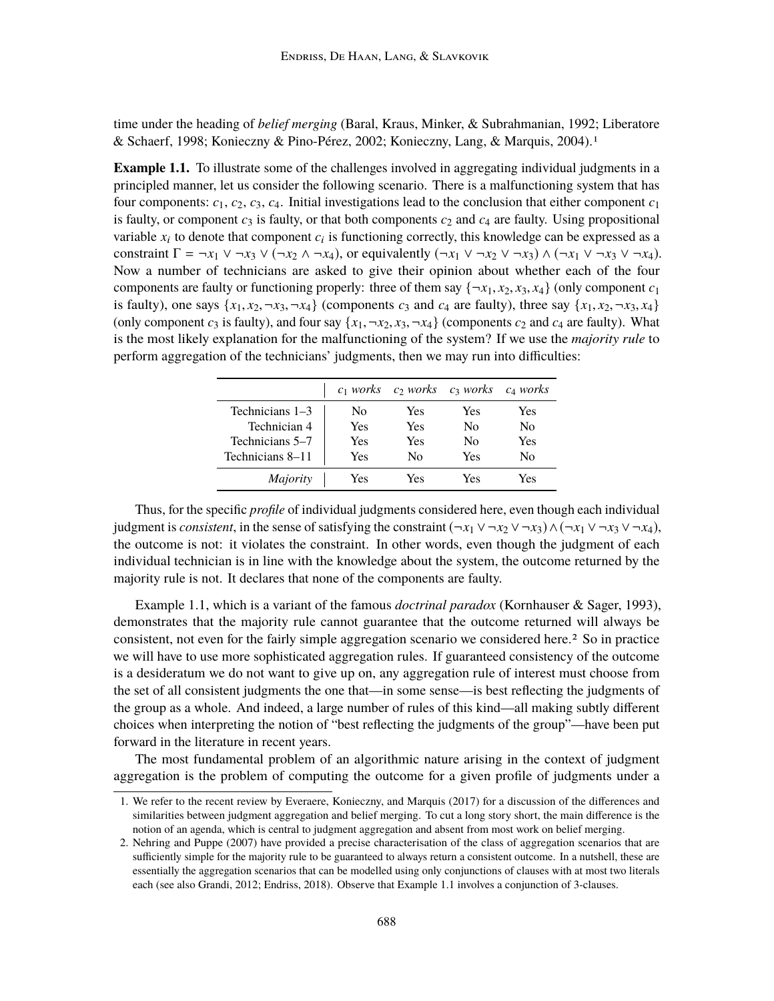time under the heading of *belief merging* (Baral, Kraus, Minker, & Subrahmanian, 1992; Liberatore & Schaerf, 1998; Konieczny & Pino-Pérez, 2002; Konieczny, Lang, & Marquis, 2004).1

**Example 1.1.** To illustrate some of the challenges involved in aggregating individual judgments in a principled manner, let us consider the following scenario. There is a malfunctioning system that has four components:  $c_1$ ,  $c_2$ ,  $c_3$ ,  $c_4$ . Initial investigations lead to the conclusion that either component  $c_1$ is faulty, or component  $c_3$  is faulty, or that both components  $c_2$  and  $c_4$  are faulty. Using propositional variable  $x_i$  to denote that component  $c_i$  is functioning correctly, this knowledge can be expressed as a constraint  $\Gamma = \neg x_1 \lor \neg x_3 \lor (\neg x_2 \land \neg x_4)$ , or equivalently  $(\neg x_1 \lor \neg x_2 \lor \neg x_3) \land (\neg x_1 \lor \neg x_3 \lor \neg x_4)$ . Now a number of technicians are asked to give their opinion about whether each of the four components are faulty or functioning properly: three of them say  $\{\neg x_1, x_2, x_3, x_4\}$  (only component  $c_1$ ) is faulty), one says  $\{x_1, x_2, \neg x_3, \neg x_4\}$  (components  $c_3$  and  $c_4$  are faulty), three say  $\{x_1, x_2, \neg x_3, x_4\}$ (only component  $c_3$  is faulty), and four say  $\{x_1, \neg x_2, x_3, \neg x_4\}$  (components  $c_2$  and  $c_4$  are faulty). What is the most likely explanation for the malfunctioning of the system? If we use the *majority rule* to perform aggregation of the technicians' judgments, then we may run into difficulties:

|                  |     | $c_1$ works $c_2$ works $c_3$ works $c_4$ works |     |                |
|------------------|-----|-------------------------------------------------|-----|----------------|
| Technicians 1–3  | No  | Yes                                             | Yes | Yes            |
| Technician 4     | Yes | Yes                                             | No  | N <sub>0</sub> |
| Technicians 5–7  | Yes | Yes                                             | No  | Yes            |
| Technicians 8–11 | Yes | No                                              | Yes | No             |
| <i>Majority</i>  | Yes | Yes                                             | Yes | Yes            |

Thus, for the specific *profile* of individual judgments considered here, even though each individual judgment is *consistent*, in the sense of satisfying the constraint  $(\neg x_1 \lor \neg x_2 \lor \neg x_3) \land (\neg x_1 \lor \neg x_3 \lor \neg x_4)$ , the outcome is not: it violates the constraint. In other words, even though the judgment of each individual technician is in line with the knowledge about the system, the outcome returned by the majority rule is not. It declares that none of the components are faulty.

Example 1.1, which is a variant of the famous *doctrinal paradox* (Kornhauser & Sager, 1993), demonstrates that the majority rule cannot guarantee that the outcome returned will always be consistent, not even for the fairly simple aggregation scenario we considered here.<sup>2</sup> So in practice we will have to use more sophisticated aggregation rules. If guaranteed consistency of the outcome is a desideratum we do not want to give up on, any aggregation rule of interest must choose from the set of all consistent judgments the one that—in some sense—is best reflecting the judgments of the group as a whole. And indeed, a large number of rules of this kind—all making subtly different choices when interpreting the notion of "best reflecting the judgments of the group"—have been put forward in the literature in recent years.

The most fundamental problem of an algorithmic nature arising in the context of judgment aggregation is the problem of computing the outcome for a given profile of judgments under a

<sup>1.</sup> We refer to the recent review by Everaere, Konieczny, and Marquis (2017) for a discussion of the differences and similarities between judgment aggregation and belief merging. To cut a long story short, the main difference is the notion of an agenda, which is central to judgment aggregation and absent from most work on belief merging.

<sup>2.</sup> Nehring and Puppe (2007) have provided a precise characterisation of the class of aggregation scenarios that are sufficiently simple for the majority rule to be guaranteed to always return a consistent outcome. In a nutshell, these are essentially the aggregation scenarios that can be modelled using only conjunctions of clauses with at most two literals each (see also Grandi, 2012; Endriss, 2018). Observe that Example 1.1 involves a conjunction of 3-clauses.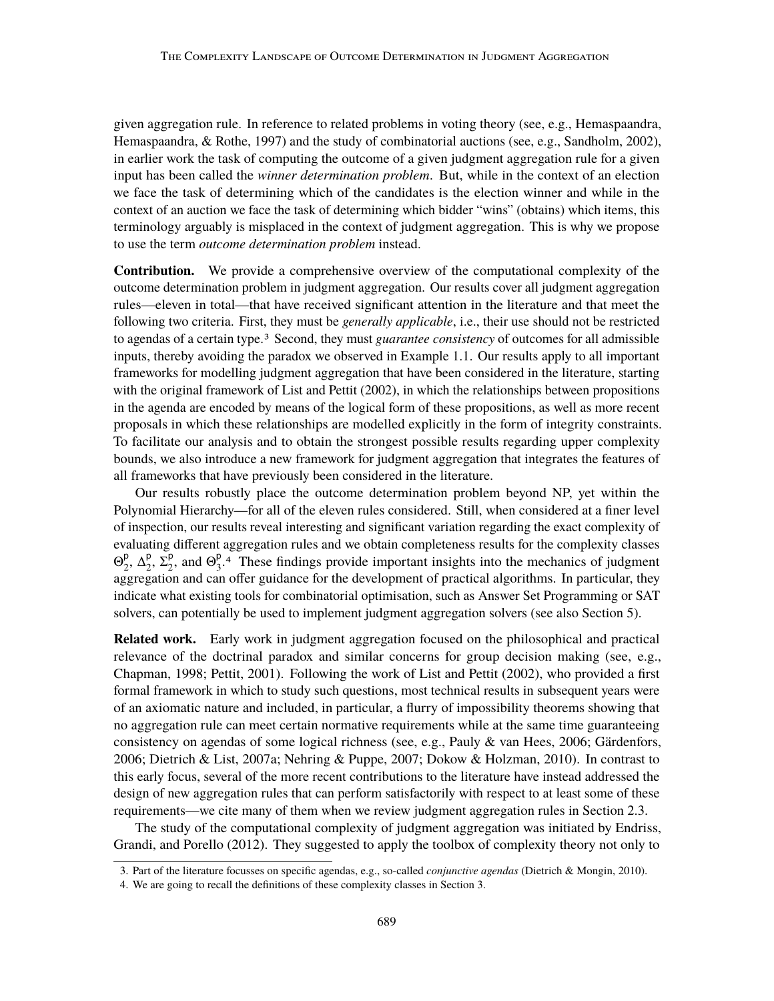given aggregation rule. In reference to related problems in voting theory (see, e.g., Hemaspaandra, Hemaspaandra, & Rothe, 1997) and the study of combinatorial auctions (see, e.g., Sandholm, 2002), in earlier work the task of computing the outcome of a given judgment aggregation rule for a given input has been called the *winner determination problem*. But, while in the context of an election we face the task of determining which of the candidates is the election winner and while in the context of an auction we face the task of determining which bidder "wins" (obtains) which items, this terminology arguably is misplaced in the context of judgment aggregation. This is why we propose to use the term *outcome determination problem* instead.

**Contribution.** We provide a comprehensive overview of the computational complexity of the outcome determination problem in judgment aggregation. Our results cover all judgment aggregation rules—eleven in total—that have received significant attention in the literature and that meet the following two criteria. First, they must be *generally applicable*, i.e., their use should not be restricted to agendas of a certain type.3 Second, they must *guarantee consistency* of outcomes for all admissible inputs, thereby avoiding the paradox we observed in Example 1.1. Our results apply to all important frameworks for modelling judgment aggregation that have been considered in the literature, starting with the original framework of List and Pettit (2002), in which the relationships between propositions in the agenda are encoded by means of the logical form of these propositions, as well as more recent proposals in which these relationships are modelled explicitly in the form of integrity constraints. To facilitate our analysis and to obtain the strongest possible results regarding upper complexity bounds, we also introduce a new framework for judgment aggregation that integrates the features of all frameworks that have previously been considered in the literature.

Our results robustly place the outcome determination problem beyond NP, yet within the Polynomial Hierarchy—for all of the eleven rules considered. Still, when considered at a finer level of inspection, our results reveal interesting and significant variation regarding the exact complexity of evaluating different aggregation rules and we obtain completeness results for the complexity classes  $\Theta_{\gamma}^{\mathsf{p}}$  $\frac{p}{2}$ ,  $\Delta_2^p$  $_{2}^{p}$ ,  $\Sigma_{2}^{p}$  $n_2^p$ , and  $\Theta_3^p$  $3<sup>p</sup>$ .<sup>4</sup> These findings provide important insights into the mechanics of judgment aggregation and can offer guidance for the development of practical algorithms. In particular, they indicate what existing tools for combinatorial optimisation, such as Answer Set Programming or SAT solvers, can potentially be used to implement judgment aggregation solvers (see also Section 5).

**Related work.** Early work in judgment aggregation focused on the philosophical and practical relevance of the doctrinal paradox and similar concerns for group decision making (see, e.g., Chapman, 1998; Pettit, 2001). Following the work of List and Pettit (2002), who provided a first formal framework in which to study such questions, most technical results in subsequent years were of an axiomatic nature and included, in particular, a flurry of impossibility theorems showing that no aggregation rule can meet certain normative requirements while at the same time guaranteeing consistency on agendas of some logical richness (see, e.g., Pauly & van Hees, 2006; Gärdenfors, 2006; Dietrich & List, 2007a; Nehring & Puppe, 2007; Dokow & Holzman, 2010). In contrast to this early focus, several of the more recent contributions to the literature have instead addressed the design of new aggregation rules that can perform satisfactorily with respect to at least some of these requirements—we cite many of them when we review judgment aggregation rules in Section 2.3.

The study of the computational complexity of judgment aggregation was initiated by Endriss, Grandi, and Porello (2012). They suggested to apply the toolbox of complexity theory not only to

<sup>3.</sup> Part of the literature focusses on specific agendas, e.g., so-called *conjunctive agendas* (Dietrich & Mongin, 2010).

<sup>4.</sup> We are going to recall the definitions of these complexity classes in Section 3.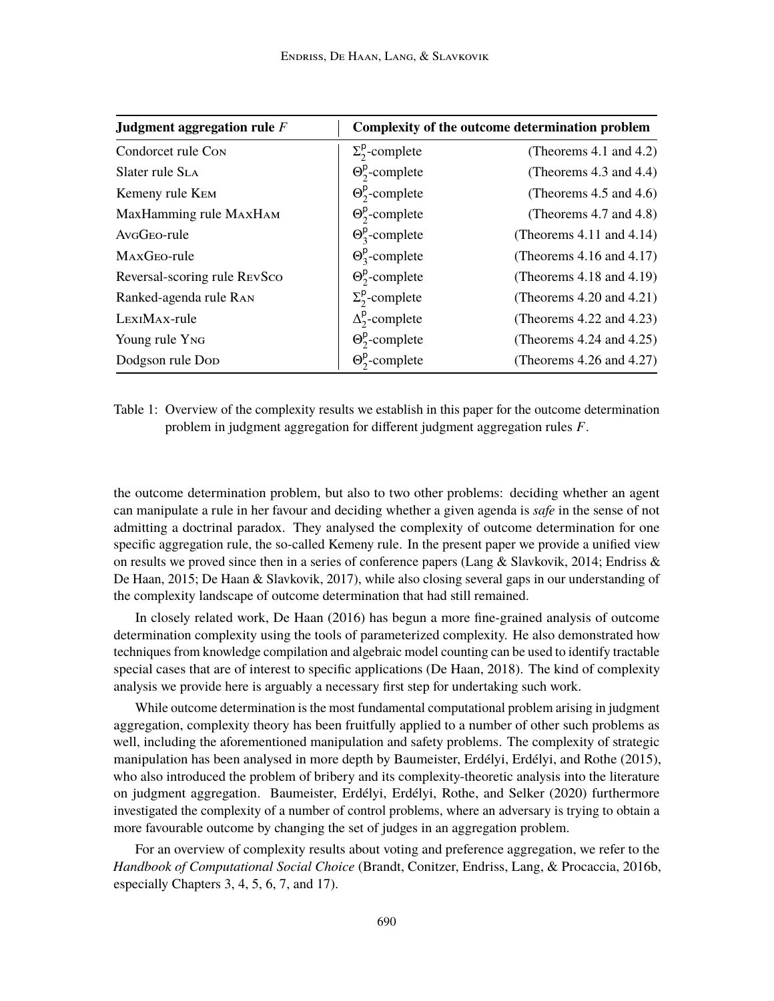| Judgment aggregation rule $F$ | Complexity of the outcome determination problem |                               |  |  |  |  |
|-------------------------------|-------------------------------------------------|-------------------------------|--|--|--|--|
| Condorcet rule Con            | $\Sigma_2^{\rm p}$ -complete                    | (Theorems $4.1$ and $4.2$ )   |  |  |  |  |
| Slater rule SLA               | $\Theta_2^{\mathsf{p}}$ -complete               | (Theorems 4.3 and 4.4)        |  |  |  |  |
| Kemeny rule K <sub>EM</sub>   | $\Theta_2^{\mathsf{p}}$ -complete               | (Theorems $4.5$ and $4.6$ )   |  |  |  |  |
| MaxHamming rule MAxHAM        | $\Theta_2^{\mathsf{p}}$ -complete               | (Theorems 4.7 and 4.8)        |  |  |  |  |
| AvgGeo-rule                   | $\Theta_3^{\rm p}$ -complete                    | (Theorems $4.11$ and $4.14$ ) |  |  |  |  |
| MAXGEO-rule                   | $\Theta_3^{\mathsf{p}}$ -complete               | (Theorems $4.16$ and $4.17$ ) |  |  |  |  |
| Reversal-scoring rule RevSco  | $\Theta_2^{\mathsf{p}}$ -complete               | (Theorems $4.18$ and $4.19$ ) |  |  |  |  |
| Ranked-agenda rule RAN        | $\Sigma^{\text{p}}_2$ -complete                 | (Theorems $4.20$ and $4.21$ ) |  |  |  |  |
| LEXIMAX-rule                  | $\Delta_2^p$ -complete                          | (Theorems $4.22$ and $4.23$ ) |  |  |  |  |
| Young rule Y <sub>NG</sub>    | $\Theta_2^{\mathsf{p}}$ -complete               | (Theorems $4.24$ and $4.25$ ) |  |  |  |  |
| Dodgson rule Dop              | $\Theta_2^{\mathsf{p}}$ -complete               | (Theorems $4.26$ and $4.27$ ) |  |  |  |  |

Table 1: Overview of the complexity results we establish in this paper for the outcome determination problem in judgment aggregation for different judgment aggregation rules *F*.

the outcome determination problem, but also to two other problems: deciding whether an agent can manipulate a rule in her favour and deciding whether a given agenda is *safe* in the sense of not admitting a doctrinal paradox. They analysed the complexity of outcome determination for one specific aggregation rule, the so-called Kemeny rule. In the present paper we provide a unified view on results we proved since then in a series of conference papers (Lang & Slavkovik, 2014; Endriss & De Haan, 2015; De Haan & Slavkovik, 2017), while also closing several gaps in our understanding of the complexity landscape of outcome determination that had still remained.

In closely related work, De Haan (2016) has begun a more fine-grained analysis of outcome determination complexity using the tools of parameterized complexity. He also demonstrated how techniques from knowledge compilation and algebraic model counting can be used to identify tractable special cases that are of interest to specific applications (De Haan, 2018). The kind of complexity analysis we provide here is arguably a necessary first step for undertaking such work.

While outcome determination is the most fundamental computational problem arising in judgment aggregation, complexity theory has been fruitfully applied to a number of other such problems as well, including the aforementioned manipulation and safety problems. The complexity of strategic manipulation has been analysed in more depth by Baumeister, Erdélyi, Erdélyi, and Rothe (2015), who also introduced the problem of bribery and its complexity-theoretic analysis into the literature on judgment aggregation. Baumeister, Erdélyi, Erdélyi, Rothe, and Selker (2020) furthermore investigated the complexity of a number of control problems, where an adversary is trying to obtain a more favourable outcome by changing the set of judges in an aggregation problem.

For an overview of complexity results about voting and preference aggregation, we refer to the *Handbook of Computational Social Choice* (Brandt, Conitzer, Endriss, Lang, & Procaccia, 2016b, especially Chapters 3, 4, 5, 6, 7, and 17).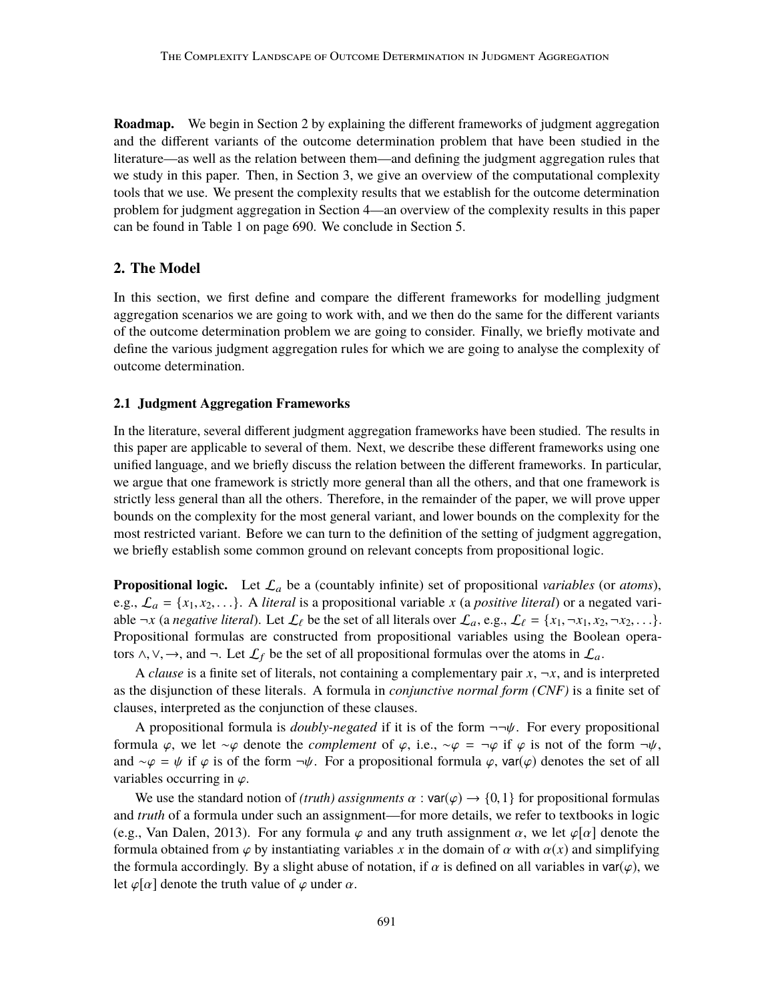**Roadmap.** We begin in Section 2 by explaining the different frameworks of judgment aggregation and the different variants of the outcome determination problem that have been studied in the literature—as well as the relation between them—and defining the judgment aggregation rules that we study in this paper. Then, in Section 3, we give an overview of the computational complexity tools that we use. We present the complexity results that we establish for the outcome determination problem for judgment aggregation in Section 4—an overview of the complexity results in this paper can be found in Table 1 on page 690. We conclude in Section 5.

## **2. The Model**

In this section, we first define and compare the different frameworks for modelling judgment aggregation scenarios we are going to work with, and we then do the same for the different variants of the outcome determination problem we are going to consider. Finally, we briefly motivate and define the various judgment aggregation rules for which we are going to analyse the complexity of outcome determination.

## **2.1 Judgment Aggregation Frameworks**

In the literature, several different judgment aggregation frameworks have been studied. The results in this paper are applicable to several of them. Next, we describe these different frameworks using one unified language, and we briefly discuss the relation between the different frameworks. In particular, we argue that one framework is strictly more general than all the others, and that one framework is strictly less general than all the others. Therefore, in the remainder of the paper, we will prove upper bounds on the complexity for the most general variant, and lower bounds on the complexity for the most restricted variant. Before we can turn to the definition of the setting of judgment aggregation, we briefly establish some common ground on relevant concepts from propositional logic.

**Propositional logic.** Let  $\mathcal{L}_a$  be a (countably infinite) set of propositional *variables* (or *atoms*), e.g.,  $\mathcal{L}_a = \{x_1, x_2, \ldots\}$ . A *literal* is a propositional variable *x* (a *positive literal*) or a negated variable  $\neg x$  (a *negative literal*). Let  $\mathcal{L}_{\ell}$  be the set of all literals over  $\mathcal{L}_a$ , e.g.,  $\mathcal{L}_{\ell} = \{x_1, \neg x_1, x_2, \neg x_2, \dots\}$ . Propositional formulas are constructed from propositional variables using the Boolean operators  $\wedge$ ,  $\vee$ ,  $\rightarrow$ , and  $\neg$ . Let  $\mathcal{L}_f$  be the set of all propositional formulas over the atoms in  $\mathcal{L}_a$ .

A *clause* is a finite set of literals, not containing a complementary pair  $x, \neg x$ , and is interpreted as the disjunction of these literals. A formula in *conjunctive normal form (CNF)* is a finite set of clauses, interpreted as the conjunction of these clauses.

A propositional formula is *doubly-negated* if it is of the form ¬¬ψ. For every propositional formula  $\varphi$ , we let ~ $\varphi$  denote the *complement* of  $\varphi$ , i.e., ~ $\varphi = \neg \varphi$  if  $\varphi$  is not of the form  $\neg \psi$ , and  $\sim \varphi = \psi$  if  $\varphi$  is of the form  $\neg \psi$ . For a propositional formula  $\varphi$ , var( $\varphi$ ) denotes the set of all variables occurring in  $\varphi$ .

We use the standard notion of *(truth) assignments*  $\alpha$  :  $\text{var}(\varphi) \rightarrow \{0, 1\}$  for propositional formulas and *truth* of a formula under such an assignment—for more details, we refer to textbooks in logic (e.g., Van Dalen, 2013). For any formula  $\varphi$  and any truth assignment  $\alpha$ , we let  $\varphi[\alpha]$  denote the formula obtained from  $\varphi$  by instantiating variables x in the domain of  $\alpha$  with  $\alpha(x)$  and simplifying the formula accordingly. By a slight abuse of notation, if  $\alpha$  is defined on all variables in var( $\varphi$ ), we let  $\varphi[\alpha]$  denote the truth value of  $\varphi$  under  $\alpha$ .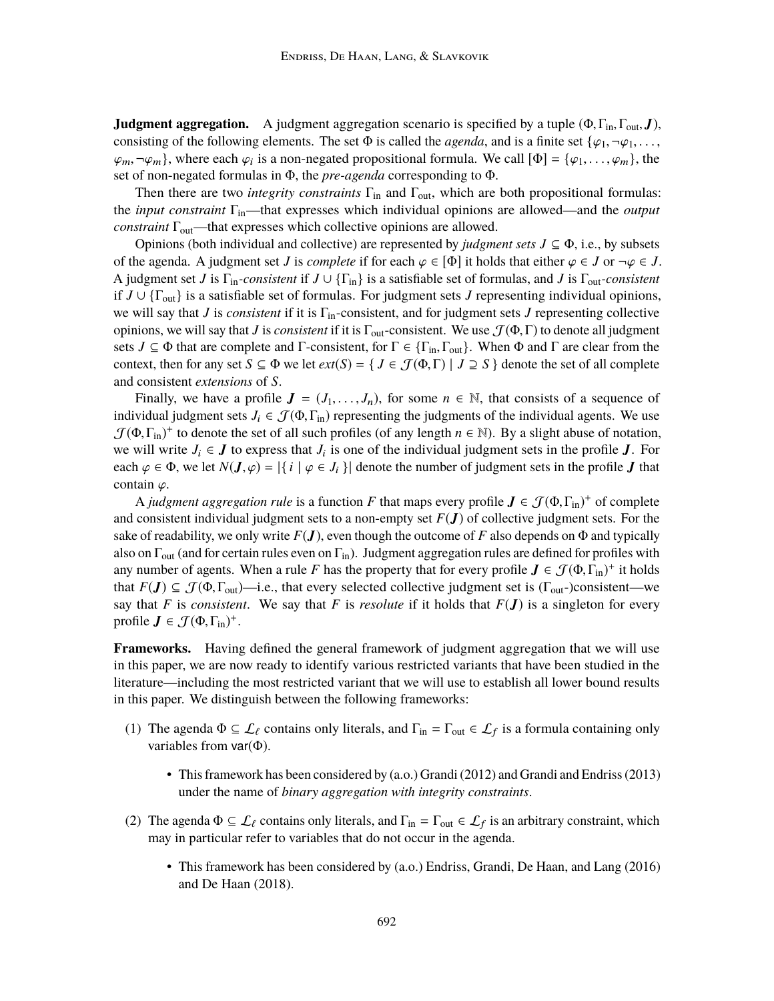**Judgment aggregation.** A judgment aggregation scenario is specified by a tuple  $(\Phi, \Gamma_{\text{in}}, \Gamma_{\text{out}}, J)$ , consisting of the following elements. The set  $\Phi$  is called the *agenda*, and is a finite set { $\varphi_1, \neg \varphi_1, \dots$ ,  $\varphi_m, \neg \varphi_m$ , where each  $\varphi_i$  is a non-negated propositional formula. We call  $[\Phi] = {\varphi_1, \dots, \varphi_m}$ , the set of non-negated formulas in Φ, the *pre-agenda* corresponding to Φ.

Then there are two *integrity constraints* Γ<sub>in</sub> and Γ<sub>out</sub>, which are both propositional formulas: the *input constraint* Γin—that expresses which individual opinions are allowed—and the *output constraint* Γ<sub>out</sub>—that expresses which collective opinions are allowed.

Opinions (both individual and collective) are represented by *judgment sets*  $J \subseteq \Phi$ , i.e., by subsets of the agenda. A judgment set *J* is *complete* if for each  $\varphi \in [\Phi]$  it holds that either  $\varphi \in J$  or  $\neg \varphi \in J$ . A judgment set *J* is Γin*-consistent* if *J* ∪ {Γin} is a satisfiable set of formulas, and *J* is Γout*-consistent* if *J* ∪ {Γout} is a satisfiable set of formulas. For judgment sets *J* representing individual opinions, we will say that *J* is *consistent* if it is Γin-consistent, and for judgment sets *J* representing collective opinions, we will say that *J* is *consistent* if it is  $\Gamma_{\text{out}}$ -consistent. We use  $\mathcal{J}(\Phi,\Gamma)$  to denote all judgment sets  $J \subseteq \Phi$  that are complete and  $\Gamma$ -consistent, for  $\Gamma \in {\{\Gamma_{in}, \Gamma_{out}\}}$ . When  $\Phi$  and  $\Gamma$  are clear from the context, then for any set  $S \subseteq \Phi$  we let  $ext(S) = \{ J \in \mathcal{J}(\Phi, \Gamma) \mid J \supseteq S \}$  denote the set of all complete and consistent *extensions* of *S*.

Finally, we have a profile  $J = (J_1, \ldots, J_n)$ , for some  $n \in \mathbb{N}$ , that consists of a sequence of individual judgment sets  $J_i \in \mathcal{J}(\Phi, \Gamma_{in})$  representing the judgments of the individual agents. We use  $\mathcal{J}(\Phi, \Gamma_{\text{in}})^+$  to denote the set of all such profiles (of any length  $n \in \mathbb{N}$ ). By a slight abuse of notation, we will write  $J_i \in J$  to express that  $J_i$  is one of the individual judgment sets in the profile  $J$ . For each  $\varphi \in \Phi$ , we let  $N(J, \varphi) = |\{i \mid \varphi \in J_i\}|$  denote the number of judgment sets in the profile *J* that contain  $\varphi$ .

A *judgment aggregation rule* is a function *F* that maps every profile  $J \in \mathcal{J}(\Phi, \Gamma_{\text{in}})^+$  of complete consistent individual judgment sets to a non-empty set  $F(J)$  of collective judgment sets. For the and consistent individual judgment sets to a non-empty set  $F(\boldsymbol{J})$  of collective judgment sets. For the sake of readability, we only write  $F(J)$ , even though the outcome of F also depends on  $\Phi$  and typically also on  $\Gamma_{\text{out}}$  (and for certain rules even on  $\Gamma_{\text{in}}$ ). Judgment aggregation rules are defined for profiles with any number of agents. When a rule *F* has the property that for every profile  $J \in \mathcal{J}(\Phi, \Gamma_{\text{in}})^+$  it holds<br>that  $F(J) \subset \mathcal{J}(\Phi, \Gamma_{\text{in}})$  is that every selected collective judgment set is  $(\Gamma_{\text{in}})$  consistent—we that  $F(J) \subseteq \mathcal{J}(\Phi, \Gamma_{out})$ —i.e., that every selected collective judgment set is  $(\Gamma_{out})$ consistent—we say that *F* is *consistent*. We say that *F* is *resolute* if it holds that  $F(J)$  is a singleton for every profile  $J \in \mathcal{J}(\Phi,\Gamma_{\text{in}})^+$ .

**Frameworks.** Having defined the general framework of judgment aggregation that we will use in this paper, we are now ready to identify various restricted variants that have been studied in the literature—including the most restricted variant that we will use to establish all lower bound results in this paper. We distinguish between the following frameworks:

- (1) The agenda  $\Phi \subseteq \mathcal{L}_{\ell}$  contains only literals, and  $\Gamma_{\text{in}} = \Gamma_{\text{out}} \in \mathcal{L}_{f}$  is a formula containing only unrighted from up ( $\Phi$ ). variables from  $\text{var}(\Phi)$ .
	- This framework has been considered by (a.o.) Grandi (2012) and Grandi and Endriss (2013) under the name of *binary aggregation with integrity constraints*.
- (2) The agenda  $\Phi \subseteq \mathcal{L}_{\ell}$  contains only literals, and  $\Gamma_{\text{in}} = \Gamma_{\text{out}} \in \mathcal{L}_{f}$  is an arbitrary constraint, which may in particular refer to variables that do not occur in the agenda.
	- This framework has been considered by (a.o.) Endriss, Grandi, De Haan, and Lang (2016) and De Haan (2018).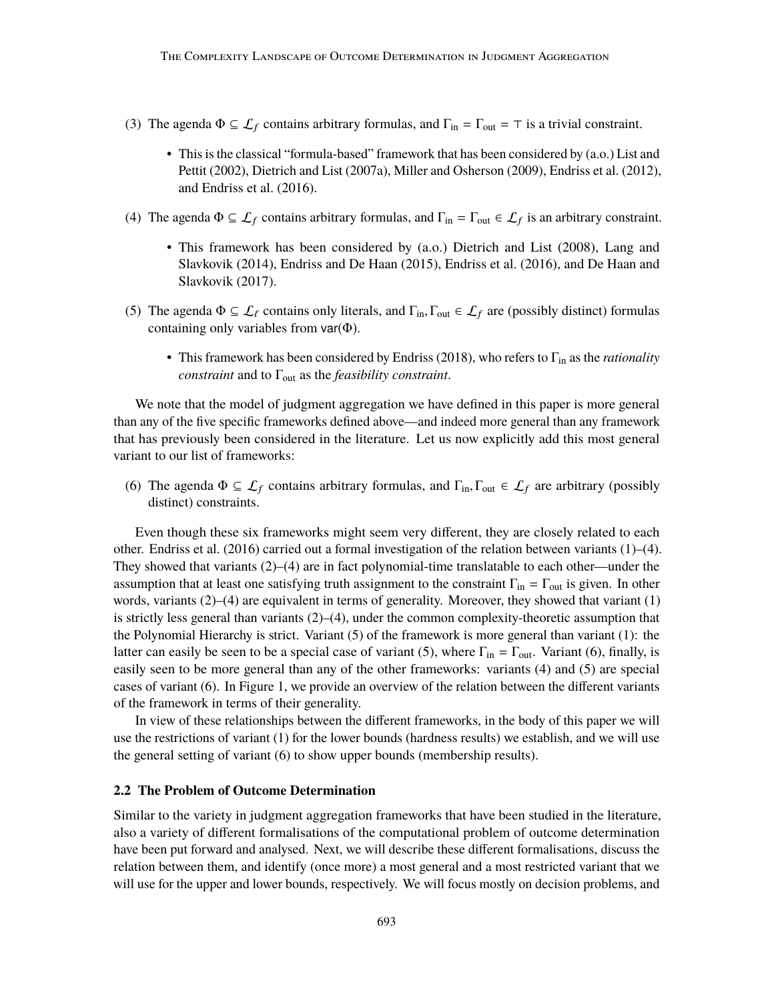- (3) The agenda  $\Phi \subseteq \mathcal{L}_f$  contains arbitrary formulas, and  $\Gamma_{\text{in}} = \Gamma_{\text{out}} = \top$  is a trivial constraint.
	- This is the classical "formula-based" framework that has been considered by (a.o.) List and Pettit (2002), Dietrich and List (2007a), Miller and Osherson (2009), Endriss et al. (2012), and Endriss et al. (2016).
- (4) The agenda  $\Phi \subseteq \mathcal{L}_f$  contains arbitrary formulas, and  $\Gamma_{\text{in}} = \Gamma_{\text{out}} \in \mathcal{L}_f$  is an arbitrary constraint.
	- This framework has been considered by (a.o.) Dietrich and List (2008), Lang and Slavkovik (2014), Endriss and De Haan (2015), Endriss et al. (2016), and De Haan and Slavkovik (2017).
- (5) The agenda  $\Phi \subseteq \mathcal{L}_{\ell}$  contains only literals, and  $\Gamma_{in}$ ,  $\Gamma_{out} \in \mathcal{L}_{f}$  are (possibly distinct) formulas containing only variables from  $\text{var}(\Phi)$ .
	- This framework has been considered by Endriss (2018), who refers to Γ<sub>in</sub> as the *rationality constraint* and to Γ<sub>out</sub> as the *feasibility constraint*.

We note that the model of judgment aggregation we have defined in this paper is more general than any of the five specific frameworks defined above—and indeed more general than any framework that has previously been considered in the literature. Let us now explicitly add this most general variant to our list of frameworks:

(6) The agenda  $\Phi \subseteq \mathcal{L}_f$  contains arbitrary formulas, and  $\Gamma_{\text{in}}$ ,  $\Gamma_{\text{out}} \in \mathcal{L}_f$  are arbitrary (possibly distinct) constraints.

Even though these six frameworks might seem very different, they are closely related to each other. Endriss et al. (2016) carried out a formal investigation of the relation between variants (1)–(4). They showed that variants  $(2)$ – $(4)$  are in fact polynomial-time translatable to each other—under the assumption that at least one satisfying truth assignment to the constraint  $\Gamma_{in} = \Gamma_{out}$  is given. In other words, variants  $(2)$ – $(4)$  are equivalent in terms of generality. Moreover, they showed that variant  $(1)$ is strictly less general than variants (2)–(4), under the common complexity-theoretic assumption that the Polynomial Hierarchy is strict. Variant (5) of the framework is more general than variant (1): the latter can easily be seen to be a special case of variant (5), where  $\Gamma_{\text{in}} = \Gamma_{\text{out}}$ . Variant (6), finally, is easily seen to be more general than any of the other frameworks: variants (4) and (5) are special cases of variant (6). In Figure 1, we provide an overview of the relation between the different variants of the framework in terms of their generality.

In view of these relationships between the different frameworks, in the body of this paper we will use the restrictions of variant (1) for the lower bounds (hardness results) we establish, and we will use the general setting of variant (6) to show upper bounds (membership results).

## **2.2 The Problem of Outcome Determination**

Similar to the variety in judgment aggregation frameworks that have been studied in the literature, also a variety of different formalisations of the computational problem of outcome determination have been put forward and analysed. Next, we will describe these different formalisations, discuss the relation between them, and identify (once more) a most general and a most restricted variant that we will use for the upper and lower bounds, respectively. We will focus mostly on decision problems, and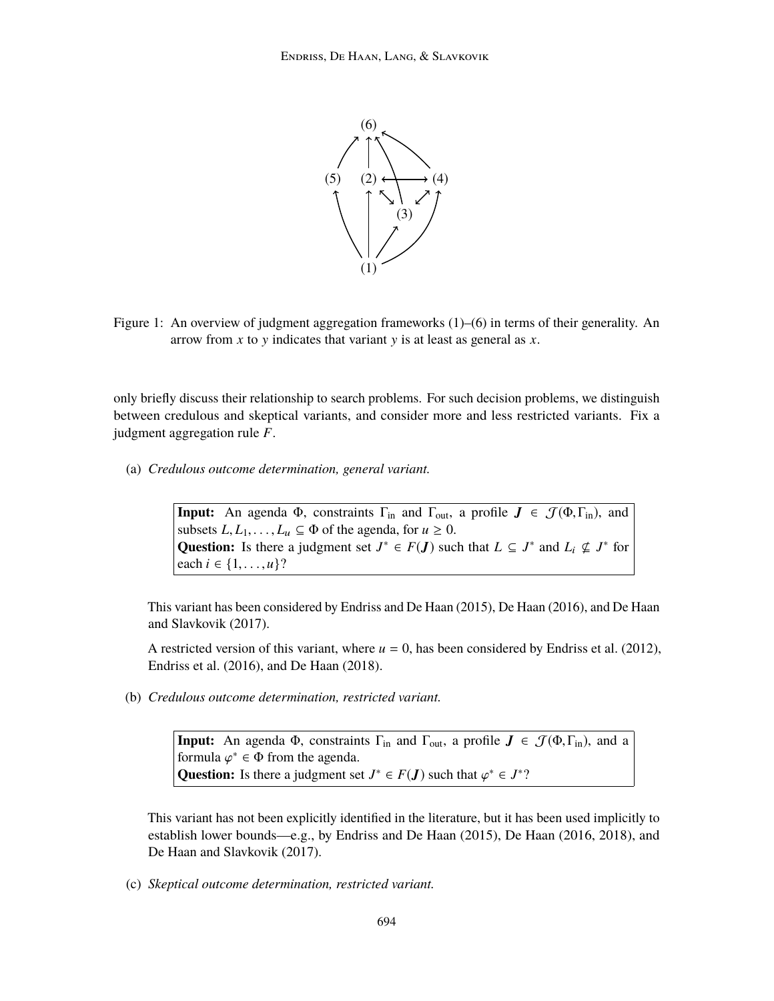

Figure 1: An overview of judgment aggregation frameworks (1)–(6) in terms of their generality. An arrow from *x* to y indicates that variant y is at least as general as *x*.

only briefly discuss their relationship to search problems. For such decision problems, we distinguish between credulous and skeptical variants, and consider more and less restricted variants. Fix a judgment aggregation rule *F*.

(a) *Credulous outcome determination, general variant.*

**Input:** An agenda  $\Phi$ , constraints  $\Gamma_{in}$  and  $\Gamma_{out}$ , a profile  $J \in \mathcal{J}(\Phi, \Gamma_{in})$ , and subsets  $L, L_1, \ldots, L_u \subseteq \Phi$  of the agenda, for  $u \ge 0$ . Question: Is there a judgment set  $J^* \in F(J)$  such that  $L \subseteq J^*$  and  $L_i \nsubseteq J^*$  for each  $i \in \{1, ..., u\}$ ?

This variant has been considered by Endriss and De Haan (2015), De Haan (2016), and De Haan and Slavkovik (2017).

A restricted version of this variant, where  $u = 0$ , has been considered by Endriss et al. (2012), Endriss et al. (2016), and De Haan (2018).

(b) *Credulous outcome determination, restricted variant.*

**Input:** An agenda Φ, constraints  $\Gamma_{in}$  and  $\Gamma_{out}$ , a profile  $J \in \mathcal{J}(\Phi, \Gamma_{in})$ , and a formula  $\varphi^* \in \Phi$  from the agenda.<br>Overtion: Is there a judgment set Question: Is there a judgment set  $J^* \in F(J)$  such that  $\varphi^* \in J^*$ ?

This variant has not been explicitly identified in the literature, but it has been used implicitly to establish lower bounds—e.g., by Endriss and De Haan (2015), De Haan (2016, 2018), and De Haan and Slavkovik (2017).

(c) *Skeptical outcome determination, restricted variant.*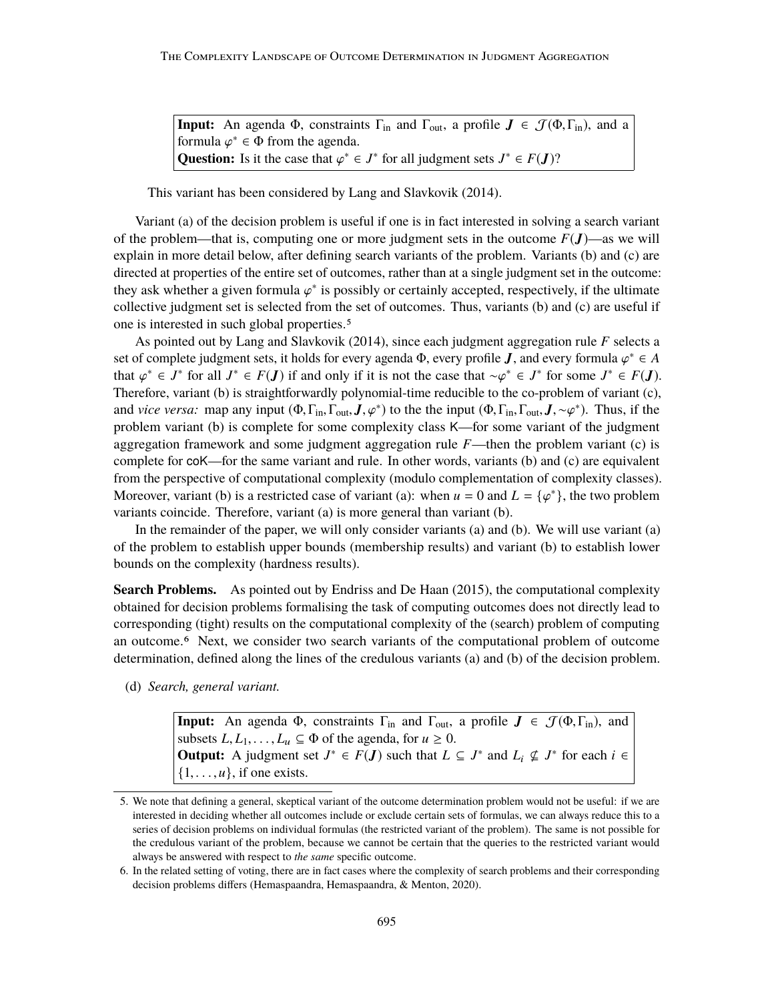**Input:** An agenda Φ, constraints  $\overline{\Gamma_{in}}$  and  $\overline{\Gamma_{out}}$ , a profile  $J \in \mathcal{J}(\Phi, \Gamma_{in})$ , and a formula  $\varphi^* \in \Phi$  from the agenda.<br>Ougstion: Is it the case that  $\varphi^* \in \Phi$ Question: Is it the case that  $\varphi^* \in J^*$  for all judgment sets  $J^* \in F(J)$ ?

This variant has been considered by Lang and Slavkovik (2014).

Variant (a) of the decision problem is useful if one is in fact interested in solving a search variant of the problem—that is, computing one or more judgment sets in the outcome  $F(J)$ —as we will explain in more detail below, after defining search variants of the problem. Variants (b) and (c) are directed at properties of the entire set of outcomes, rather than at a single judgment set in the outcome: they ask whether a given formula  $\varphi^*$  is possibly or certainly accepted, respectively, if the ultimate collective independent set is selected from the set of outcomes. Thus, variants (b) and (c) are useful if collective judgment set is selected from the set of outcomes. Thus, variants (b) and (c) are useful if one is interested in such global properties.5

As pointed out by Lang and Slavkovik (2014), since each judgment aggregation rule *F* selects a set of complete judgment sets, it holds for every agenda  $\Phi$ , every profile *J*, and every formula  $\varphi^* \in A$ <br>that  $\varphi^* \in I^*$  for all  $I^* \in E(I)$  if and only if it is not the case that  $\varphi^* \in I^*$  for some  $I^* \in E(I)$ that  $\varphi^* \in J^*$  for all *J*<sup>\*</sup> ∈ *F*(*J*) if and only if it is not the case that ∼ $\varphi^* \in J^*$  for some *J*<sup>\*</sup> ∈ *F*(*J*).<br>Therefore veriant (b) is straightforwardly polynomial time reducible to the co-problem of varia Therefore, variant (b) is straightforwardly polynomial-time reducible to the co-problem of variant (c), and *vice versa:* map any input  $(\Phi, \Gamma_{\text{in}}, \Gamma_{\text{out}}, J, \varphi^*)$  to the the input  $(\Phi, \Gamma_{\text{in}}, \Gamma_{\text{out}}, J, \sim \varphi^*)$ . Thus, if the noblem variant (b) is complete for some complexity class K—for some variant of the judgment problem variant (b) is complete for some complexity class K—for some variant of the judgment aggregation framework and some judgment aggregation rule *F*—then the problem variant (c) is complete for coK—for the same variant and rule. In other words, variants (b) and (c) are equivalent from the perspective of computational complexity (modulo complementation of complexity classes). Moreover, variant (b) is a restricted case of variant (a): when  $u = 0$  and  $L = {\varphi^*}$ , the two problem variants coincide. Therefore, variant (a) is more general than variant (b) variants coincide. Therefore, variant (a) is more general than variant (b).

In the remainder of the paper, we will only consider variants (a) and (b). We will use variant (a) of the problem to establish upper bounds (membership results) and variant (b) to establish lower bounds on the complexity (hardness results).

**Search Problems.** As pointed out by Endriss and De Haan (2015), the computational complexity obtained for decision problems formalising the task of computing outcomes does not directly lead to corresponding (tight) results on the computational complexity of the (search) problem of computing an outcome.6 Next, we consider two search variants of the computational problem of outcome determination, defined along the lines of the credulous variants (a) and (b) of the decision problem.

(d) *Search, general variant.*

**Input:** An agenda  $\Phi$ , constraints  $\Gamma_{in}$  and  $\Gamma_{out}$ , a profile  $J \in \mathcal{J}(\Phi, \Gamma_{in})$ , and subsets  $L, L_1, \ldots, L_u \subseteq \Phi$  of the agenda, for  $u \ge 0$ . **Output:** A judgment set  $J^* \in F(J)$  such that  $L \subseteq J^*$  and  $L_i \nsubseteq J^*$  for each  $i \in$  $\{1, \ldots, u\}$ , if one exists.

<sup>5.</sup> We note that defining a general, skeptical variant of the outcome determination problem would not be useful: if we are interested in deciding whether all outcomes include or exclude certain sets of formulas, we can always reduce this to a series of decision problems on individual formulas (the restricted variant of the problem). The same is not possible for the credulous variant of the problem, because we cannot be certain that the queries to the restricted variant would always be answered with respect to *the same* specific outcome.

<sup>6.</sup> In the related setting of voting, there are in fact cases where the complexity of search problems and their corresponding decision problems differs (Hemaspaandra, Hemaspaandra, & Menton, 2020).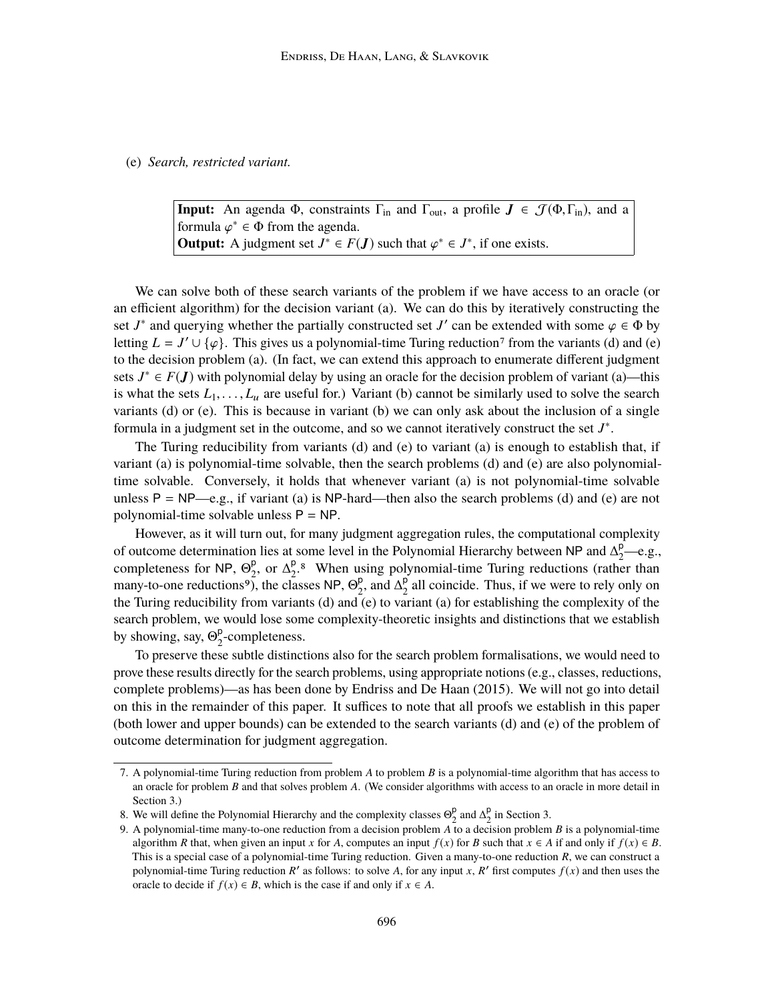## (e) *Search, restricted variant.*

**Input:** An agenda Φ, constraints  $\Gamma_{in}$  and  $\Gamma_{out}$ , a profile  $J \in \mathcal{J}(\Phi, \Gamma_{in})$ , and a formula  $\varphi^* \in \Phi$  from the agenda.<br>Output: A judgment set  $I^* \in F(\Phi)$ **Output:** A judgment set  $J^* \in F(J)$  such that  $\varphi^* \in J^*$ , if one exists.

We can solve both of these search variants of the problem if we have access to an oracle (or an efficient algorithm) for the decision variant (a). We can do this by iteratively constructing the set *J*<sup>\*</sup> and querying whether the partially constructed set *J*' can be extended with some  $\varphi \in \Phi$  by letting *I* = *I'*  $\cup$  *L*(*c*). This gives us a polynomial-time Turing reduction<sup>7</sup> from the variants (d) and (e) letting  $L = J' \cup {\varphi}$ . This gives us a polynomial-time Turing reduction<sup>7</sup> from the variants (d) and (e) to the decision problem (a). (In fact, we can extend this approach to enumerate different judgment to the decision problem (a). (In fact, we can extend this approach to enumerate different judgment sets  $J^* \in F(J)$  with polynomial delay by using an oracle for the decision problem of variant (a)—this is what the sets  $L_1, \ldots, L_u$  are useful for.) Variant (b) cannot be similarly used to solve the search variants (d) or (e). This is because in variant (b) we can only ask about the inclusion of a single formula in a judgment set in the outcome, and so we cannot iteratively construct the set *J* ∗ .

The Turing reducibility from variants (d) and (e) to variant (a) is enough to establish that, if variant (a) is polynomial-time solvable, then the search problems (d) and (e) are also polynomialtime solvable. Conversely, it holds that whenever variant (a) is not polynomial-time solvable unless  $P = NP$ —e.g., if variant (a) is NP-hard—then also the search problems (d) and (e) are not polynomial-time solvable unless  $P = NP$ .

However, as it will turn out, for many judgment aggregation rules, the computational complexity of outcome determination lies at some level in the Polynomial Hierarchy between NP and  $\Delta_2^{\text{p}}$ —e.g., completeness for NP,  $\Theta_2^p$  $_2^{\mathsf{p}}$ , or  $\Delta_2^{\mathsf{p}}$ <sup>p</sup><sub>2</sub>.8</sup> When using polynomial-time Turing reductions (rather than many-to-one reductions<sup>9</sup>), the classes NP,  $\Theta_2^p$  $_2^{\mathsf{p}}$ , and  $\Delta_2^{\mathsf{p}}$  $\frac{p}{2}$  all coincide. Thus, if we were to rely only on the Turing reducibility from variants (d) and (e) to variant (a) for establishing the complexity of the search problem, we would lose some complexity-theoretic insights and distinctions that we establish by showing, say,  $\Theta_2^p$  $2^{\circ}$ -completeness.

To preserve these subtle distinctions also for the search problem formalisations, we would need to prove these results directly for the search problems, using appropriate notions (e.g., classes, reductions, complete problems)—as has been done by Endriss and De Haan (2015). We will not go into detail on this in the remainder of this paper. It suffices to note that all proofs we establish in this paper (both lower and upper bounds) can be extended to the search variants (d) and (e) of the problem of outcome determination for judgment aggregation.

<sup>7.</sup> A polynomial-time Turing reduction from problem *A* to problem *B* is a polynomial-time algorithm that has access to an oracle for problem *B* and that solves problem *A*. (We consider algorithms with access to an oracle in more detail in Section 3.)

<sup>8.</sup> We will define the Polynomial Hierarchy and the complexity classes  $\Theta_2^p$  and  $\Delta_2^p$  in Section 3.

<sup>9.</sup> A polynomial-time many-to-one reduction from a decision problem *A* to a decision problem *B* is a polynomial-time algorithm *R* that, when given an input *x* for *A*, computes an input  $f(x)$  for *B* such that  $x \in A$  if and only if  $f(x) \in B$ . This is a special case of a polynomial-time Turing reduction. Given a many-to-one reduction *R*, we can construct a polynomial-time Turing reduction  $R'$  as follows: to solve  $A$ , for any input  $x$ ,  $R'$  first computes  $f(x)$  and then uses the oracle to decide if *f*(*x*) ∈ *B*, which is the case if and only if  $x \in A$ .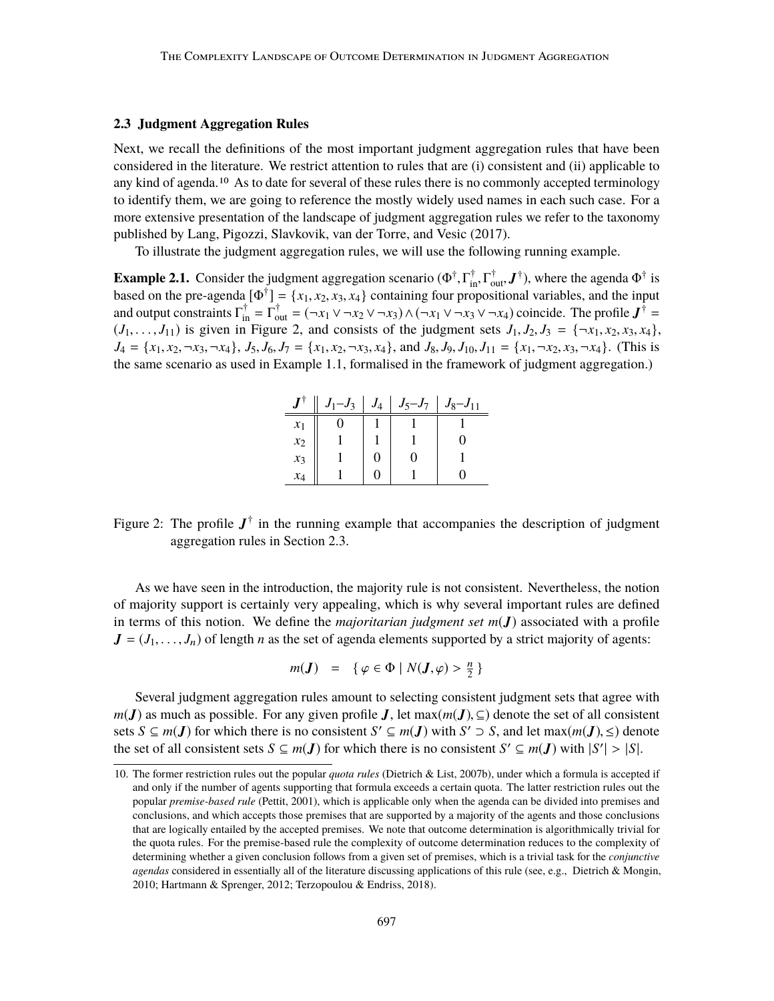## **2.3 Judgment Aggregation Rules**

Next, we recall the definitions of the most important judgment aggregation rules that have been considered in the literature. We restrict attention to rules that are (i) consistent and (ii) applicable to any kind of agenda.<sup>10</sup> As to date for several of these rules there is no commonly accepted terminology to identify them, we are going to reference the mostly widely used names in each such case. For a more extensive presentation of the landscape of judgment aggregation rules we refer to the taxonomy published by Lang, Pigozzi, Slavkovik, van der Torre, and Vesic (2017).

To illustrate the judgment aggregation rules, we will use the following running example.

**Example 2.1.** Consider the judgment aggregation scenario  $(\Phi^{\dagger}, \Gamma^{\dagger}_{\text{in}}, \Gamma^{\dagger}_{\text{out}}, \mathbf{J}^{\dagger})$ , where the agenda  $\Phi^{\dagger}$  is hased on the agenda  $[\Phi^{\dagger}] = \{x_i, x_i, x_j\}$  containing four propositional variables, and based on the pre-agenda  $[\Phi^{\dagger}] = \{x_1, x_2, x_3, x_4\}$  containing four propositional variables, and the input and output constraints  $\Gamma_{\text{in}}^{\dagger} = \Gamma_{\text{out}}^{\dagger} = (\neg x_1 \lor \neg x_2 \lor \neg x_3) \land (\neg x_1 \lor \neg x_3 \lor \neg x_4)$  coincide. The profile  $J^{\dagger} =$  $(J_1, \ldots, J_{11})$  is given in Figure 2, and consists of the judgment sets  $J_1, J_2, J_3 = \{\neg x_1, x_2, x_3, x_4\},\$  $J_4 = \{x_1, x_2, \neg x_3, \neg x_4\}, J_5, J_6, J_7 = \{x_1, x_2, \neg x_3, x_4\}, \text{ and } J_8, J_9, J_{10}, J_{11} = \{x_1, \neg x_2, x_3, \neg x_4\}.$  (This is the same scenario as used in Example 1.1, formalised in the framework of judgment aggregation.)

|       | $J_1 - J_3$ | $J_4$ | $J_5 - J_7$ | $J_8 - J_{11}$ |
|-------|-------------|-------|-------------|----------------|
| $x_1$ |             |       |             |                |
| $x_2$ |             |       |             |                |
| $x_3$ |             |       |             |                |
| $x_4$ |             |       |             |                |

Figure 2: The profile  $J^{\dagger}$  in the running example that accompanies the description of judgment aggregation rules in Section 2.3.

As we have seen in the introduction, the majority rule is not consistent. Nevertheless, the notion of majority support is certainly very appealing, which is why several important rules are defined in terms of this notion. We define the *majoritarian judgment set m*(J) associated with a profile  $J = (J_1, \ldots, J_n)$  of length *n* as the set of agenda elements supported by a strict majority of agents:

$$
m(\boldsymbol{J}) = \{ \varphi \in \Phi \mid N(\boldsymbol{J}, \varphi) > \frac{n}{2} \}
$$

Several judgment aggregation rules amount to selecting consistent judgment sets that agree with *m*(*J*) as much as possible. For any given profile *J*, let max(*m*(*J*), ⊆) denote the set of all consistent sets *S* ⊆ *m*(*J*) for which there is no consistent *S'* ⊆ *m*(*J*) with *S'* ⊃ *S*, and let max(*m*(*J*), ≤) denote the set of all consistent sets *S* ⊂ *m*(*I*) for which there is no consistent *S'* ⊂ *m*(*I*) with  $|$ the set of all consistent sets  $S \subseteq m(J)$  for which there is no consistent  $S' \subseteq m(J)$  with  $|S'| > |S|$ .

<sup>10.</sup> The former restriction rules out the popular *quota rules* (Dietrich & List, 2007b), under which a formula is accepted if and only if the number of agents supporting that formula exceeds a certain quota. The latter restriction rules out the popular *premise-based rule* (Pettit, 2001), which is applicable only when the agenda can be divided into premises and conclusions, and which accepts those premises that are supported by a majority of the agents and those conclusions that are logically entailed by the accepted premises. We note that outcome determination is algorithmically trivial for the quota rules. For the premise-based rule the complexity of outcome determination reduces to the complexity of determining whether a given conclusion follows from a given set of premises, which is a trivial task for the *conjunctive agendas* considered in essentially all of the literature discussing applications of this rule (see, e.g., Dietrich & Mongin, 2010; Hartmann & Sprenger, 2012; Terzopoulou & Endriss, 2018).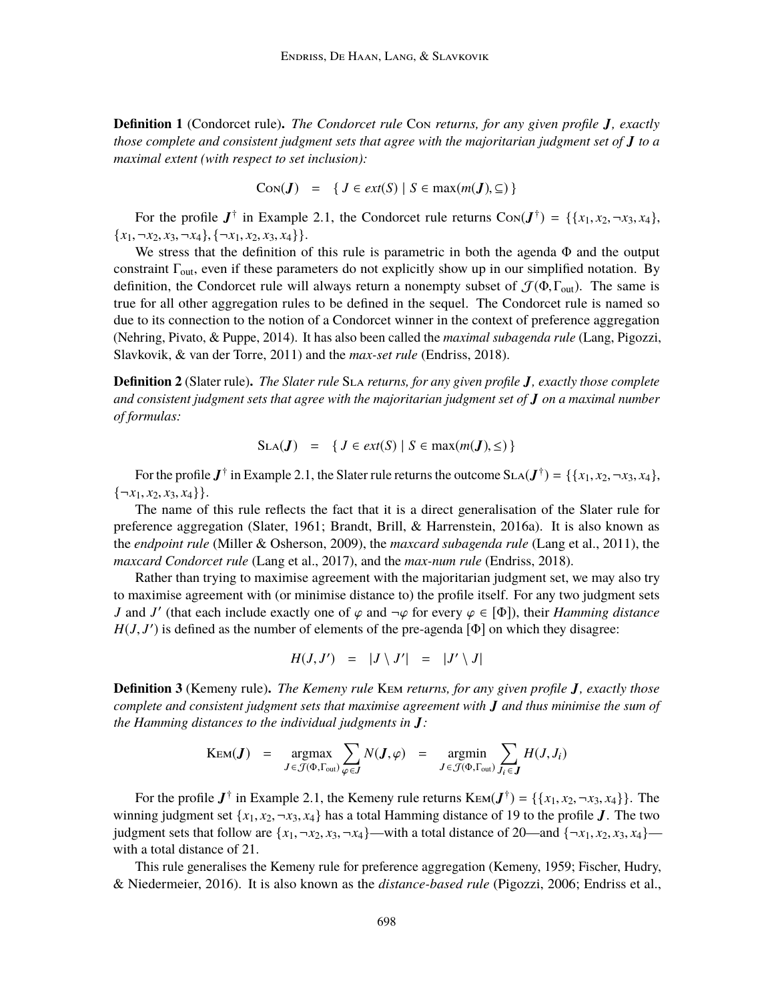**Definition 1** (Condorcet rule)**.** *The Condorcet rule* Con *returns, for any given profile* J*, exactly those complete and consistent judgment sets that agree with the majoritarian judgment set of* J *to a maximal extent (with respect to set inclusion):*

$$
Con(\boldsymbol{J}) = \{ J \in ext(S) \mid S \in max(m(\boldsymbol{J}), \subseteq) \}
$$

For the profile  $J^{\dagger}$  in Example 2.1, the Condorcet rule returns  $\text{Cov}(J^{\dagger}) = \{\{x_1, x_2, \neg x_3, x_4\}, \neg x_2, x_3, x_4\}$  ${x_1, \neg x_2, x_3, \neg x_4}, {\neg x_1, x_2, x_3, x_4}.$ 

We stress that the definition of this rule is parametric in both the agenda Φ and the output constraint  $\Gamma_{\text{out}}$ , even if these parameters do not explicitly show up in our simplified notation. By definition, the Condorcet rule will always return a nonempty subset of  $\mathcal{J}(\Phi, \Gamma_{out})$ . The same is true for all other aggregation rules to be defined in the sequel. The Condorcet rule is named so due to its connection to the notion of a Condorcet winner in the context of preference aggregation (Nehring, Pivato, & Puppe, 2014). It has also been called the *maximal subagenda rule* (Lang, Pigozzi, Slavkovik, & van der Torre, 2011) and the *max-set rule* (Endriss, 2018).

**Definition 2** (Slater rule)**.** *The Slater rule* Sla *returns, for any given profile* J*, exactly those complete and consistent judgment sets that agree with the majoritarian judgment set of* J *on a maximal number of formulas:*

$$
SLA(J) = \{ J \in ext(S) \mid S \in max(m(J), \leq) \}
$$

For the profile  $J^{\dagger}$  in Example 2.1, the Slater rule returns the outcome SLA( $J^{\dagger}$ ) = {{*x*<sub>1</sub>, *x*<sub>2</sub>, -*x*<sub>3</sub>, *x*<sub>4</sub>},  $\{\neg x_1, x_2, x_3, x_4\}.$ 

The name of this rule reflects the fact that it is a direct generalisation of the Slater rule for preference aggregation (Slater, 1961; Brandt, Brill, & Harrenstein, 2016a). It is also known as the *endpoint rule* (Miller & Osherson, 2009), the *maxcard subagenda rule* (Lang et al., 2011), the *maxcard Condorcet rule* (Lang et al., 2017), and the *max-num rule* (Endriss, 2018).

Rather than trying to maximise agreement with the majoritarian judgment set, we may also try to maximise agreement with (or minimise distance to) the profile itself. For any two judgment sets *J* and *J'* (that each include exactly one of  $\varphi$  and  $\neg \varphi$  for every  $\varphi \in [\Phi]$ ), their *Hamming distance*  $H(I, I')$  is defined as the number of elements of the pre-agenda [Φ] on which they disagree:  $H(J, J')$  is defined as the number of elements of the pre-agenda [ $\Phi$ ] on which they disagree:

$$
H(J,J') = |J \setminus J'| = |J' \setminus J|
$$

**Definition 3** (Kemeny rule)**.** *The Kemeny rule* Kem *returns, for any given profile* J*, exactly those complete and consistent judgment sets that maximise agreement with* J *and thus minimise the sum of the Hamming distances to the individual judgments in* J*:*

$$
\text{KEM}(\boldsymbol{J}) = \operatorname*{argmax}_{J \in \mathcal{J}(\Phi, \Gamma_{\text{out}})} \sum_{\varphi \in J} N(\boldsymbol{J}, \varphi) = \operatorname*{argmin}_{J \in \mathcal{J}(\Phi, \Gamma_{\text{out}})} \sum_{J_i \in \boldsymbol{J}} H(J, J_i)
$$

For the profile  $J^{\dagger}$  in Example 2.1, the Kemeny rule returns  $Kem(J^{\dagger}) = \{\{x_1, x_2, \neg x_3, x_4\}\}\.$  The ting independent set  $\{x_1, x_2, \neg x_3, x_4\}$ winning judgment set  $\{x_1, x_2, -x_3, x_4\}$  has a total Hamming distance of 19 to the profile **J**. The two judgment sets that follow are  $\{x_1, \neg x_2, x_3, \neg x_4\}$ —with a total distance of 20—and  $\{\neg x_1, x_2, x_3, x_4\}$  with a total distance of 21.

This rule generalises the Kemeny rule for preference aggregation (Kemeny, 1959; Fischer, Hudry, & Niedermeier, 2016). It is also known as the *distance-based rule* (Pigozzi, 2006; Endriss et al.,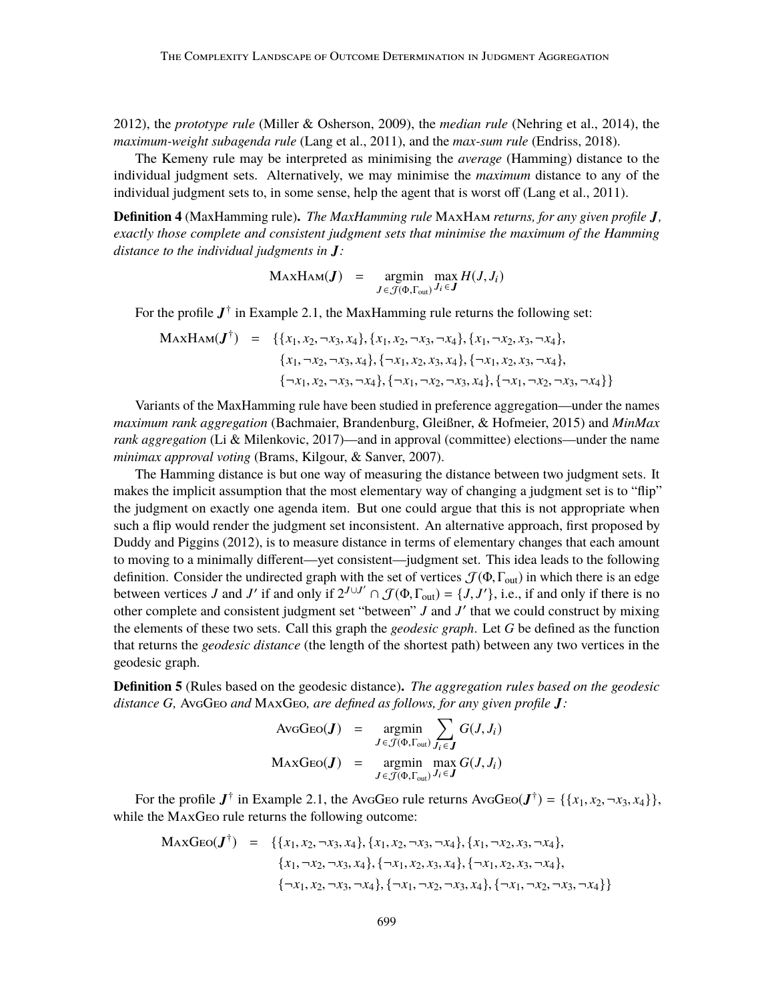2012), the *prototype rule* (Miller & Osherson, 2009), the *median rule* (Nehring et al., 2014), the *maximum-weight subagenda rule* (Lang et al., 2011), and the *max-sum rule* (Endriss, 2018).

The Kemeny rule may be interpreted as minimising the *average* (Hamming) distance to the individual judgment sets. Alternatively, we may minimise the *maximum* distance to any of the individual judgment sets to, in some sense, help the agent that is worst off (Lang et al., 2011).

**Definition 4** (MaxHamming rule)**.** *The MaxHamming rule* MaxHam *returns, for any given profile* J*, exactly those complete and consistent judgment sets that minimise the maximum of the Hamming distance to the individual judgments in* J*:*

$$
\text{MaxHam}(\boldsymbol{J}) = \operatorname*{argmin}_{J \in \mathcal{J}(\Phi, \Gamma_{\text{out}})} \max_{J_i \in \boldsymbol{J}} H(J, J_i)
$$

For the profile  $J^{\dagger}$  in Example 2.1, the MaxHamming rule returns the following set:

$$
\begin{array}{lll}\n\text{MaxHam}(J^{\dagger}) & = & \{ \{x_1, x_2, \neg x_3, x_4\}, \{x_1, x_2, \neg x_3, \neg x_4\}, \{x_1, \neg x_2, x_3, \neg x_4\}, \\
& \{x_1, \neg x_2, \neg x_3, x_4\}, \{ \neg x_1, x_2, x_3, x_4\}, \{ \neg x_1, x_2, x_3, \neg x_4\}, \\
& \{ \neg x_1, x_2, \neg x_3, \neg x_4\}, \{ \neg x_1, \neg x_2, \neg x_3, x_4\}, \{ \neg x_1, \neg x_2, \neg x_3, \neg x_4\} \}\n\end{array}
$$

Variants of the MaxHamming rule have been studied in preference aggregation—under the names *maximum rank aggregation* (Bachmaier, Brandenburg, Gleißner, & Hofmeier, 2015) and *MinMax rank aggregation* (Li & Milenkovic, 2017)—and in approval (committee) elections—under the name *minimax approval voting* (Brams, Kilgour, & Sanver, 2007).

The Hamming distance is but one way of measuring the distance between two judgment sets. It makes the implicit assumption that the most elementary way of changing a judgment set is to "flip" the judgment on exactly one agenda item. But one could argue that this is not appropriate when such a flip would render the judgment set inconsistent. An alternative approach, first proposed by Duddy and Piggins (2012), is to measure distance in terms of elementary changes that each amount to moving to a minimally different—yet consistent—judgment set. This idea leads to the following definition. Consider the undirected graph with the set of vertices  $\mathcal{J}(\Phi, \Gamma_{out})$  in which there is an edge between vertices *J* and *J*' if and only if  $2^{J \cup J'} \cap \mathcal{J}(\Phi, \Gamma_{out}) = \{J, J'\}$ , i.e., if and only if there is no<br>other complete and consistent judgment set "between". *L* and *I'* that we could construct by mixing other complete and consistent judgment set "between" *J* and *J'* that we could construct by mixing the elements of these two sets. Call this graph the *geodesic graph*. Let *G* be defined as the function that returns the *geodesic distance* (the length of the shortest path) between any two vertices in the geodesic graph.

**Definition 5** (Rules based on the geodesic distance)**.** *The aggregation rules based on the geodesic distance G,* AvgGeo *and* MaxGeo*, are defined as follows, for any given profile* J*:*

$$
\begin{array}{rcl}\n\text{AvgGeo}(\boldsymbol{J}) & = & \underset{J \in \mathcal{J}(\Phi, \Gamma_{\text{out}})}{\text{argmin}} \sum_{J_i \in \boldsymbol{J}} G(J, J_i) \\
\text{MaxGeo}(\boldsymbol{J}) & = & \underset{J \in \mathcal{J}(\Phi, \Gamma_{\text{out}})}{\text{argmin}} \max_{J_i \in \boldsymbol{J}} G(J, J_i)\n\end{array}
$$

For the profile  $J^{\dagger}$  in Example 2.1, the AvgGeo rule returns AvgGeo( $J^{\dagger}$ ) = {{*x*<sub>1</sub>, *x*<sub>2</sub>, -*x*<sub>3</sub>, *x*<sub>4</sub>}}, while the MaxGeo rule returns the following outcome:

$$
\begin{array}{lll}\n\text{MaxGeo}(\boldsymbol{J}^{\dagger}) & = & \{ \{x_1, x_2, \neg x_3, x_4\}, \{x_1, x_2, \neg x_3, \neg x_4\}, \{x_1, \neg x_2, x_3, \neg x_4\}, \\
& \{x_1, \neg x_2, \neg x_3, x_4\}, \{ \neg x_1, x_2, x_3, x_4\}, \{ \neg x_1, x_2, x_3, \neg x_4\}, \\
& \{ \neg x_1, x_2, \neg x_3, \neg x_4\}, \{ \neg x_1, \neg x_2, \neg x_3, x_4\}, \{ \neg x_1, \neg x_2, \neg x_3, \neg x_4\} \}\n\end{array}
$$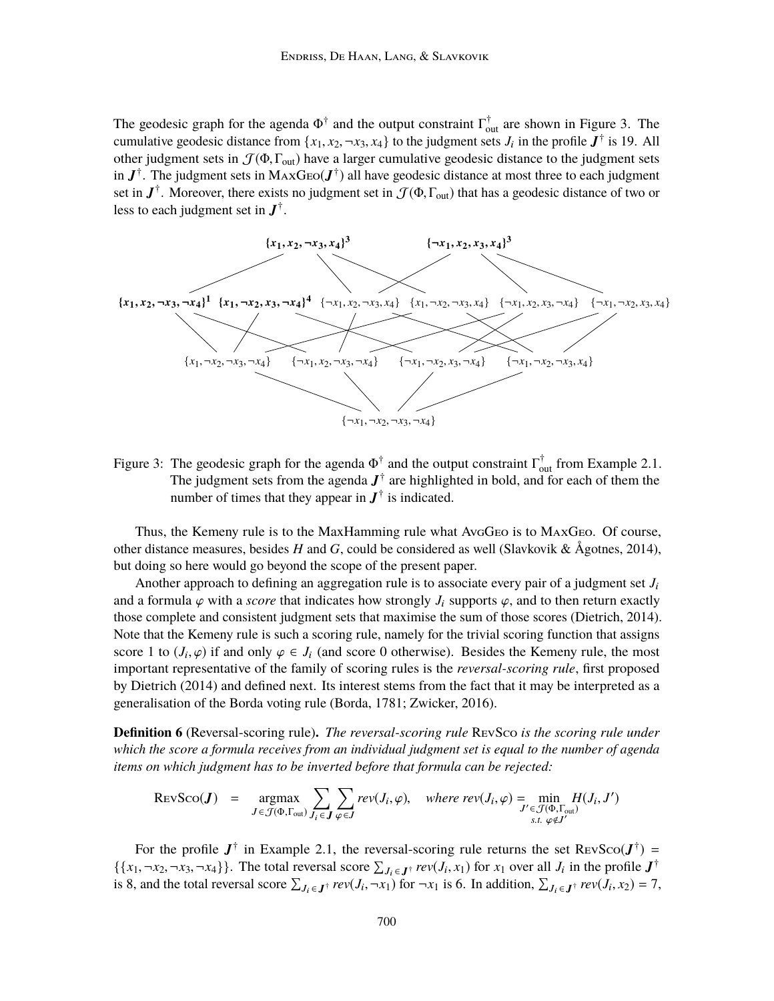The geodesic graph for the agenda  $\Phi^{\dagger}$  and the output constraint  $\Gamma_{out}^{\dagger}$  are shown in Figure 3. The cumulative geodesic distance from  $\{x_1, x_2, \neg x_3, x_4\}$  to the judgment sets  $J_i$  in the profile  $J^{\dagger}$  is 19. All<br>other judgment sets in  $\mathcal{T}(\Phi, \Gamma)$  have a larger cumulative geodesic distance to the judgment sets other judgment sets in  $\mathcal{J}(\Phi, \Gamma_{out})$  have a larger cumulative geodesic distance to the judgment sets in  $J^{\dagger}$ . The judgment sets in  $\text{MaxGeo}(J^{\dagger})$  all have geodesic distance at most three to each judgment set in  $J^{\dagger}$ . Moreover, there exists no judgment set in  $\mathcal{J}(\Phi, \Gamma_{out})$  that has a geodesic distance of two or less to each judgment set in  $J^{\dagger}$ .



Figure 3: The geodesic graph for the agenda  $\Phi^{\dagger}$  and the output constraint  $\Gamma^{\dagger}_{out}$  from Example 2.1. The judgment sets from the agenda  $J^{\dagger}$  are highlighted in bold, and for each of them the number of times that they appear in  $J^{\dagger}$  is indicated.

Thus, the Kemeny rule is to the MaxHamming rule what AvgGeo is to MaxGeo. Of course, other distance measures, besides *H* and *G*, could be considered as well (Slavkovik & Ågotnes, 2014), but doing so here would go beyond the scope of the present paper.

Another approach to defining an aggregation rule is to associate every pair of a judgment set *J*<sup>i</sup> and a formula  $\varphi$  with a *score* that indicates how strongly  $J_i$  supports  $\varphi$ , and to then return exactly those complete and consistent judgment sets that maximise the sum of those scores (Dietrich, 2014). Note that the Kemeny rule is such a scoring rule, namely for the trivial scoring function that assigns score 1 to  $(J_i, \varphi)$  if and only  $\varphi \in J_i$  (and score 0 otherwise). Besides the Kemeny rule, the most<br>important representative of the family of scoring rules is the *reversal scoring rule*, first proposed important representative of the family of scoring rules is the *reversal-scoring rule*, first proposed by Dietrich (2014) and defined next. Its interest stems from the fact that it may be interpreted as a generalisation of the Borda voting rule (Borda, 1781; Zwicker, 2016).

**Definition 6** (Reversal-scoring rule)**.** *The reversal-scoring rule* RevSco *is the scoring rule under which the score a formula receives from an individual judgment set is equal to the number of agenda items on which judgment has to be inverted before that formula can be rejected:*

$$
\text{RevSco}(\boldsymbol{J}) = \underset{J \in \mathcal{J}(\Phi, \Gamma_{\text{out}})}{\text{argmax}} \sum_{J_i \in \boldsymbol{J}} \sum_{\varphi \in \boldsymbol{J}} rev(J_i, \varphi), \quad \text{where } rev(J_i, \varphi) = \underset{J' \in \mathcal{J}(\Phi, \Gamma_{\text{out}})}{\text{min}} H(J_i, J')
$$

For the profile  $J^{\dagger}$  in Example 2.1, the reversal-scoring rule returns the set REvSco( $J^{\dagger}$ ) = {{ $x_1, \neg x_2, \neg x_3, \neg x_4$ }}. The total reversal score  $\sum_{J_i \in J^{\dagger}} rev(J_i, x_1)$  for  $x_1$  over all  $J_i$  in the profile  $J^{\dagger}$ <br>is 8, and the total reversal score  $\sum_{J_i \in J'} rev(J_i, x_1)$  for  $\neg x_i$  is 6. In addition  $\sum_{J_i \in J'} rev$ is 8, and the total reversal score  $\sum_{J_i \in \mathbf{J}^+} rev(J_i, \neg x_1)$  for  $\neg x_1$  is 6. In addition,  $\sum_{J_i \in \mathbf{J}^+} rev(J_i, x_2) = 7$ ,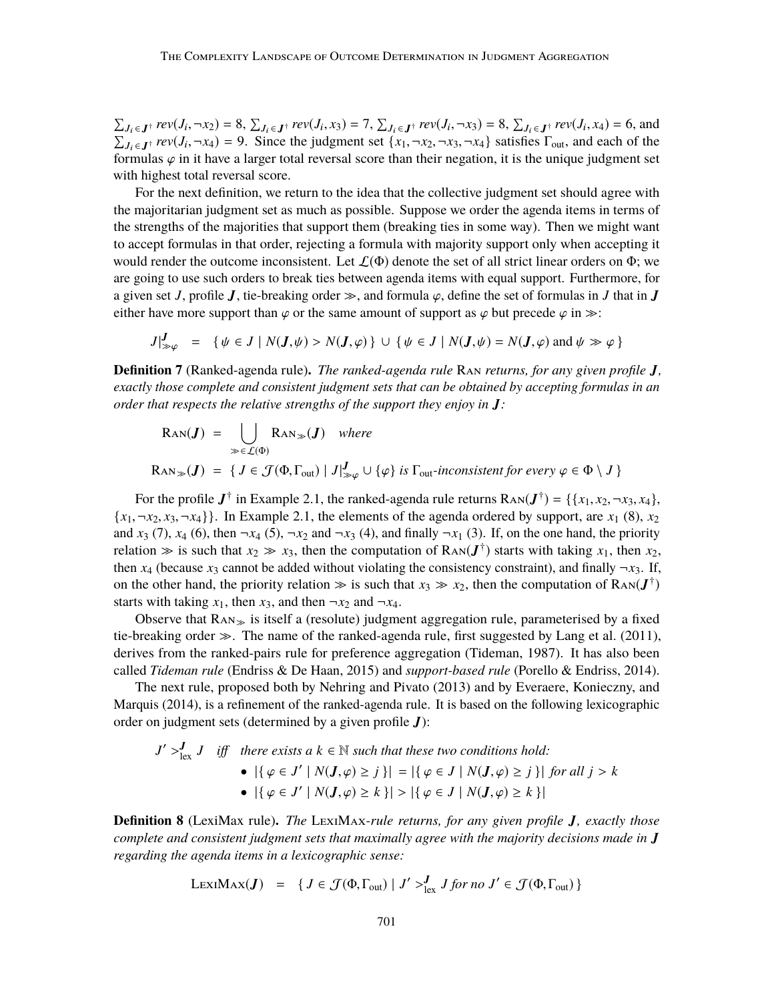$\sum_{J_i \in J^{\dagger}} rev(J_i, \neg x_2) = 8$ ,  $\sum_{J_i \in J^{\dagger}} rev(J_i, x_3) = 7$ ,  $\sum_{J_i \in J^{\dagger}} rev(J_i, \neg x_3) = 8$ ,  $\sum_{J_i \in J^{\dagger}} rev(J_i, x_4) = 6$ , and  $\sum_{J_i \in J^{\dagger}} rev(J_i, \neg x_2) = 0$ . Since the judgment set  $\{x_i, \neg x_i, \neg x_j\}$  satisfies  $\Gamma$  and each of th  $\sum_{J_i \in J^{\dagger}} rev(J_i, -x_4) = 9$ . Since the judgment set  $\{x_1, -x_2, -x_3, -x_4\}$  satisfies  $\Gamma_{\text{out}}$ , and each of the formulas  $\alpha$  in it have a larger total reversal score than their negation, it is the unique judgment set formulas  $\varphi$  in it have a larger total reversal score than their negation, it is the unique judgment set with highest total reversal score.

For the next definition, we return to the idea that the collective judgment set should agree with the majoritarian judgment set as much as possible. Suppose we order the agenda items in terms of the strengths of the majorities that support them (breaking ties in some way). Then we might want to accept formulas in that order, rejecting a formula with majority support only when accepting it would render the outcome inconsistent. Let  $\mathcal{L}(\Phi)$  denote the set of all strict linear orders on  $\Phi$ ; we are going to use such orders to break ties between agenda items with equal support. Furthermore, for a given set *J*, profile *J*, tie-breaking order  $\gg$ , and formula  $\varphi$ , define the set of formulas in *J* that in *J* either have more support than  $\varphi$  or the same amount of support as  $\varphi$  but precede  $\varphi$  in  $\gg$ :

$$
J|_{\gg\varphi}^J = \{ \psi \in J \mid N(\mathbf{J}, \psi) > N(\mathbf{J}, \varphi) \} \cup \{ \psi \in J \mid N(\mathbf{J}, \psi) = N(\mathbf{J}, \varphi) \text{ and } \psi \gg \varphi \}
$$

**Definition 7** (Ranked-agenda rule)**.** *The ranked-agenda rule* Ran *returns, for any given profile* J*, exactly those complete and consistent judgment sets that can be obtained by accepting formulas in an order that respects the relative strengths of the support they enjoy in* J*:*

$$
RAN(J) = \bigcup_{\mathscr{F} \in \mathcal{L}(\Phi)} RAN_{\mathscr{F}}(J) \quad where
$$
  

$$
RAN_{\mathscr{F}}(J) = \{ J \in \mathcal{J}(\Phi, \Gamma_{out}) \mid J|_{\mathscr{F}\varphi}^J \cup \{\varphi\} \text{ is } \Gamma_{out}\text{-inconsistent for every } \varphi \in \Phi \setminus J \}
$$

For the profile  $J^{\dagger}$  in Example 2.1, the ranked-agenda rule returns  $\text{RAN}(J^{\dagger}) = \{\{x_1, x_2, \neg x_3, x_4\}, \neg x_2, x_3, x_4\}$  ${x_1, -x_2, x_3, -x_4}$ . In Example 2.1, the elements of the agenda ordered by support, are  $x_1$  (8),  $x_2$ and  $x_3$  (7),  $x_4$  (6), then  $-x_4$  (5),  $-x_2$  and  $-x_3$  (4), and finally  $-x_1$  (3). If, on the one hand, the priority relation  $\gg$  is such that  $x_2 \gg x_3$ , then the computation of RAN( $J^{\dagger}$ ) starts with taking  $x_1$ , then  $x_2$ , then  $x_4$  (because  $x_3$  cannot be added without violating the consistency constraint), and finally  $\neg x_3$ . If, on the other hand, the priority relation  $\gg$  is such that  $x_3 \gg x_2$ , then the computation of RAN( $J^{\dagger}$ ) starts with taking  $x_1$ , then  $x_3$ , and then  $\neg x_2$  and  $\neg x_4$ .

Observe that  $\text{RAN}_{\gg}$  is itself a (resolute) judgment aggregation rule, parameterised by a fixed tie-breaking order  $\gg$ . The name of the ranked-agenda rule, first suggested by Lang et al. (2011), derives from the ranked-pairs rule for preference aggregation (Tideman, 1987). It has also been called *Tideman rule* (Endriss & De Haan, 2015) and *support-based rule* (Porello & Endriss, 2014).

The next rule, proposed both by Nehring and Pivato (2013) and by Everaere, Konieczny, and Marquis (2014), is a refinement of the ranked-agenda rule. It is based on the following lexicographic order on judgment sets (determined by a given profile J):

$$
J' >_{lex}^J J \quad \text{iff} \quad \text{there exists a } k \in \mathbb{N} \text{ such that these two conditions hold:}
$$
\n
$$
\bullet \quad |\{\varphi \in J' \mid N(J, \varphi) \ge j\}| = |\{\varphi \in J \mid N(J, \varphi) \ge j\}| \text{ for all } j > k
$$
\n
$$
\bullet \quad |\{\varphi \in J' \mid N(J, \varphi) \ge k\}| > |\{\varphi \in J \mid N(J, \varphi) \ge k\}|
$$

**Definition 8** (LexiMax rule)**.** *The* LexiMax*-rule returns, for any given profile* J*, exactly those complete and consistent judgment sets that maximally agree with the majority decisions made in* J *regarding the agenda items in a lexicographic sense:*

$$
\text{LexiMax}(\boldsymbol{J}) = \{ J \in \mathcal{J}(\Phi, \Gamma_{\text{out}}) \mid J' >_{\text{lex}}^{\boldsymbol{J}} J \text{ for no } J' \in \mathcal{J}(\Phi, \Gamma_{\text{out}}) \}
$$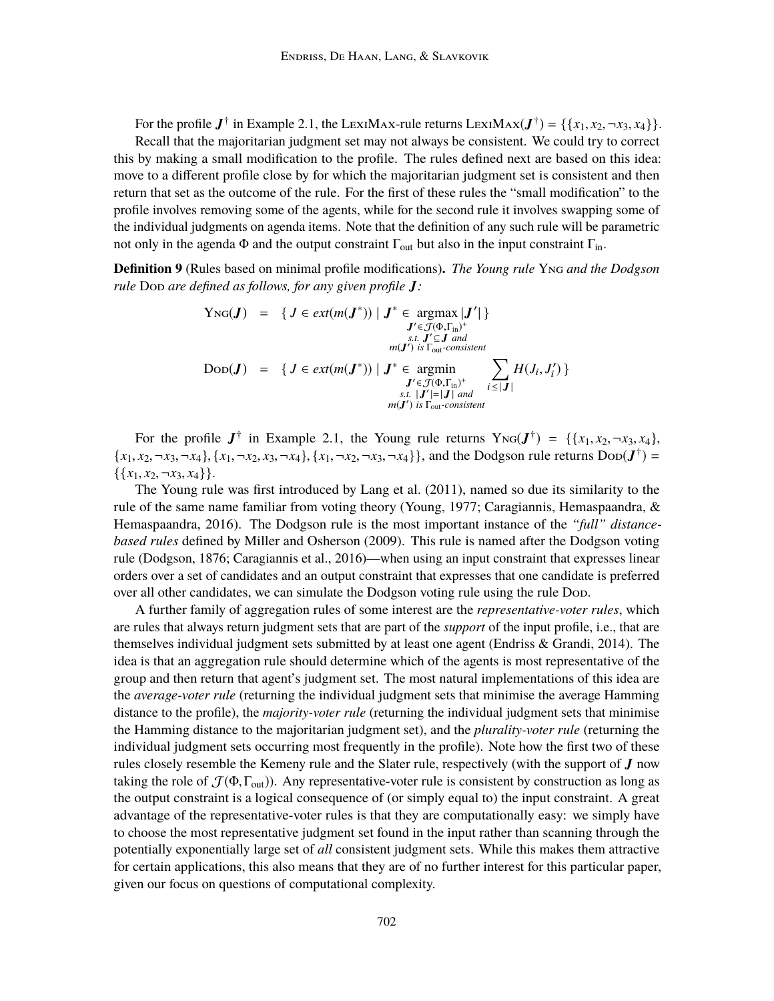For the profile  $J^{\dagger}$  in Example 2.1, the LexiMax-rule returns LexiMax( $J^{\dagger}$ ) = {{*x*<sub>1</sub>, *x*<sub>2</sub>, -*x*<sub>3</sub>, *x*<sub>4</sub>}}.<br>Recall that the majoritation judgment set may not always be consistent. We could try to correct

Recall that the majoritarian judgment set may not always be consistent. We could try to correct this by making a small modification to the profile. The rules defined next are based on this idea: move to a different profile close by for which the majoritarian judgment set is consistent and then return that set as the outcome of the rule. For the first of these rules the "small modification" to the profile involves removing some of the agents, while for the second rule it involves swapping some of the individual judgments on agenda items. Note that the definition of any such rule will be parametric not only in the agenda  $\Phi$  and the output constraint  $\Gamma_{\text{out}}$  but also in the input constraint  $\Gamma_{\text{in}}$ .

**Definition 9** (Rules based on minimal profile modifications)**.** *The Young rule* Yng *and the Dodgson rule* Dop *are defined as follows, for any given profile*  $J$ *:* 

$$
Y_{NG}(J) = \{ J \in ext(m(J^*)) \mid J^* \in \operatorname*{argmax}_{J' \in \mathcal{J}(\Phi, \Gamma_{\text{in}})^+} |J'|\}
$$
  
\n
$$
J' \in \mathcal{J}(\Phi, \Gamma_{\text{in}})^+
$$
  
\n
$$
DOD(J) = \{ J \in ext(m(J^*)) \mid J^* \in \operatorname*{argmin}_{J' \in \mathcal{J}(\Phi, \Gamma_{\text{in}})^+} \sum_{\substack{J' \in \mathcal{J}(\Phi, \Gamma_{\text{in}})^+} \{J'|=|J| \text{ and } \\ m(J') \text{ is } \Gamma_{\text{out}-consistent}}} H(J_i, J'_i) \}
$$

For the profile  $J^{\dagger}$  in Example 2.1, the Young rule returns  $Y_{NG}(J^{\dagger}) = \{\{x_1, x_2, \neg x_3, x_4\},\$ <br> $x_2 = x_2 - x_3$ ,  $Y_{M} = x_2 - x_4$ ,  $Y_{M} = x_3 - x_4$ ,  $Y_{M} = x_2 - x_3 - x_4$ , and the Dodgson rule returns  $D_{QD}(J^{\dagger}) =$  ${x_1, x_2, \neg x_3, \neg x_4}, {x_1, \neg x_2, x_3, \neg x_4}, {x_1, \neg x_2, \neg x_3, \neg x_4},$  and the Dodgson rule returns  $\text{DoD}(\mathbf{J}^{\dagger}) =$  $\{\{x_1, x_2, \neg x_3, x_4\}\}.$ 

The Young rule was first introduced by Lang et al. (2011), named so due its similarity to the rule of the same name familiar from voting theory (Young, 1977; Caragiannis, Hemaspaandra, & Hemaspaandra, 2016). The Dodgson rule is the most important instance of the *"full" distancebased rules* defined by Miller and Osherson (2009). This rule is named after the Dodgson voting rule (Dodgson, 1876; Caragiannis et al., 2016)—when using an input constraint that expresses linear orders over a set of candidates and an output constraint that expresses that one candidate is preferred over all other candidates, we can simulate the Dodgson voting rule using the rule Dod.

A further family of aggregation rules of some interest are the *representative-voter rules*, which are rules that always return judgment sets that are part of the *support* of the input profile, i.e., that are themselves individual judgment sets submitted by at least one agent (Endriss & Grandi, 2014). The idea is that an aggregation rule should determine which of the agents is most representative of the group and then return that agent's judgment set. The most natural implementations of this idea are the *average-voter rule* (returning the individual judgment sets that minimise the average Hamming distance to the profile), the *majority-voter rule* (returning the individual judgment sets that minimise the Hamming distance to the majoritarian judgment set), and the *plurality-voter rule* (returning the individual judgment sets occurring most frequently in the profile). Note how the first two of these rules closely resemble the Kemeny rule and the Slater rule, respectively (with the support of  $J$  now taking the role of  $\mathcal{J}(\Phi, \Gamma_{\text{out}})$ . Any representative-voter rule is consistent by construction as long as the output constraint is a logical consequence of (or simply equal to) the input constraint. A great advantage of the representative-voter rules is that they are computationally easy: we simply have to choose the most representative judgment set found in the input rather than scanning through the potentially exponentially large set of *all* consistent judgment sets. While this makes them attractive for certain applications, this also means that they are of no further interest for this particular paper, given our focus on questions of computational complexity.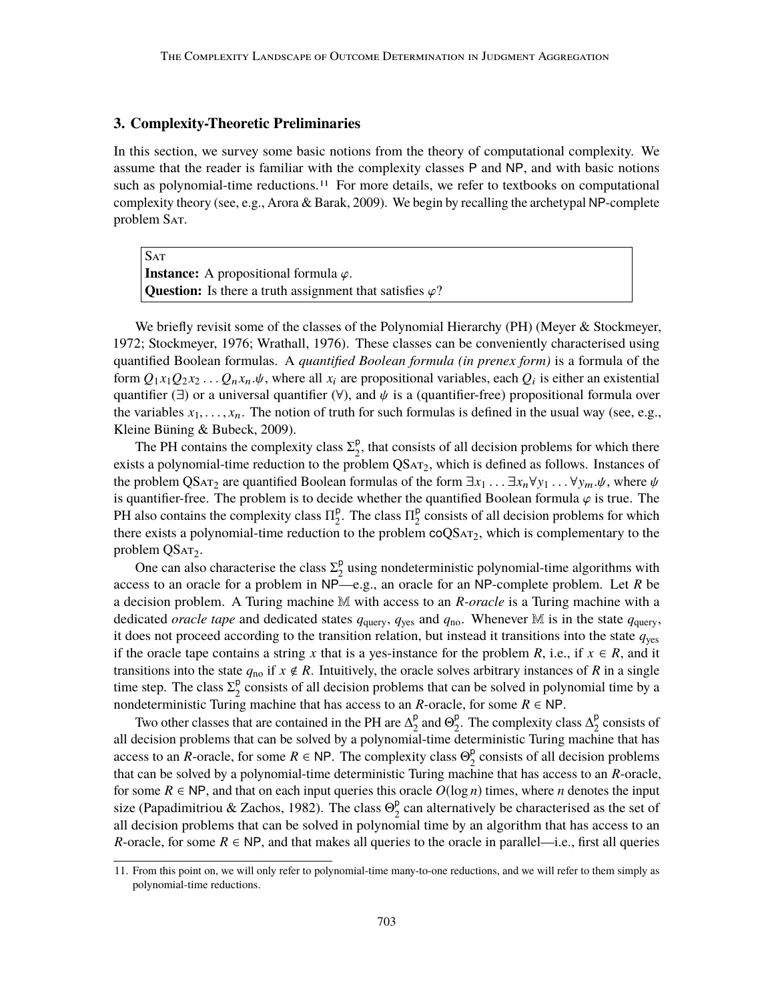## **3. Complexity-Theoretic Preliminaries**

In this section, we survey some basic notions from the theory of computational complexity. We assume that the reader is familiar with the complexity classes P and NP, and with basic notions such as polynomial-time reductions.<sup>11</sup> For more details, we refer to textbooks on computational complexity theory (see, e.g., Arora & Barak, 2009). We begin by recalling the archetypal NP-complete problem SAT.

**SAT Instance:** A propositional formula  $\varphi$ . **Question:** Is there a truth assignment that satisfies  $\varphi$ ?

We briefly revisit some of the classes of the Polynomial Hierarchy (PH) (Meyer & Stockmeyer, 1972; Stockmeyer, 1976; Wrathall, 1976). These classes can be conveniently characterised using quantified Boolean formulas. A *quantified Boolean formula (in prenex form)* is a formula of the form  $Q_1x_1Q_2x_2...Q_nx_n.\psi$ , where all  $x_i$  are propositional variables, each  $Q_i$  is either an existential quantifier  $\Box$ ) or a universal quantifier  $\Box$ ) and  $\nu_k$  is a (quantifier-free) propositional formula over quantifier ( $\exists$ ) or a universal quantifier ( $\forall$ ), and  $\psi$  is a (quantifier-free) propositional formula over the variables  $x_1, \ldots, x_n$ . The notion of truth for such formulas is defined in the usual way (see, e.g., Kleine Büning & Bubeck, 2009).

The PH contains the complexity class  $\Sigma_2^p$  $\frac{p}{2}$ , that consists of all decision problems for which there exists a polynomial-time reduction to the problem  $QSAT<sub>2</sub>$ , which is defined as follows. Instances of the problem QSat<sub>2</sub> are quantified Boolean formulas of the form  $\exists x_1 \dots \exists x_n \forall y_1 \dots \forall y_m.\psi$ , where  $\psi$ is quantifier-free. The problem is to decide whether the quantified Boolean formula  $\varphi$  is true. The PH also contains the complexity class  $\Pi_2^{\mathsf{p}}$  $_{2}^{\text{p}}$ . The class  $\Pi_{2}^{\text{p}}$  $\frac{p}{2}$  consists of all decision problems for which there exists a polynomial-time reduction to the problem  $coQSAT_2$ , which is complementary to the  $problem QSAT_2.$ 

One can also characterise the class  $\Sigma_2^p$  $2^p$  using nondeterministic polynomial-time algorithms with access to an oracle for a problem in NP—e.g., an oracle for an NP-complete problem. Let *R* be a decision problem. A Turing machine M with access to an *R-oracle* is a Turing machine with a dedicated *oracle tape* and dedicated states *q*query, *q*yes and *q*no. Whenever M is in the state *q*query, it does not proceed according to the transition relation, but instead it transitions into the state *q*yes if the oracle tape contains a string x that is a yes-instance for the problem *R*, i.e., if  $x \in R$ , and it transitions into the state  $q_{\text{no}}$  if  $x \notin R$ . Intuitively, the oracle solves arbitrary instances of R in a single time step. The class  $\Sigma_2^p$  $\frac{p}{2}$  consists of all decision problems that can be solved in polynomial time by a nondeterministic Turing machine that has access to an *R*-oracle, for some  $R \in NP$ .

Two other classes that are contained in the PH are  $\Delta_2^p$  $\frac{p}{2}$  and  $\Theta_2^p$  $_2^{\text{p}}$ . The complexity class  $\Delta_2^{\text{p}}$  $2^{\circ}$  consists of all decision problems that can be solved by a polynomial-time deterministic Turing machine that has access to an *R*-oracle, for some  $R \in \text{NP}$ . The complexity class  $\Theta_2^p$  $\frac{p}{2}$  consists of all decision problems that can be solved by a polynomial-time deterministic Turing machine that has access to an *R*-oracle, for some  $R \in \text{NP}$ , and that on each input queries this oracle  $O(\log n)$  times, where *n* denotes the input size (Papadimitriou & Zachos, 1982). The class  $\Theta_2^p$  $2<sub>2</sub>$  can alternatively be characterised as the set of all decision problems that can be solved in polynomial time by an algorithm that has access to an *R*-oracle, for some  $R \in NP$ , and that makes all queries to the oracle in parallel—i.e., first all queries

<sup>11.</sup> From this point on, we will only refer to polynomial-time many-to-one reductions, and we will refer to them simply as polynomial-time reductions.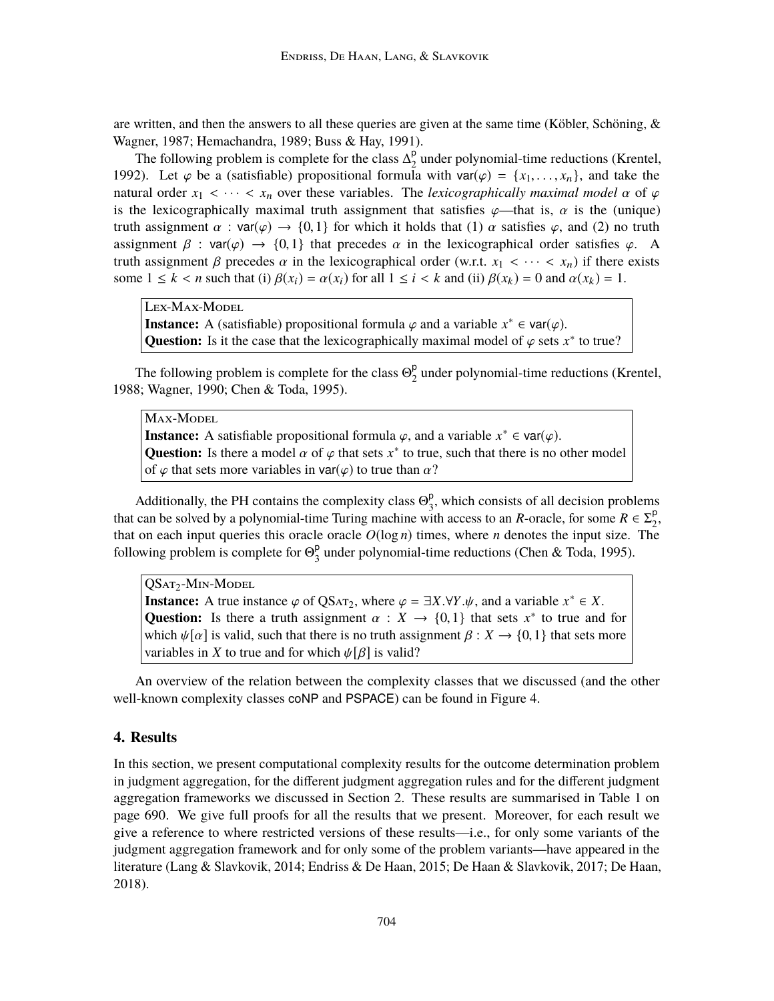are written, and then the answers to all these queries are given at the same time (Köbler, Schöning,  $\&$ Wagner, 1987; Hemachandra, 1989; Buss & Hay, 1991).

The following problem is complete for the class  $\Delta_2^p$  $\frac{p}{2}$  under polynomial-time reductions (Krentel, 1992). Let  $\varphi$  be a (satisfiable) propositional formula with var( $\varphi$ ) = { $x_1, \ldots, x_n$ }, and take the natural order  $x_1 < \cdots < x_n$  over these variables. The *lexicographically maximal model*  $\alpha$  of  $\varphi$ is the lexicographically maximal truth assignment that satisfies  $\varphi$ —that is,  $\alpha$  is the (unique) truth assignment  $\alpha$ : var( $\varphi$ )  $\rightarrow$  {0,1} for which it holds that (1)  $\alpha$  satisfies  $\varphi$ , and (2) no truth assignment  $\beta$  : var( $\varphi$ )  $\rightarrow$  {0,1} that precedes  $\alpha$  in the lexicographical order satisfies  $\varphi$ . A truth assignment  $\beta$  precedes  $\alpha$  in the lexicographical order (w.r.t.  $x_1 < \cdots < x_n$ ) if there exists some  $1 \le k < n$  such that (i)  $\beta(x_i) = \alpha(x_i)$  for all  $1 \le i < k$  and (ii)  $\beta(x_k) = 0$  and  $\alpha(x_k) = 1$ .

Lex-Max-Model

**Instance:** A (satisfiable) propositional formula  $\varphi$  and a variable  $x^* \in \text{var}(\varphi)$ .<br>Ougstion: Is it the case that the lexicographically maximal model of  $\varphi$  sets x **Question:** Is it the case that the lexicographically maximal model of  $\varphi$  sets  $x^*$  to true?

The following problem is complete for the class  $\Theta_2^p$  $\frac{p}{2}$  under polynomial-time reductions (Krentel, 1988; Wagner, 1990; Chen & Toda, 1995).

MAX-MODEL

**Instance:** A satisfiable propositional formula  $\varphi$ , and a variable  $x^* \in \text{var}(\varphi)$ .<br>Oughtion: Is there a model  $\alpha$  of  $\alpha$  that sets  $x^*$  to true, such that there is no **Question:** Is there a model  $\alpha$  of  $\varphi$  that sets  $x^*$  to true, such that there is no other model of  $\alpha$  that sets more variables in var( $\alpha$ ) to true than  $\alpha$ ? of  $\varphi$  that sets more variables in var( $\varphi$ ) to true than  $\alpha$ ?

Additionally, the PH contains the complexity class  $\Theta_3^p$  $\frac{p}{3}$ , which consists of all decision problems that can be solved by a polynomial-time Turing machine with access to an *R*-oracle, for some  $R \in \Sigma^p$  $\frac{p}{2}$ that on each input queries this oracle oracle  $O(\log n)$  times, where *n* denotes the input size. The following problem is complete for  $\Theta_3^p$  $\frac{p}{3}$  under polynomial-time reductions (Chen & Toda, 1995).

 $\mathrm{QSAT}_2\text{-}\mathrm{M}$ in-Model

**Instance:** A true instance  $\varphi$  of QS<sub>AT2</sub>, where  $\varphi = \exists X.\forall Y.\psi$ , and a variable  $x^* \in X$ .<br>Ougstion: Is there a truth assignment  $\alpha : Y \rightarrow \{0, 1\}$  that sets  $x^*$  to true and **Question:** Is there a truth assignment  $\alpha : X \to \{0,1\}$  that sets  $x^*$  to true and for which  $\psi[\alpha]$  is valid such that there is no truth assignment  $\beta : Y \to \{0, 1\}$  that sets more which  $\psi[\alpha]$  is valid, such that there is no truth assignment  $\beta: X \to \{0, 1\}$  that sets more variables in *X* to true and for which  $\psi[\beta]$  is valid?

An overview of the relation between the complexity classes that we discussed (and the other well-known complexity classes coNP and PSPACE) can be found in Figure 4.

## **4. Results**

In this section, we present computational complexity results for the outcome determination problem in judgment aggregation, for the different judgment aggregation rules and for the different judgment aggregation frameworks we discussed in Section 2. These results are summarised in Table 1 on page 690. We give full proofs for all the results that we present. Moreover, for each result we give a reference to where restricted versions of these results—i.e., for only some variants of the judgment aggregation framework and for only some of the problem variants—have appeared in the literature (Lang & Slavkovik, 2014; Endriss & De Haan, 2015; De Haan & Slavkovik, 2017; De Haan, 2018).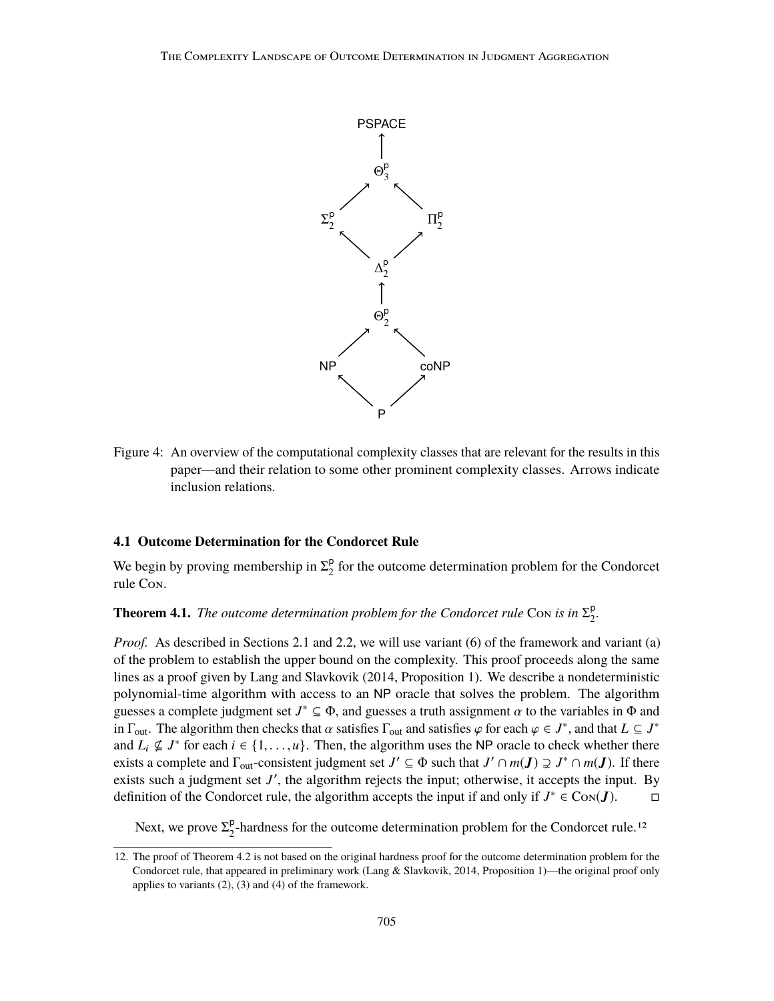

Figure 4: An overview of the computational complexity classes that are relevant for the results in this paper—and their relation to some other prominent complexity classes. Arrows indicate inclusion relations.

## **4.1 Outcome Determination for the Condorcet Rule**

We begin by proving membership in  $\Sigma_2^p$  $\frac{p}{2}$  for the outcome determination problem for the Condorcet rule Con.

**Theorem 4.1.** *The outcome determination problem for the Condorcet rule* Con *is in*  $\Sigma^p$ p<br>2.

*Proof.* As described in Sections 2.1 and 2.2, we will use variant (6) of the framework and variant (a) of the problem to establish the upper bound on the complexity. This proof proceeds along the same lines as a proof given by Lang and Slavkovik (2014, Proposition 1). We describe a nondeterministic polynomial-time algorithm with access to an NP oracle that solves the problem. The algorithm guesses a complete judgment set  $J^* \subseteq \Phi$ , and guesses a truth assignment  $\alpha$  to the variables in  $\Phi$  and  $\Gamma$  and  $\Gamma$  and  $\Gamma$  and  $\Gamma$  and  $\Gamma$  and  $\Gamma$ in  $\Gamma_{\text{out}}$ . The algorithm then checks that  $\alpha$  satisfies  $\Gamma_{\text{out}}$  and satisfies  $\varphi$  for each  $\varphi \in J^*$ , and that  $L \subseteq J^*$ <br>and  $L$ ,  $\sigma$ ,  $I^*$  for each  $i \in J_1$ ,  $\mu$ ). Then, the algorithm uses the NP oracle to c and  $L_i \nsubseteq J^*$  for each  $i \in \{1, ..., u\}$ . Then, the algorithm uses the NP oracle to check whether there exists a complete and  $\Gamma$  consistent independent set  $J' \subset \Phi$  such that  $J' \cap m(J) \supset J^* \cap m(J)$ . If there exists a complete and  $\Gamma_{\text{out}}$ -consistent judgment set  $J' \subseteq \Phi$  such that  $J' \cap m(J) \supsetneq J^* \cap m(J)$ . If there exists such a judgment set  $J'$ , the algorithm rejects the input; otherwise, it accepts the input. By definition of the Condorcet rule, the algorithm accepts the input if and only if  $J^* \in \text{Con}(J)$ .  $□$ 

Next, we prove  $\Sigma_2^p$  $\frac{p}{2}$ -hardness for the outcome determination problem for the Condorcet rule.<sup>12</sup>

<sup>12.</sup> The proof of Theorem 4.2 is not based on the original hardness proof for the outcome determination problem for the Condorcet rule, that appeared in preliminary work (Lang & Slavkovik, 2014, Proposition 1)—the original proof only applies to variants (2), (3) and (4) of the framework.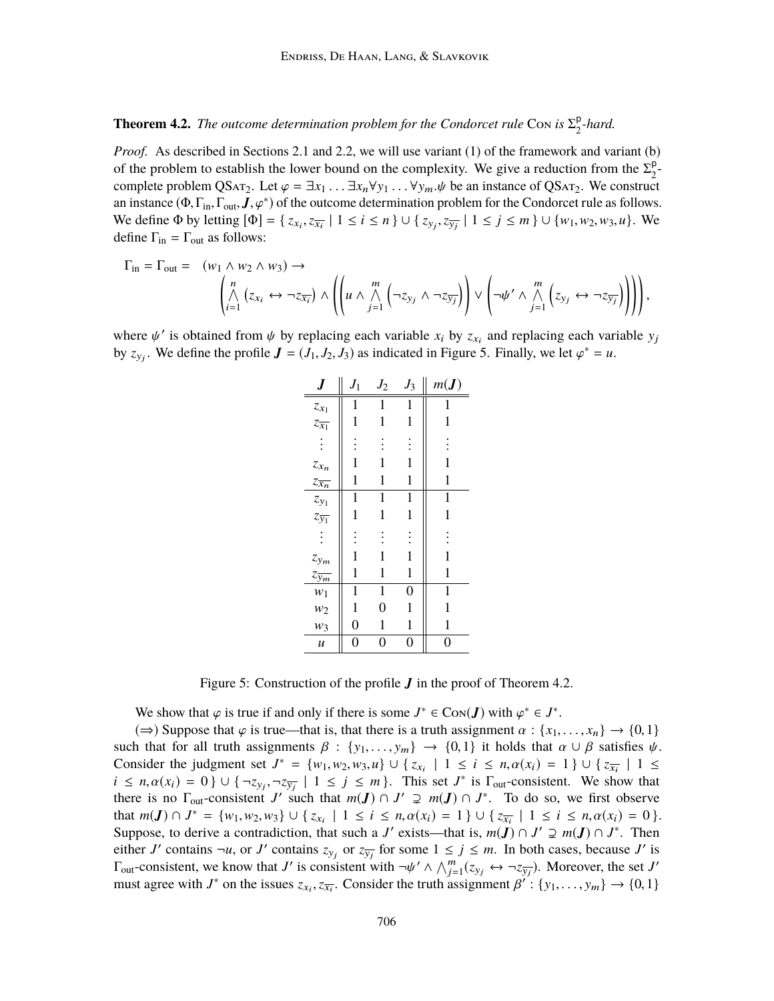### **Theorem 4.2.** *The outcome determination problem for the Condorcet rule* Con *is*  $\Sigma^p$ 2 *-hard.*

*Proof.* As described in Sections 2.1 and 2.2, we will use variant (1) of the framework and variant (b) of the problem to establish the lower bound on the complexity. We give a reduction from the  $\Sigma_2^p$  $\frac{p}{2}$ complete problem  $QSAT_2$ . Let  $\varphi = \exists x_1 ... \exists x_n \forall y_1 ... \forall y_m.\psi$  be an instance of  $QSAT_2$ . We construct an instance  $(\Phi, \Gamma_{\text{in}}, \Gamma_{\text{out}}, \mathbf{J}, \varphi^*)$  of the outcome determination problem for the Condorcet rule as follows.<br>We define  $\Phi$  by letting  $[\Phi] = \{z \mid z = 1 \mid \xi \in \mathbb{R} \} \cup \{z \mid z = 1 \mid \xi \in \mathbb{R} \} \cup \{y_1, y_2, y_3, y_4\}$ We define Φ by letting  $[Φ] = { z_{x_i}, z_{\overline{x_i}} | 1 ≤ i ≤ n } ∪ { z_{y_j}, z_{\overline{y_j}} | 1 ≤ j ≤ m } ∪ { w_1, w_2, w_3, u }}. We define Γ_1 − Γ_2 as follows:$ define  $\Gamma_{\text{in}} = \Gamma_{\text{out}}$  as follows:

$$
\Gamma_{\text{in}} = \Gamma_{\text{out}} = (w_1 \wedge w_2 \wedge w_3) \rightarrow \\
\left( \bigwedge_{i=1}^n (z_{x_i} \leftrightarrow \neg z_{\overline{x_i}}) \wedge \left( \left( u \wedge \bigwedge_{j=1}^m (\neg z_{y_j} \wedge \neg z_{\overline{y_j}}) \right) \vee \left( \neg \psi' \wedge \bigwedge_{j=1}^m (z_{y_j} \leftrightarrow \neg z_{\overline{y_j}}) \right) \right) \right),
$$

where  $\psi'$  is obtained from  $\psi$  by replacing each variable  $x_i$  by  $z_{x_i}$  and replacing each variable  $y_j$ <br>by  $z = W_e$  define the profile  $I = (L, L_e, L_e)$  as indicated in Figure 5. Finally, we let  $\phi^* = u$ by  $z_{y_j}$ . We define the profile  $J = (J_1, J_2, J_3)$  as indicated in Figure 5. Finally, we let  $\varphi^* = u$ .

|                                      | $J_1$            | $J_2$          | $J_3$          | $m(\boldsymbol{J})$ |
|--------------------------------------|------------------|----------------|----------------|---------------------|
| $z_{x_1}$                            | $\mathbf{1}$     | $\mathbf 1$    | $\mathbf 1$    | 1                   |
| $z_{\overline{x_1}}$                 | $\mathbf 1$      | 1              | 1              | $\mathbf{1}$        |
| $\vdots$                             | $\vdots$         | $\vdots$       | $\vdots$       | $\vdots$            |
| $z_{x_n}$                            | 1                | 1              | 1              | $\mathbf{1}$        |
| $\frac{1}{2x_n}$                     | $\mathbf 1$      | $\mathbf{1}$   | 1              | $\mathbf 1$         |
|                                      | $\mathbf 1$      | $\mathbf 1$    | 1              | $\mathbf{1}$        |
| $\frac{z_{y_1}}{z_{\overline{y_1}}}$ | $\mathbf 1$      | 1              | 1              | $\mathbf{1}$        |
| $\vdots$                             |                  |                | $\vdots$       | $\vdots$            |
| $z_{\mathbf{y}_{m}}$                 | 1                | 1              | $\mathbf{1}$   | $\mathbf{1}$        |
| $z_{\overline{y_m}}$                 | 1                | 1              | 1              | 1                   |
| $w_1$                                | $\mathbf 1$      | 1              | $\overline{0}$ | $\mathbf 1$         |
| $w_2$                                | $\mathbf 1$      | $\overline{0}$ | $\mathbf{1}$   | $\mathbf{1}$        |
| $w_3$                                | $\overline{0}$   | $\mathbf{1}$   | 1              | 1                   |
| $\mathfrak u$                        | $\boldsymbol{0}$ | $\overline{0}$ | $\overline{0}$ | $\overline{0}$      |

Figure 5: Construction of the profile  $J$  in the proof of Theorem 4.2.

We show that  $\varphi$  is true if and only if there is some  $J^* \in \text{Con}(J)$  with  $\varphi^* \in J^*$ .<br>  $\iff$  Suppose that  $\varphi$  is true—that is that there is a truth assignment  $\alpha : J_X$ .

 $(\Rightarrow)$  Suppose that  $\varphi$  is true—that is, that there is a truth assignment  $\alpha$  : { $x_1, \ldots, x_n$ }  $\rightarrow$  {0, 1} such that for all truth assignments  $\beta : \{y_1, \ldots, y_m\} \rightarrow \{0, 1\}$  it holds that  $\alpha \cup \beta$  satisfies  $\psi$ . Consider the judgment set  $J^* = \{w_1, w_2, w_3, u\} \cup \{z_{x_i} \mid 1 \le i \le n, \alpha(x_i) = 1\} \cup \{z_{\overline{x_i}} \mid 1 \le i \le n, \alpha(x_i) = 0\}$  $i \leq n, \alpha(x_i) = 0$  }  $\cup \{\neg z_{y_j}, \neg z_{\overline{y_j}} \mid 1 \leq j \leq m\}$ . This set *J*<sup>\*</sup> is  $\Gamma_{\text{out}}$ -consistent. We show that there is no  $\Gamma_{\text{out}}$  consistent *I'* such that  $m(D \cap J' \supset m(D \cap J^*)$ . To do so, we first observe there is no  $\Gamma_{\text{out}}$ -consistent *J'* such that  $m(\mathbf{J}) \cap J' \supsetneq m(\mathbf{J}) \cap J^*$ . To do so, we first observe that  $m(\mathbf{J}) \cap \mathbf{J}^* = \{w_1, w_2, w_3\} \cup \{z_{x_i} \mid 1 \le i \le n, \alpha(x_i) = 1\} \cup \{z_{\overline{x_i}} \mid 1 \le i \le n, \alpha(x_i) = 0\}.$ <br>Suppose to derive a contradiction that such a  $\mathbf{J}'$  exists that is  $m(\mathbf{J}) \cap \mathbf{J}' \supset m(\mathbf{J}) \cap \mathbf{J}^*$ . Then Suppose, to derive a contradiction, that such a *J*' exists—that is,  $m(\mathbf{J}) \cap J' \supsetneq m(\mathbf{J}) \cap J^*$ . Then either *J*<sup> $\prime$ </sup> contains  $\neg u$ , or *J*<sup> $\prime$ </sup> contains  $z_{y_j}$  or  $z_{\overline{y_j}}$  for some  $1 \le j \le m$ . In both cases, because *J*<sup> $\prime$ </sup> is  $\Gamma_{\text{out}}$ -consistent, we know that *J'* is consistent with  $\neg \psi' \land \bigwedge_{j=1}^{m} (z_{y_j} \leftrightarrow \neg z_{\overline{y_j}})$ . Moreover, the set *J'*<br>must agree with *I*<sup>\*</sup> on the issues  $z \rightarrow \overline{z}$ . Consider the truth assignment  $B' \cdot Jy$ ,  $y \rightarrow \$ must agree with *J*<sup>\*</sup> on the issues  $z_{x_i}, z_{\overline{x_i}}$ . Consider the truth assignment  $\beta'$ :  $\{y_1, \ldots, y_m\} \to \{0, 1\}$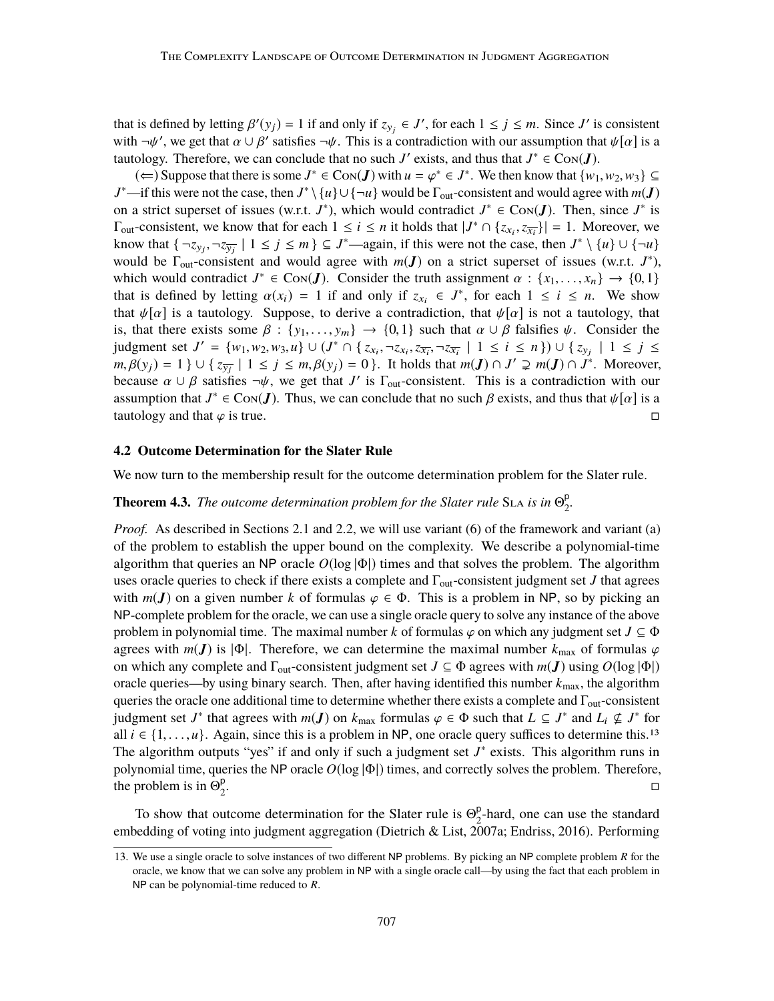that is defined by letting  $\beta'(y_j) = 1$  if and only if  $z_{y_j} \in J'$ , for each  $1 \le j \le m$ . Since *J'* is consistent with  $\neg \psi'$  we get that  $\alpha \perp \beta'$  satisfies  $\neg \psi$ . This is a contradiction with our assumption that  $\psi[\alpha]$ with  $\neg \psi'$ , we get that  $\alpha \cup \beta'$  satisfies  $\neg \psi$ . This is a contradiction with our assumption that  $\psi[\alpha]$  is a tautology. Therefore, we can conclude that no such *I'* exists and thus that  $I^* \in \text{Cov}(I)$ tautology. Therefore, we can conclude that no such *J'* exists, and thus that  $J^* \in \text{Con}(J)$ .

(∈) Suppose that there is some  $J^* \in \text{Con}(J)$  with  $u = \varphi^* \in J^*$ . We then know that  $\{w_1, w_2, w_3\} \subseteq$ <br>if this were not the case, then  $I^* \setminus \{u\} \cup \{v\}$  would be  $\Gamma$  aconsistent and would agree with  $m(J)$ . *J*<sup>\*</sup>—if this were not the case, then *J*<sup>\*</sup> \ {*u*}∪ {¬*u*} would be Γ<sub>out</sub>-consistent and would agree with *m*(*J*) on a strict superset of issues (w.r.t. *J*<sup>\*</sup>), which would contradict  $J^* \in \text{Con}(J)$ . Then, since  $J^*$  is  $\Gamma_{\text{out}}$ -consistent, we know that for each  $1 \le i \le n$  it holds that  $|J^* \cap \{z_{x_i}, z_{\overline{x_i}}\}| = 1$ . Moreover, we know that  $|J^- \cap \{z_i\}| = 1$  are not the case than  $I^* \setminus \{u\} \cup \{u\}|$ know that  $\{\neg z_{y_j}, \neg z_{\overline{y_j}} \mid 1 \leq j \leq m\} \subseteq J^*$ —again, if this were not the case, then  $J^* \setminus \{u\} \cup \{\neg u\}$ <br>would be  $\Gamma$  consistent and would agree with  $m(J)$  on a strict superset of issues (w.r.t.  $I^*$ ) would be  $\Gamma_{\text{out}}$ -consistent and would agree with  $m(J)$  on a strict superset of issues (w.r.t.  $J^*$ ), which would contradict  $J^* \in \text{Con}(J)$ . Consider the truth assignment  $\alpha : \{x_1, \ldots, x_n\} \to \{0, 1\}$ <br>that is defined by letting  $\alpha(x) = 1$  if and only if  $z \in J^*$  for each  $1 \le i \le n$ . We show that is defined by letting  $\alpha(x_i) = 1$  if and only if  $z_{x_i} \in J^*$ , for each  $1 \le i \le n$ . We show that  $\psi[\alpha]$  is a tautology. Suppose, to derive a contradiction, that  $\psi[\alpha]$  is not a tautology, that is, that there exists some  $\beta : \{y_1, \ldots, y_m\} \to \{0, 1\}$  such that  $\alpha \cup \beta$  falsifies  $\psi$ . Consider the judgment set *J*<sup>'</sup> = {*w*<sub>1</sub>, *w*<sub>2</sub>, *w*<sub>3</sub>, *u*} ∪ (*J*<sup>\*</sup> ∩ { *z*<sub>*x<sub>i</sub>*</sub>, ¬*z*<sub>*x<sub>i</sub>*</sub>, ¬*z*<sub>*x<sub>i</sub>*</sub> | 1 ≤ *i* ≤ *n* }) ∪ { *z*<sub>*y<sub>j</sub>*</sub> | 1 ≤ *j* ≤ *m 8*(*y*<sub>1</sub>) − 1 ↓ + *j z* − *n 8*(*y*<sub>1</sub>) − 0 ↓ It bolds th  $m, \beta(y_j) = 1$  }  $\cup \{z_{\overline{y_j}} \mid 1 \leq j \leq m, \beta(y_j) = 0\}$ . It holds that  $m(\mathbf{J}) \cap \mathbf{J}' \supsetneq m(\mathbf{J}) \cap \mathbf{J}^*$ . Moreover, because  $\alpha \cup \beta$  satisfies  $\neg \psi$ , we get that *J'* is  $\Gamma_{\text{out}}$ -consistent. This is a contradiction with our assumption that  $I^* \in \text{Cov}(I)$ . Thus we can conclude that no such  $\beta$  exists and thus that  $\psi[\alpha]$  is a assumption that *J*<sup>\*</sup>  $\in$  Con(*J*). Thus, we can conclude that no such  $\beta$  exists, and thus that  $\psi[\alpha]$  is a turblow and that  $\alpha$  is true. tautology and that  $\varphi$  is true.

## **4.2 Outcome Determination for the Slater Rule**

We now turn to the membership result for the outcome determination problem for the Slater rule.

### **Theorem 4.3.** *The outcome determination problem for the Slater rule* SLA *is in*  $\Theta^{\rho}_{\alpha}$ p<br>2.

*Proof.* As described in Sections 2.1 and 2.2, we will use variant (6) of the framework and variant (a) of the problem to establish the upper bound on the complexity. We describe a polynomial-time algorithm that queries an NP oracle  $O(\log |\Phi|)$  times and that solves the problem. The algorithm uses oracle queries to check if there exists a complete and Γout-consistent judgment set *J* that agrees with  $m(J)$  on a given number k of formulas  $\varphi \in \Phi$ . This is a problem in NP, so by picking an NP-complete problem for the oracle, we can use a single oracle query to solve any instance of the above problem in polynomial time. The maximal number *k* of formulas  $\varphi$  on which any judgment set  $J \subseteq \Phi$ agrees with  $m(J)$  is  $|\Phi|$ . Therefore, we can determine the maximal number  $k_{\text{max}}$  of formulas  $\varphi$ on which any complete and  $\Gamma_{\text{out}}$ -consistent judgment set  $J \subseteq \Phi$  agrees with  $m(J)$  using  $O(\log |\Phi|)$ oracle queries—by using binary search. Then, after having identified this number *k*max, the algorithm queries the oracle one additional time to determine whether there exists a complete and  $\Gamma_{\text{out}}$ -consistent judgment set *J*<sup>\*</sup> that agrees with *m*(*J*) on  $k_{\text{max}}$  formulas  $\varphi \in \Phi$  such that  $L \subseteq J^*$  and  $L_i \nsubseteq J^*$  for  $\text{all } i \in \{1, ..., n\}$ . Again, since this is a problem in NP, one oracle query suffices to determine this <sup>13</sup> all  $i \in \{1, \ldots, u\}$ . Again, since this is a problem in NP, one oracle query suffices to determine this.<sup>13</sup> The algorithm outputs "yes" if and only if such a judgment set  $J^*$  exists. This algorithm runs in polynomial time, queries the NP oracle *O*(log |Φ|) times, and correctly solves the problem. Therefore, the problem is in  $\Theta_2^p$ 2 .

To show that outcome determination for the Slater rule is  $\Theta_2^p$  $2^{\circ}$ -hard, one can use the standard embedding of voting into judgment aggregation (Dietrich & List, 2007a; Endriss, 2016). Performing

<sup>13.</sup> We use a single oracle to solve instances of two different NP problems. By picking an NP complete problem *R* for the oracle, we know that we can solve any problem in NP with a single oracle call—by using the fact that each problem in NP can be polynomial-time reduced to *R*.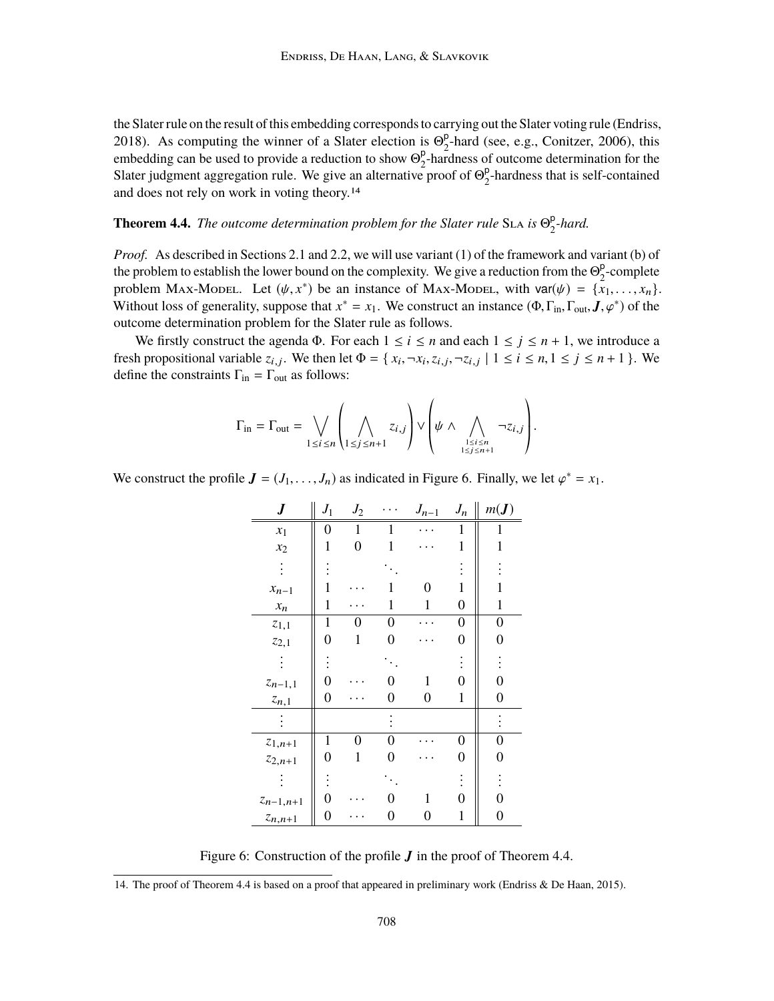the Slater rule on the result of this embedding corresponds to carrying out the Slater voting rule (Endriss, 2018). As computing the winner of a Slater election is  $\Theta_2^p$  $_{2}^{\text{p}}$ -hard (see, e.g., Conitzer, 2006), this embedding can be used to provide a reduction to show  $\Theta_2^p$  $\frac{p}{2}$ -hardness of outcome determination for the Slater judgment aggregation rule. We give an alternative proof of  $\Theta_2^{\mathsf{p}}$  $2^{\circ}$ -hardness that is self-contained and does not rely on work in voting theory.14

### **Theorem 4.4.** *The outcome determination problem for the Slater rule* SLA *is*  $\Theta^p$ 2 *-hard.*

*Proof.* As described in Sections 2.1 and 2.2, we will use variant (1) of the framework and variant (b) of the problem to establish the lower bound on the complexity. We give a reduction from the  $\Theta_2^p$  $2^{\circ}$ -complete problem Max-Model. Let  $(\psi, x^*)$  be an instance of Max-Model, with  $\text{var}(\psi) = \{x_1, \dots, x_n\}$ .<br>Without loss of generality suppose that  $x^* = x$ . We construct an instance ( $\Phi \to \Gamma$ ,  $L(e^*)$  of the Without loss of generality, suppose that  $x^* = x_1$ . We construct an instance  $(\Phi, \Gamma_{\text{in}}, \Gamma_{\text{out}}, J, \varphi^*)$  of the outcome determination problem for the Slater rule as follows outcome determination problem for the Slater rule as follows.

We firstly construct the agenda  $\Phi$ . For each  $1 \le i \le n$  and each  $1 \le j \le n + 1$ , we introduce a fresh propositional variable  $z_{i,j}$ . We then let  $\Phi = \{x_i, \neg x_i, z_{i,j}, \neg z_{i,j} \mid 1 \le i \le n, 1 \le j \le n+1\}$ . We define the constraints  $\Gamma_{i} = \Gamma_{i}$  as follows: define the constraints  $\Gamma_{in} = \Gamma_{out}$  as follows:

$$
\Gamma_{\text{in}} = \Gamma_{\text{out}} = \bigvee_{1 \leq i \leq n} \left( \bigwedge_{1 \leq j \leq n+1} z_{i,j} \right) \vee \left( \psi \wedge \bigwedge_{1 \leq i \leq n \atop 1 \leq j \leq n+1} \neg z_{i,j} \right).
$$

We construct the profile  $J = (J_1, \ldots, J_n)$  as indicated in Figure 6. Finally, we let  $\varphi^* = x_1$ .

| J             | $J_1$            | $J_2$            |              | $J_{n-1}$        | ${\cal J}_n$   | $m(\boldsymbol{J})$ |
|---------------|------------------|------------------|--------------|------------------|----------------|---------------------|
| $x_1$         | $\boldsymbol{0}$ | $\mathbf{1}$     | $\mathbf{1}$ |                  | $\mathbf{1}$   | 1                   |
| $x_2$         | 1                | $\boldsymbol{0}$ | 1            |                  | 1              | 1                   |
|               | $\vdots$         |                  |              |                  | $\vdots$       |                     |
| $x_{n-1}$     | 1                |                  | 1            | 0                | 1              | 1                   |
| $x_n$         | 1                |                  | $\mathbf{1}$ | $\mathbf{1}$     | 0              | $\mathbf 1$         |
| $z_{1,1}$     | $\mathbf{1}$     | 0                | $\theta$     |                  | 0              | 0                   |
| $z_{2,1}$     | 0                | 1                | 0            |                  | 0              | 0                   |
|               | $\vdots$         |                  |              |                  |                |                     |
| $z_{n-1,1}$   | 0                |                  | 0            | 1                | 0              | 0                   |
| $z_{n,1}$     | $\boldsymbol{0}$ |                  | 0            | $\boldsymbol{0}$ | $\mathbf{1}$   | 0                   |
|               |                  |                  |              |                  |                |                     |
| $z_{1,n+1}$   | $\mathbf{1}$     | 0                | 0            |                  | $\overline{0}$ | $\overline{0}$      |
| $z_{2,n+1}$   | 0                | 1                | 0            |                  | 0              | 0                   |
|               | $\vdots$         |                  |              |                  |                |                     |
| $z_{n-1,n+1}$ | 0                |                  | $\Omega$     | 1                | 0              | 0                   |
| $z_{n,n+1}$   | 0                |                  | 0            | 0                | 1              | $\boldsymbol{0}$    |

Figure 6: Construction of the profile  $J$  in the proof of Theorem 4.4.

<sup>14.</sup> The proof of Theorem 4.4 is based on a proof that appeared in preliminary work (Endriss & De Haan, 2015).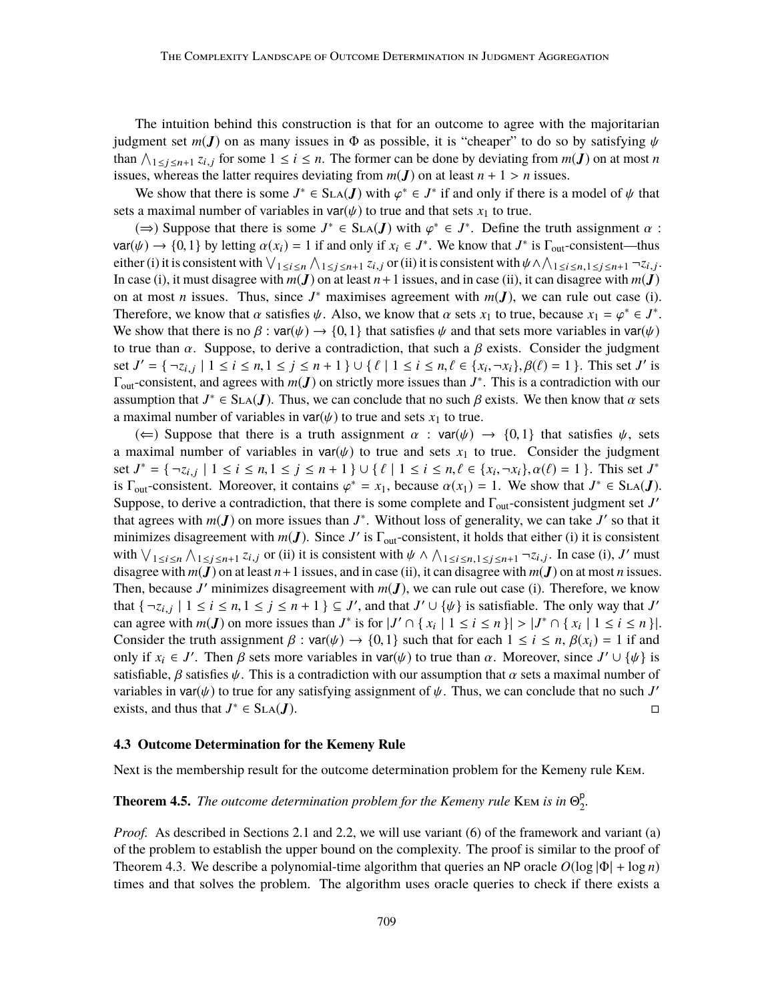The intuition behind this construction is that for an outcome to agree with the majoritarian judgment set  $m(J)$  on as many issues in  $\Phi$  as possible, it is "cheaper" to do so by satisfying  $\psi$ than  $\bigwedge_{1 \leq j \leq n+1} z_{i,j}$  for some  $1 \leq i \leq n$ . The former can be done by deviating from  $m(J)$  on at most *n* issues, whereas the latter requires deviating from  $m(J)$  on at least  $n + 1 > n$  issues.

We show that there is some  $J^* \in SL(A)$  with  $\varphi^* \in J^*$  if and only if there is a model of  $\psi$  that a maximal number of variables in var( $\psi$ ) to true and that sets  $x_t$  to true. sets a maximal number of variables in  $\text{var}(\psi)$  to true and that sets  $x_1$  to true.

(⇒) Suppose that there is some  $J^* \in SL(A(J))$  with  $\varphi^* \in J^*$ . Define the truth assignment  $\alpha$ :<br>  $\varphi$  and  $\varphi$  and  $\varphi$  and  $\varphi$  and  $\varphi$  and  $\varphi$  and  $\varphi$  and  $\varphi$  and  $\varphi$  and  $\varphi$  and  $\varphi$  and  $\varphi$  and  $\var$ var( $\psi$ )  $\rightarrow$  {0, 1} by letting  $\alpha(x_i) = 1$  if and only if  $x_i \in J^*$ . We know that  $J^*$  is  $\Gamma_{\text{out}}$ -consistent—thus either (i) it is consistent with  $\psi \wedge \Lambda$ either (i) it is consistent with  $\bigvee_{1 \leq i \leq n} \bigwedge_{1 \leq j \leq n+1} z_{i,j}$  or (ii) it is consistent with  $\psi \wedge \bigwedge_{1 \leq i \leq n, 1 \leq j \leq n+1} \neg z_{i,j}$ .<br>In case (i) it must disagree with  $m(I)$  on at least  $n+1$  issues, and in c In case (i), it must disagree with  $m(J)$  on at least  $n+1$  issues, and in case (ii), it can disagree with  $m(J)$ on at most *n* issues. Thus, since  $J^*$  maximises agreement with  $m(J)$ , we can rule out case (i). Therefore, we know that  $\alpha$  satisfies  $\psi$ . Also, we know that  $\alpha$  sets  $x_1$  to true, because  $x_1 = \varphi^* \in J^*$ .<br>We show that there is no  $\beta : \text{var}(\psi) \to \{0, 1\}$  that satisfies  $\psi$  and that sets more variables in var(We show that there is no  $\beta$ : var( $\psi$ )  $\rightarrow$  {0, 1} that satisfies  $\psi$  and that sets more variables in var( $\psi$ ) to true than  $\alpha$ . Suppose, to derive a contradiction, that such a  $\beta$  exists. Consider the judgment set  $J' = \{\neg z_{i,j} \mid 1 \le i \le n, 1 \le j \le n+1\} \cup \{\ell \mid 1 \le i \le n, \ell \in \{x_i, \neg x_i\}, \beta(\ell) = 1\}$ . This set *J'* is<br>Fuggeres that and agrees with  $m(I)$  on strictly more issues than  $I^*$ . This is a contradiction with our  $\Gamma_{\text{out}}$ -consistent, and agrees with  $m(J)$  on strictly more issues than  $J^*$ . This is a contradiction with our assumption that  $J^* \in SL(A(J))$ . Thus, we can conclude that no such  $\beta$  exists. We then know that  $\alpha$  sets a maximal number of variables in var( $\psi$ ) to true and sets  $x$ , to true a maximal number of variables in  $\text{var}(\psi)$  to true and sets  $x_1$  to true.

( $\Leftarrow$ ) Suppose that there is a truth assignment  $\alpha$ : var( $\psi$ )  $\rightarrow$  {0,1} that satisfies  $\psi$ , sets a maximal number of variables in  $\text{var}(\psi)$  to true and sets  $x_1$  to true. Consider the judgment set  $J^* = \{\neg z_{i,j} \mid 1 \le i \le n, 1 \le j \le n+1\} \cup \{\ell \mid 1 \le i \le n, \ell \in \{x_i, \neg x_i\}, \alpha(\ell) = 1\}$ . This set  $J^*$ <br>is  $\Gamma$  consistent. Moreover, it contains  $\alpha^* = r_k$ , because  $\alpha(x_k) = 1$ . We show that  $I^* \in S_{I,k}(I)$ is  $\Gamma_{\text{out}}$ -consistent. Moreover, it contains  $\varphi^* = x_1$ , because  $\alpha(x_1) = 1$ . We show that  $J^* \in SL(A(J))$ .<br>Suppose to derive a contradiction, that there is some complete and  $\Gamma_{\alpha}$  consistent judgment set *I'*. Suppose, to derive a contradiction, that there is some complete and  $\Gamma_{\text{out}}$ -consistent judgment set  $J'$ that agrees with  $m(\mathbf{J})$  on more issues than  $J^*$ . Without loss of generality, we can take  $J'$  so that it minimizes disagreement with  $m(J)$ . Since *J'* is  $\Gamma_{\text{out}}$ -consistent, it holds that either (i) it is consistent with  $\bigvee_{1 \le i \le n} \bigwedge_{1 \le j \le n+1} z_{i,j}$  or (ii) it is consistent with  $\psi \wedge \bigwedge_{1 \le i \le n, 1 \le j \le n+1} \neg z_{i,j}$ . In case (i), *J'* must<br>discorpe with m(*I*) on at least  $n+1$  issues, and in case (ii) it can discorpe with m( disagree with  $m(J)$  on at least  $n+1$  issues, and in case (ii), it can disagree with  $m(J)$  on at most *n* issues. Then, because  $J'$  minimizes disagreement with  $m(J)$ , we can rule out case (i). Therefore, we know that  $\{\neg z_{i,j} \mid 1 \le i \le n, 1 \le j \le n+1\} \subseteq J'$ , and that  $J' \cup \{\psi\}$  is satisfiable. The only way that  $J'$ <br>can agree with  $m(J)$  on more issues than  $J^*$  is for  $|J' \cap J_x|, |J \le i \le n \} \setminus [J^* \cap J_x, |J \le i \le n \}]$ can agree with  $m(\mathbf{J})$  on more issues than  $J^*$  is for  $|J' \cap \{x_i | 1 \le i \le n\}| > |J^* \cap \{x_i | 1 \le i \le n\}|$ .<br>Consider the truth assignment  $\mathcal{B} : \text{YZ}(k) \to \{0, 1\}$  such that for each  $1 \le i \le n$ ,  $\mathcal{B}(x) = 1$  if and Consider the truth assignment  $\beta$ : var( $\psi$ )  $\rightarrow$  {0,1} such that for each  $1 \le i \le n$ ,  $\beta(x_i) = 1$  if and only if  $x_i \in J'$ . Then  $\beta$  sets more variables in  $\text{var}(\psi)$  to true than  $\alpha$ . Moreover, since  $J' \cup {\psi}$  is satisfiable.  $\beta$  satisfies  $\psi$ . This is a contradiction with our assumption that  $\alpha$  sets a maximal number o satisfiable,  $\beta$  satisfies  $\psi$ . This is a contradiction with our assumption that  $\alpha$  sets a maximal number of variables in var( $\psi$ ) to true for any satisfying assignment of  $\psi$ . Thus, we can conclude that no such *J'*<br>exists and thus that  $I^* \in S_{I,A}(I)$ exists, and thus that  $J^* \in SL(A(J))$ .

## **4.3 Outcome Determination for the Kemeny Rule**

Next is the membership result for the outcome determination problem for the Kemeny rule Kem.

### **Theorem 4.5.** *The outcome determination problem for the Kemeny rule* Kem *is in* Θ p 2 *.*

*Proof.* As described in Sections 2.1 and 2.2, we will use variant (6) of the framework and variant (a) of the problem to establish the upper bound on the complexity. The proof is similar to the proof of Theorem 4.3. We describe a polynomial-time algorithm that queries an NP oracle  $O(\log |\Phi| + \log n)$ times and that solves the problem. The algorithm uses oracle queries to check if there exists a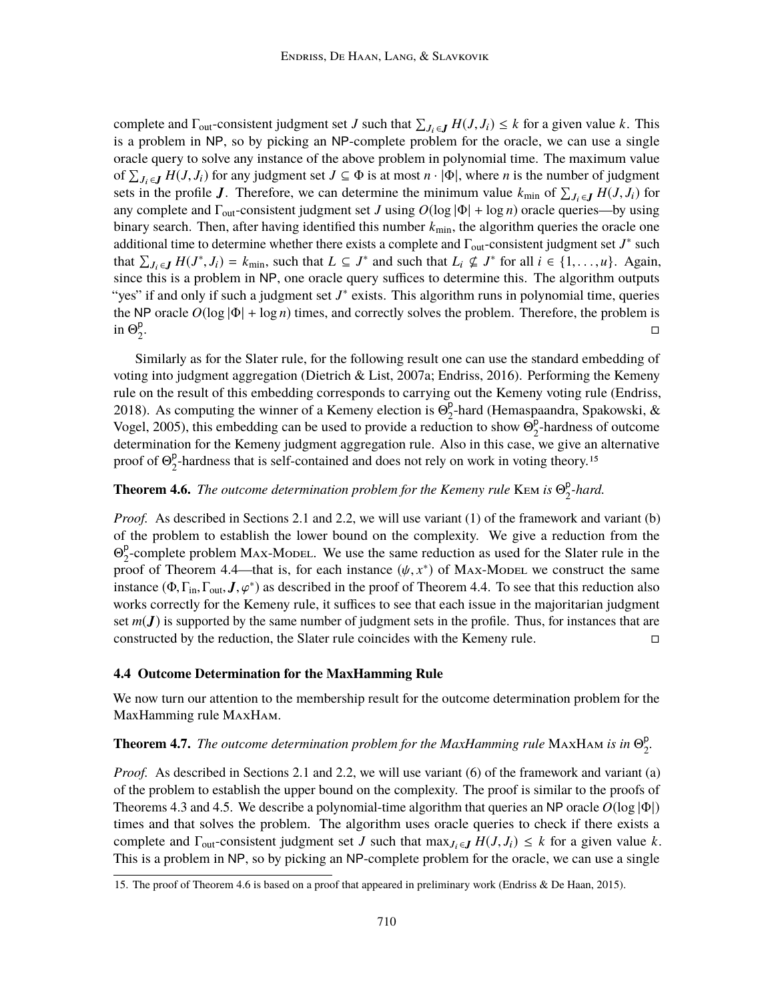complete and  $\Gamma_{\text{out}}$ -consistent judgment set *J* such that  $\sum_{J_i \in \mathbf{J}} H(J, J_i) \leq k$  for a given value *k*. This is a problem in NP, so by picking an NP-complete problem for the oracle, we can use a single oracle query to solve any instance of the above problem in polynomial time. The maximum value of  $\sum_{J_i \in J} H(J, J_i)$  for any judgment set  $J \subseteq \Phi$  is at most  $n \cdot |\Phi|$ , where *n* is the number of judgment sets in the profile *I*. Therefore, we can determine the minimum value  $k \in \Phi$   $\sum_{J} H(J, J_i)$  for sets in the profile *J*. Therefore, we can determine the minimum value  $k_{\text{min}}$  of  $\sum_{J_i \in J} H(J, J_i)$  for any complete and  $\Gamma$  aconsistent judgment set *I* using  $O(\log |\Phi| + \log n)$  oracle queries—by using any complete and Γout-consistent judgment set *J* using *O*(log |Φ| + log *n*) oracle queries—by using binary search. Then, after having identified this number *k*min, the algorithm queries the oracle one additional time to determine whether there exists a complete and  $\Gamma_{\text{out}}$ -consistent judgment set  $J^*$  such that  $\sum_{J_i \in J} H(J^*, J_i) = k_{\text{min}}$ , such that  $L \subseteq J^*$  and such that  $L_i \nsubseteq J^*$  for all  $i \in \{1, ..., u\}$ . Again, since this is a problem in NP, one oracle query suffices to determine this. The algorithm outputs since this is a problem in NP, one oracle query suffices to determine this. The algorithm outputs "yes" if and only if such a judgment set *J* ∗ exists. This algorithm runs in polynomial time, queries the NP oracle  $O(\log |\Phi| + \log n)$  times, and correctly solves the problem. Therefore, the problem is in  $\Theta_2^p$ 2 .<br>Listen de la constantin de la constantin de la constantin de la constantin de la constantin de la constantin d

Similarly as for the Slater rule, for the following result one can use the standard embedding of voting into judgment aggregation (Dietrich & List, 2007a; Endriss, 2016). Performing the Kemeny rule on the result of this embedding corresponds to carrying out the Kemeny voting rule (Endriss, 2018). As computing the winner of a Kemeny election is  $\Theta_2^p$ <sup>p</sup>-hard (Hemaspaandra, Spakowski, & Vogel, 2005), this embedding can be used to provide a reduction to show  $\Theta_2^p$  $2^{\circ}$ -hardness of outcome determination for the Kemeny judgment aggregation rule. Also in this case, we give an alternative proof of  $\Theta_2^{\mathsf{p}}$  $_{2}^{\text{p}}$ -hardness that is self-contained and does not rely on work in voting theory.<sup>15</sup>

### **Theorem 4.6.** *The outcome determination problem for the Kemeny rule* KEM *is*  $Θ^{\rho}_{2}$ 2 *-hard.*

*Proof.* As described in Sections 2.1 and 2.2, we will use variant (1) of the framework and variant (b) of the problem to establish the lower bound on the complexity. We give a reduction from the  $\Theta_{\gamma}^{\mathsf{p}}$  $2^{\circ}$ -complete problem MAx-Model. We use the same reduction as used for the Slater rule in the proof of Theorem 4.4—that is, for each instance  $(\psi, x^*)$  of Max-Model we construct the same<br>instance ( $\Phi \to \Gamma$ ,  $I(\phi^*)$ ) as described in the proof of Theorem 4.4. To see that this reduction also instance  $(\Phi, \Gamma_{\text{in}}, \Gamma_{\text{out}}, \mathbf{J}, \varphi^*)$  as described in the proof of Theorem 4.4. To see that this reduction also<br>works correctly for the Kemeny rule, it suffices to see that each issue in the majoritarian judgment works correctly for the Kemeny rule, it suffices to see that each issue in the majoritarian judgment set  $m(J)$  is supported by the same number of judgment sets in the profile. Thus, for instances that are constructed by the reduction, the Slater rule coincides with the Kemeny rule.

## **4.4 Outcome Determination for the MaxHamming Rule**

We now turn our attention to the membership result for the outcome determination problem for the MaxHamming rule MaxHam.

### **Theorem 4.7.** *The outcome determination problem for the MaxHamming rule* MaxHam *is in* Θ p 2 *.*

*Proof.* As described in Sections 2.1 and 2.2, we will use variant (6) of the framework and variant (a) of the problem to establish the upper bound on the complexity. The proof is similar to the proofs of Theorems 4.3 and 4.5. We describe a polynomial-time algorithm that queries an NP oracle *O*(log |Φ|) times and that solves the problem. The algorithm uses oracle queries to check if there exists a complete and  $\Gamma_{\text{out}}$ -consistent judgment set *J* such that max $J_i \in H(J, J_i) \leq k$  for a given value k. This is a problem in NP, so by picking an NP-complete problem for the oracle, we can use a single

<sup>15.</sup> The proof of Theorem 4.6 is based on a proof that appeared in preliminary work (Endriss & De Haan, 2015).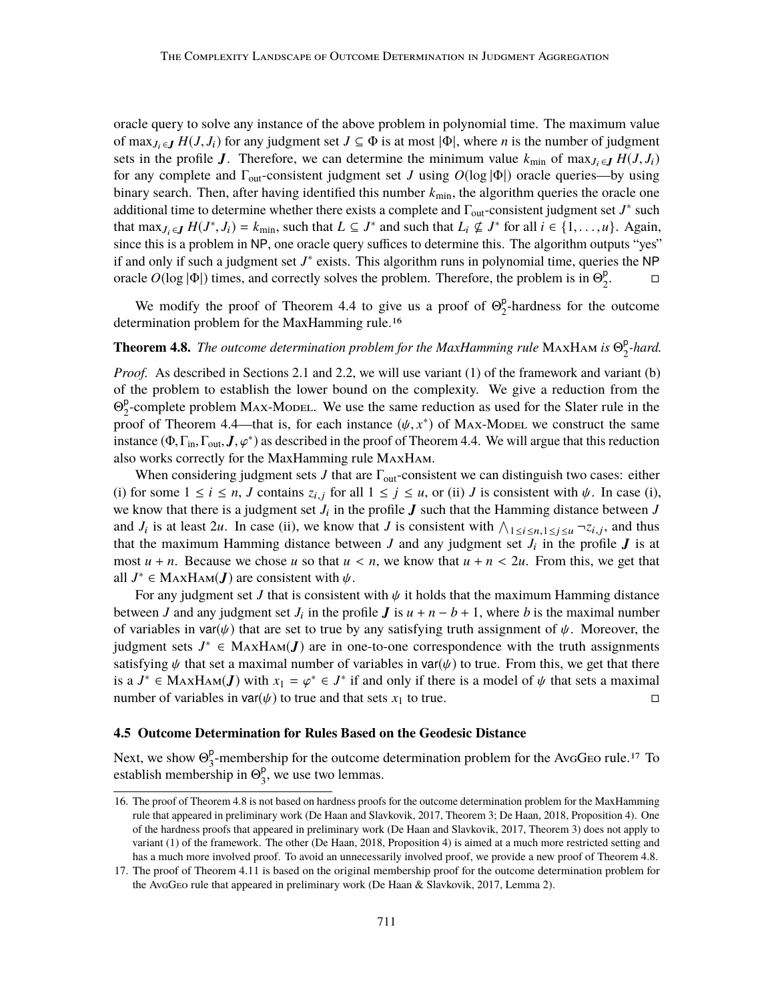oracle query to solve any instance of the above problem in polynomial time. The maximum value of max $J_i \in I$  *H*(*J*, *J<sub>i</sub>*) for any judgment set  $J \subseteq \Phi$  is at most  $|\Phi|$ , where *n* is the number of judgment sets in the profile *J*. Therefore, we can determine the minimum value  $k_{\text{min}}$  of max $J_i \in J$   $H(J, J_i)$ for any complete and Γout-consistent judgment set *J* using *O*(log |Φ|) oracle queries—by using binary search. Then, after having identified this number *k*min, the algorithm queries the oracle one additional time to determine whether there exists a complete and  $\Gamma_{\text{out}}$ -consistent judgment set  $J^*$  such that  $\max_{J_i \in J} H(J^*, J_i) = k_{\min}$ , such that  $L \subseteq J^*$  and such that  $L_i \nsubseteq J^*$  for all  $i \in \{1, ..., u\}$ . Again, since this is a problem in NP one oracle query suffices to determine this. The algorithm outputs "ves" since this is a problem in NP, one oracle query suffices to determine this. The algorithm outputs "yes" if and only if such a judgment set *J*<sup>∗</sup> exists. This algorithm runs in polynomial time, queries the NP oracle  $O(\log |\Phi|)$  times, and correctly solves the problem. Therefore, the problem is in  $\Theta_2^{\circ}$ 2  $\Box$ 

We modify the proof of Theorem 4.4 to give us a proof of  $\Theta_2^p$  $2^{\circ}$ -hardness for the outcome determination problem for the MaxHamming rule.16

### **Theorem 4.8.** *The outcome determination problem for the MaxHamming rule* MAxHAM *is*  $Θ^{\rho}_{2}$ 2 *-hard.*

*Proof.* As described in Sections 2.1 and 2.2, we will use variant (1) of the framework and variant (b) of the problem to establish the lower bound on the complexity. We give a reduction from the  $\Theta_2^{\mathsf{p}}$  $\frac{p}{2}$ -complete problem MAx-Model. We use the same reduction as used for the Slater rule in the proof of Theorem 4.4—that is, for each instance  $(\psi, x^*)$  of MAX-Model we construct the same<br>instance ( $\Phi$  E.,  $\Gamma$ ,  $I$ ,  $(\phi^*)$ ) as described in the proof of Theorem 4.4. We will argue that this reduction instance  $(\Phi, \Gamma_{\text{in}}, \Gamma_{\text{out}}, \mathbf{J}, \varphi^*)$  as described in the proof of Theorem 4.4. We will argue that this reduction also works correctly for the MaxHamming rule MaxHam also works correctly for the MaxHamming rule MaxHam.

When considering judgment sets *J* that are  $\Gamma_{\text{out}}$ -consistent we can distinguish two cases: either (i) for some  $1 \le i \le n$ , *J* contains  $z_{i,j}$  for all  $1 \le j \le u$ , or (ii) *J* is consistent with  $\psi$ . In case (i), we know that there is a judgment set  $J_i$  in the profile  $J$  such that the Hamming distance between  $J$ and *J<sub>i</sub>* is at least 2*u*. In case (ii), we know that *J* is consistent with  $\bigwedge_{1 \le i \le n, 1 \le j \le u} -z_{i,j}$ , and thus that the maximum Hamming distance between *J* and any judgment set *L* in the profile *L* is at that the maximum Hamming distance between  $J$  and any judgment set  $J_i$  in the profile  $J$  is at most  $u + n$ . Because we chose u so that  $u < n$ , we know that  $u + n < 2u$ . From this, we get that all  $J^* \in \text{MaxHam}(J)$  are consistent with  $\psi$ .<br>For any judgment set *I* that is consistent

For any judgment set *J* that is consistent with  $\psi$  it holds that the maximum Hamming distance between *J* and any judgment set  $J_i$  in the profile *J* is  $u + n - b + 1$ , where *b* is the maximal number of variables in var( $\psi$ ) that are set to true by any satisfying truth assignment of  $\psi$ . Moreover, the judgment sets  $J^* \in \text{MaxHam}(J)$  are in one-to-one correspondence with the truth assignments satisfying  $\psi$  that set a maximal number of variables in var( $\psi$ ) to true. From this, we get that there is a *J*<sup>\*</sup>  $\in$  MaxHam(*J*) with  $x_1 = \varphi^* \in J^*$  if and only if there is a model of  $\psi$  that sets a maximal number of variables in var(*ik*) to true and that sets  $x_1$  to true number of variables in var $(\psi)$  to true and that sets  $x_1$  to true.

## **4.5 Outcome Determination for Rules Based on the Geodesic Distance**

Next, we show  $\Theta_3^p$  $\frac{p}{3}$ -membership for the outcome determination problem for the AvgGeo rule.<sup>17</sup> To establish membership in  $\Theta_3^p$  $\frac{p}{3}$ , we use two lemmas.

<sup>16.</sup> The proof of Theorem 4.8 is not based on hardness proofs for the outcome determination problem for the MaxHamming rule that appeared in preliminary work (De Haan and Slavkovik, 2017, Theorem 3; De Haan, 2018, Proposition 4). One of the hardness proofs that appeared in preliminary work (De Haan and Slavkovik, 2017, Theorem 3) does not apply to variant (1) of the framework. The other (De Haan, 2018, Proposition 4) is aimed at a much more restricted setting and has a much more involved proof. To avoid an unnecessarily involved proof, we provide a new proof of Theorem 4.8.

<sup>17.</sup> The proof of Theorem 4.11 is based on the original membership proof for the outcome determination problem for the AvgGeo rule that appeared in preliminary work (De Haan & Slavkovik, 2017, Lemma 2).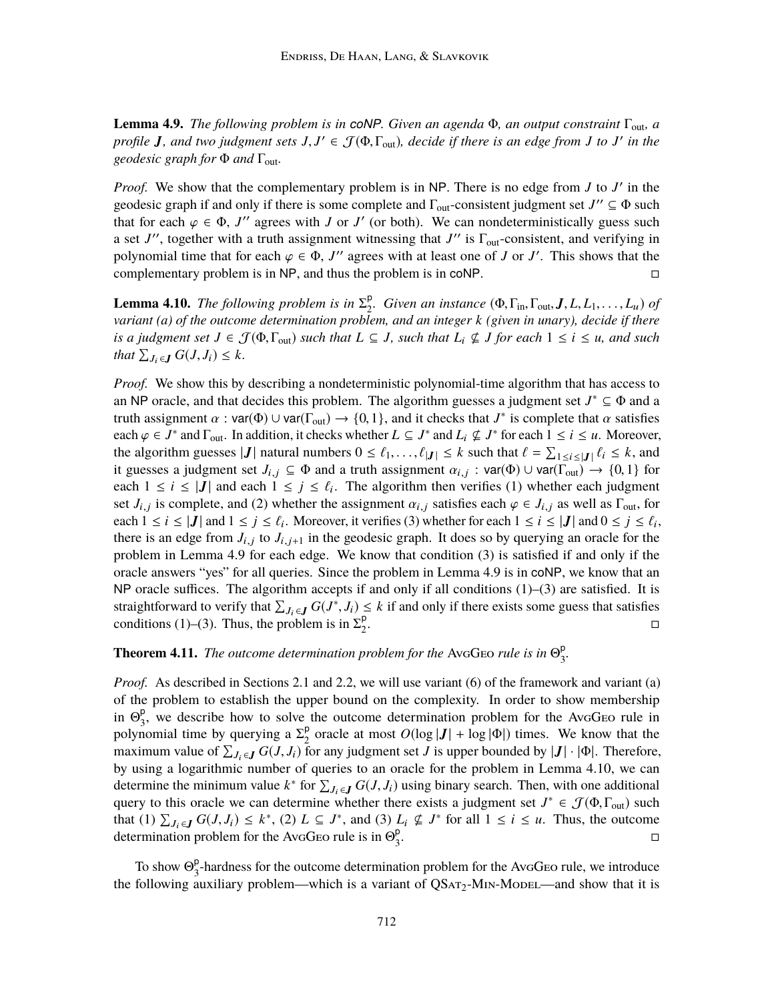**Lemma 4.9.** *The following problem is in coNP. Given an agenda* Φ*, an output constraint* Γout*, a profile J, and two judgment sets*  $J, J' \in \mathcal{J}(\Phi, \Gamma_{out})$ , decide if there is an edge from *J* to *J'* in the *geodesic graph for* Φ *and* Γout*.*

*Proof.* We show that the complementary problem is in NP. There is no edge from *J* to *J'* in the geodesic graph if and only if there is some complete and  $\Gamma_{\text{out}}$ -consistent judgment set  $J'' \subseteq \Phi$  such that for each  $\varphi \in \Phi$ , *J*" agrees with *J* or *J'* (or both). We can nondeterministically guess such<br>a set *I*" together with a truth assignment witnessing that *I*" is  $\Gamma$  consistent, and verifying in a set  $J''$ , together with a truth assignment witnessing that  $J''$  is  $\Gamma_{\text{out}}$ -consistent, and verifying in polynomial time that for each  $\varphi \in \Phi$ , *J*" agrees with at least one of *J* or *J*'. This shows that the complementary problem is in NP and thus the problem is in CONP complementary problem is in NP, and thus the problem is in coNP.

**Lemma 4.10.** *The following problem is in*  $\Sigma_2^p$ <sup>2</sup>. Given an instance  $(\Phi, \Gamma_{\text{in}}, \Gamma_{\text{out}}, J, L, L_1, \ldots, L_u)$  of<br>lem, and an integer k (given in unary), decide if there *variant (a) of the outcome determination problem, and an integer k (given in unary), decide if there is a judgment set*  $J \in \mathcal{J}(\Phi, \Gamma_{out})$  *such that*  $L \subseteq J$ *, such that*  $L_i \nsubseteq J$  *for each*  $1 \leq i \leq u$ *, and such that*  $\sum_{J_i \in \mathbf{J}} G(J, J_i) \leq k$ *.* 

*Proof.* We show this by describing a nondeterministic polynomial-time algorithm that has access to an NP oracle, and that decides this problem. The algorithm guesses a judgment set  $J^* \subseteq \Phi$  and a truth assignment *α* : var(Φ) ∪ var(Γ<sub>out</sub>) → {0, 1}, and it checks that *J*<sup>\*</sup> is complete that *α* satisfies are  $\alpha \in I^*$  and Γ is independent  $I \subset I^*$  and  $I \subset I^*$  for anch  $1 \le i \le \mu$ . Moreover each  $\varphi \in J^*$  and  $\Gamma_{\text{out}}$ . In addition, it checks whether  $L \subseteq J^*$  and  $L_i \nsubseteq J^*$  for each  $1 \le i \le u$ . Moreover, the algorithm guesses *II* patural numbers  $0 \le k$ ,  $v \le k$  such that  $\ell = \sum_{i=1}^{\infty} a_i \le k$  and the algorithm guesses  $|J|$  natural numbers  $0 \le \ell_1, \ldots, \ell_{|J|} \le k$  such that  $\ell = \sum_{1 \le i \le |J|} \ell_i \le k$ , and it guesses a judgment set  $I_k$ ,  $\subset \Omega$  and a truth assignment  $\alpha_k$ ,  $\forall x(\Omega) \cup \forall x(\Gamma) \rightarrow \{0, 1\}$  for it guesses a judgment set *J<sub>i,j</sub>* ⊆ Φ and a truth assignment  $\alpha_{i,j}$ : var( $\Phi$ ) ∪ var( $\Gamma_{\text{out}}$ ) → {0, 1} for each  $1 \le i \le |J|$  and each  $1 \le j \le \ell_i$ . The algorithm then verifies (1) whether each judgment<br>set  $I_{i,j}$  is complete, and (2) whether the assignment  $\alpha_{i,j}$  satisfies each  $\alpha \in I_{i,j}$  as well as  $\Gamma_{i,j}$  for set *J<sub>i,j</sub>* is complete, and (2) whether the assignment  $\alpha_{i,j}$  satisfies each  $\varphi \in J_{i,j}$  as well as  $\Gamma_{\text{out}}$ , for each  $1 \le i \le |J|$  and  $1 \le j \le \ell_i$ . Moreover, it verifies (3) whether for each  $1 \le i \le |J|$  and  $0 \le j \le \ell_i$ , there is an edge from  $I_1$ , to  $I_2$ , in the geodesic graph. It does so by querying an oracle for the there is an edge from  $J_{i,j}$  to  $J_{i,j+1}$  in the geodesic graph. It does so by querying an oracle for the graph and  $J_{i,j+1}$  in the geodesic graph. It does so by querying an oracle for the problem in Lemma 4.9 for each edge. We know that condition (3) is satisfied if and only if the oracle answers "yes" for all queries. Since the problem in Lemma 4.9 is in coNP, we know that an NP oracle suffices. The algorithm accepts if and only if all conditions  $(1)$ – $(3)$  are satisfied. It is straightforward to verify that  $\sum_{J_i \in \mathbf{J}} G(J^*, J_i) \leq k$  if and only if there exists some guess that satisfies conditions (1)–(3). Thus, the problem is in  $\Sigma^p$ conditions (1)–(3). Thus, the problem is in  $\Sigma_2^p$ 2 .

### **Theorem 4.11.** *The outcome determination problem for the AvGGeo rule is in*  $Θ^{\rho}_{3}$ 3 *.*

*Proof.* As described in Sections 2.1 and 2.2, we will use variant (6) of the framework and variant (a) of the problem to establish the upper bound on the complexity. In order to show membership in  $\Theta_3^p$  $\frac{p}{3}$ , we describe how to solve the outcome determination problem for the AvgGeo rule in polynomial time by querying a  $\Sigma_2^p$  $\frac{p}{2}$  oracle at most  $O(\log |J| + \log |\Phi|)$  times. We know that the maximum value of  $\sum_{J_i \in \mathbf{J}} G(J, J_i)$  for any judgment set *J* is upper bounded by  $|\mathbf{J}| \cdot |\Phi|$ . Therefore, by using a logarithmic number of queries to an oracle for the problem in Lemma 4.10, we can by using a logarithmic number of queries to an oracle for the problem in Lemma 4.10, we can determine the minimum value  $k^*$  for  $\sum_{J_i \in \mathbf{J}} G(J, J_i)$  using binary search. Then, with one additional query to this oracle we can determine whether there exists a judgment set  $I^* \in \mathcal{T}(\Phi, \Gamma)$  such query to this oracle we can determine whether there exists a judgment set  $J^* \in \mathcal{J}(\Phi, \Gamma_{out})$  such that  $(1) \sum_{i} G(I, L) \leq J^*$  (2)  $I \subseteq I^*$  and  $(3) I \notin I^*$  for all  $1 \leq i \leq u$ . Thus, the outcome that (1)  $\sum_{J_i \in \mathbf{J}} G(J, J_i) \leq k^*$ , (2)  $L \subseteq J^*$ , and (3)  $L_i \nsubseteq J^*$  for all  $1 \leq i \leq u$ . Thus, the outcome determination problem for the AvcGEO rule is in  $\Theta^p$ determination problem for the AvgGeo rule is in  $\Theta_3^p$ 3 .

To show  $\Theta_3^p$  $\frac{p}{3}$ -hardness for the outcome determination problem for the AvGGEO rule, we introduce the following auxiliary problem—which is a variant of  $QSAT_2$ -MIN-Model—and show that it is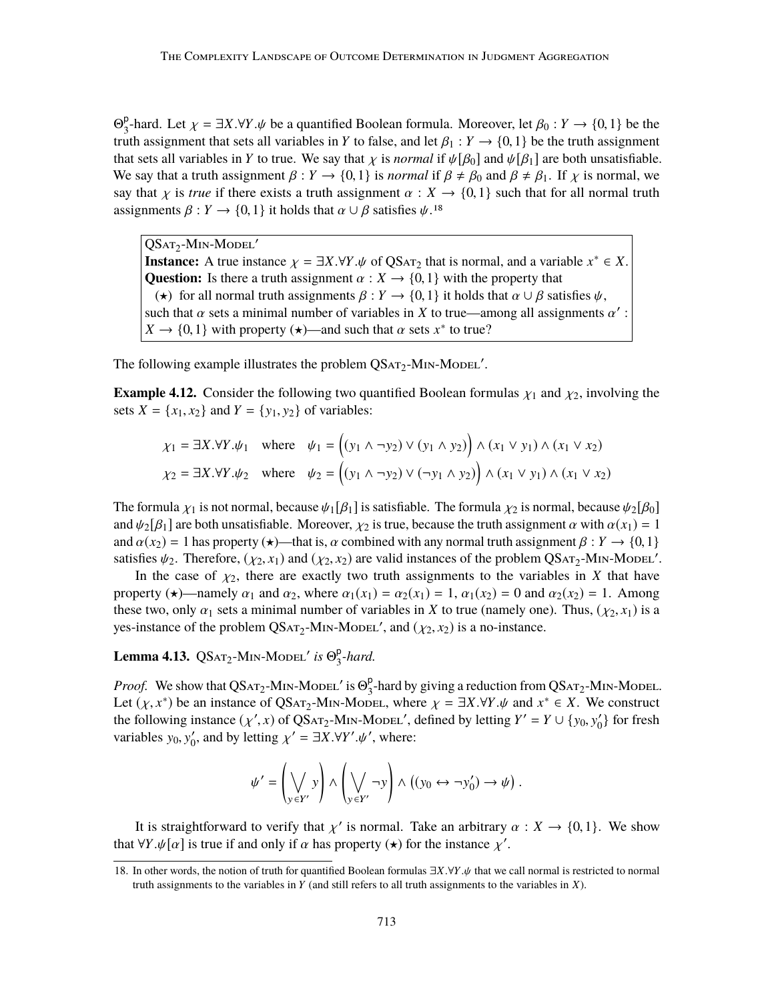$\Theta_{\mathfrak{p}}^{\mathsf{p}}$ <sup>9</sup><sub>2</sub>-hard. Let  $\chi = \exists X.\forall Y.\psi$  be a quantified Boolean formula. Moreover, let  $\beta_0: Y \to \{0, 1\}$  be the upper particle in  $Y$  to false and let  $\beta_1: Y \to \{0, 1\}$  be the truth assignment truth assignment that sets all variables in *Y* to false, and let  $\beta_1 : Y \to \{0, 1\}$  be the truth assignment that sets all variables in *Y* to true. We say that  $\chi$  is *normal* if  $\psi[\beta_0]$  and  $\psi[\beta_1]$  are both unsatisfiable. We say that a truth assignment  $\beta : Y \to \{0, 1\}$  is *normal* if  $\beta \neq \beta_0$  and  $\beta \neq \beta_1$ . If  $\chi$  is normal, we say that  $\chi$  is *true* if there exists a truth assignment  $\alpha : X \to \{0,1\}$  such that for all normal truth assignments  $\beta: Y \to \{0, 1\}$  it holds that  $\alpha \cup \beta$  satisfies  $\psi$ .<sup>18</sup>

 $\overline{\text{QSAT}}_2\text{-Min-MoDEL}$ **Instance:** A true instance  $\chi = \exists X.\forall Y.\psi$  of QSA<sub>T2</sub> that is normal, and a variable  $x^* \in X$ .<br>Oughtion: Is there a truth assignment  $\alpha : Y \to \{0, 1\}$  with the property that **Question:** Is there a truth assignment  $\alpha : X \to \{0, 1\}$  with the property that ( $\star$ ) for all normal truth assignments  $\beta : Y \to \{0, 1\}$  it holds that  $\alpha \cup \beta$  satisfies  $\psi$ , such that  $\alpha$  sets a minimal number of variables in *X* to true—among all assignments  $\alpha'$ :<br>  $X \rightarrow 0.13$  with property  $(\star)$ —and such that  $\alpha$  sets  $x^*$  to true?  $X \to \{0, 1\}$  with property ( $\star$ )—and such that  $\alpha$  sets  $x^*$  to true?

The following example illustrates the problem  $QSAT_2$ -MIN-MODEL'.

**Example 4.12.** Consider the following two quantified Boolean formulas  $\chi_1$  and  $\chi_2$ , involving the sets *X* = { $x_1, x_2$ } and *Y* = { $y_1, y_2$ } of variables:

$$
\chi_1 = \exists X. \forall Y. \psi_1 \quad \text{where} \quad \psi_1 = \left( (y_1 \land \neg y_2) \lor (y_1 \land y_2) \right) \land (x_1 \lor y_1) \land (x_1 \lor x_2)
$$
\n
$$
\chi_2 = \exists X. \forall Y. \psi_2 \quad \text{where} \quad \psi_2 = \left( (y_1 \land \neg y_2) \lor (\neg y_1 \land y_2) \right) \land (x_1 \lor y_1) \land (x_1 \lor x_2)
$$

The formula  $\chi_1$  is not normal, because  $\psi_1[\beta_1]$  is satisfiable. The formula  $\chi_2$  is normal, because  $\psi_2[\beta_0]$ and  $\psi_2[\beta_1]$  are both unsatisfiable. Moreover,  $\chi_2$  is true, because the truth assignment  $\alpha$  with  $\alpha(x_1) = 1$ and  $\alpha(x_2) = 1$  has property ( $\star$ )—that is,  $\alpha$  combined with any normal truth assignment  $\beta : Y \to \{0, 1\}$ satisfies  $\psi_2$ . Therefore,  $(\chi_2, x_1)$  and  $(\chi_2, x_2)$  are valid instances of the problem QSAT<sub>2</sub>-MIN-Model.<sup>'</sup>.<br>In the case of  $\chi_2$  there are exactly two truth assignments to the variables in Y that have

In the case of  $\chi_2$ , there are exactly two truth assignments to the variables in *X* that have property ( $\star$ )—namely  $\alpha_1$  and  $\alpha_2$ , where  $\alpha_1(x_1) = \alpha_2(x_1) = 1$ ,  $\alpha_1(x_2) = 0$  and  $\alpha_2(x_2) = 1$ . Among these two, only  $\alpha_1$  sets a minimal number of variables in *X* to true (namely one). Thus,  $(\chi_2, x_1)$  is a yes-instance of the problem  $QSAT_2$ -Min-Model', and  $(\chi_2, x_2)$  is a no-instance.

**Lemma 4.13.** QSAT<sub>2</sub>-MIN-MODEL' is  $\Theta_3^p$ 3 *-hard.*

*Proof.* We show that  $QSAT_2$ -Min-Model' is  $\Theta_3^p$  $\frac{p}{3}$ -hard by giving a reduction from QSAT<sub>2</sub>-M<sub>IN</sub>-Model. Let  $(\chi, x^*)$  be an instance of QSAT<sub>2</sub>-MIN-Model, where  $\chi = \exists X.\forall Y.\psi$  and  $x^* \in X$ . We construct the following instance  $(x', x)$  of OSAT<sub>4</sub>-MIN-Model', defined by letting  $Y' = Y \cup \{y_0, y'\}$  for fresh the following instance  $(\chi', x)$  of QSAT<sub>2</sub>-MIN-Model, defined by letting  $Y' = Y \cup \{y_0, y'_0\}$ <br>variables  $y_0, y'_1$  and by letting  $\chi' = \exists Y, \forall Y', \mu'$ , where:  $_{0}^{\prime}\}$  for fresh variables  $y_0, y'_0$  $\gamma_0'$ , and by letting  $\chi' = \exists X. \forall Y'. \psi'$ , where:

$$
\psi' = \left(\bigvee_{y \in Y'} y\right) \wedge \left(\bigvee_{y \in Y'} \neg y\right) \wedge \left((y_0 \leftrightarrow \neg y'_0) \to \psi\right).
$$

It is straightforward to verify that  $\chi'$  is normal. Take an arbitrary  $\alpha : X \to \{0, 1\}$ . We show  $\forall Y, \psi[\alpha]$  is true if and only if  $\alpha$  has property  $(\star)$  for the instance  $\chi'$ that  $\forall Y.\psi[\alpha]$  is true if and only if  $\alpha$  has property  $(\star)$  for the instance  $\chi'$ .

<sup>18.</sup> In other words, the notion of truth for quantified Boolean formulas <sup>∃</sup>*X*.∀*Y*.ψ that we call normal is restricted to normal truth assignments to the variables in *Y* (and still refers to all truth assignments to the variables in *X*).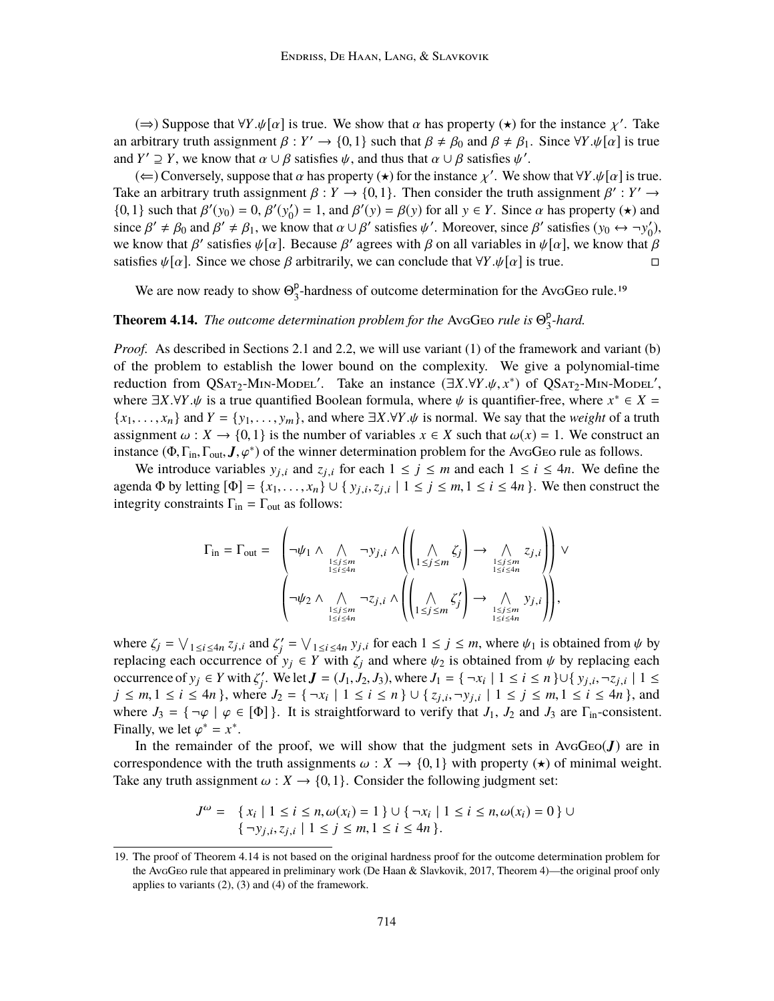(⇒) Suppose that  $\forall Y.\psi[\alpha]$  is true. We show that  $\alpha$  has property (★) for the instance  $\chi'$ . Take an arbitrary truth assignment  $\beta : Y' \to \{0, 1\}$  such that  $\beta \neq \beta_0$  and  $\beta \neq \beta_1$ . Since  $\forall Y \cdot \psi[\alpha]$  is true and *Y*'  $\supseteq$  *Y*, we know that  $\alpha \cup \beta$  satisfies  $\psi$ , and thus that  $\alpha \cup \beta$  satisfies  $\psi'$ .<br>(  $\left(\leftarrow\right)$  Conversely suppose that  $\alpha$  has property (+) for the instance  $\psi'$ . We sh

(∈) Conversely, suppose that  $\alpha$  has property (★) for the instance  $\chi'$ . We show that  $\forall Y.\psi[\alpha]$  is true. Take an arbitrary truth assignment  $\beta : Y \to \{0, 1\}$ . Then consider the truth assignment  $\beta' : Y' \to$ <br>(0.1) such that  $\beta'(y_0) = 0$ ,  $\beta'(y') = 1$  and  $\beta'(y) = \beta(y)$  for all  $y \in Y$ . Since  $\alpha$  has property (+) and {0, 1} such that  $\beta'(y_0) = 0$ ,  $\beta'(y'_0)$ <br>since  $\beta' + \beta_0$  and  $\beta' + \beta_1$ , we kn  $\beta_0$ ) = 1, and  $\beta'(y) = \beta(y)$  for all  $y \in Y$ . Since  $\alpha$  has property ( $\star$ ) and now that  $\alpha \perp R'$  satisfies  $\mu'$ . Moreover, since  $R'$  satisfies  $(y_0 \leftrightarrow -y')$ . since  $\beta' \neq \beta_0$  and  $\beta' \neq \beta_1$ , we know that  $\alpha \cup \beta'$  satisfies  $\psi'$ . Moreover, since  $\beta'$  satisfies  $(y_0 \leftrightarrow \neg y'_0)$ <br>we know that  $\beta'$  satisfies  $\psi[\alpha]$ . Because  $\beta'$  agrees with  $\beta$  on all variables in  $\psi[\alpha]$ ,  $'_{0}$ ), we know that  $\beta'$  satisfies  $\psi[\alpha]$ . Because  $\beta'$  agrees with  $\beta$  on all variables in  $\psi[\alpha]$ , we know that  $\beta$ satisfies  $\psi[\alpha]$ . Since we chose  $\beta$  arbitrarily, we can conclude that  $\forall Y.\psi[\alpha]$  is true.

We are now ready to show  $\Theta_3^p$  $\frac{p}{3}$ -hardness of outcome determination for the AvgGeo rule.<sup>19</sup>

### **Theorem 4.14.** *The outcome determination problem for the AvgGeo rule is*  $Θ^{\rho}_{3}$ 3 *-hard.*

*Proof.* As described in Sections 2.1 and 2.2, we will use variant (1) of the framework and variant (b) of the problem to establish the lower bound on the complexity. We give a polynomial-time reduction from QSat<sub>2</sub>-MIN-Model'. Take an instance  $(\exists X. \forall Y. \psi, x^*)$  of QSat<sub>2</sub>-MIN-Model',<br>where  $\exists Y. \forall Y. \psi$  is a true quantified Boolean formula, where  $\psi$  is quantifier-free, where  $x^* \in Y$ where  $\exists X.\forall Y.\psi$  is a true quantified Boolean formula, where  $\psi$  is quantifier-free, where  $x^* \in X =$  ${x_1, \ldots, x_n}$  and  $Y = {y_1, \ldots, y_m}$ , and where  $\exists X.\forall Y.\psi$  is normal. We say that the *weight* of a truth assignment  $\omega : X \to \{0, 1\}$  is the number of variables  $x \in X$  such that  $\omega(x) = 1$ . We construct an instance  $(\Phi, \Gamma_{\text{in}}, \Gamma_{\text{out}}, J, \varphi^*)$  of the winner determination problem for the AvgGeo rule as follows.<br>We introduce variables  $y_{\text{out}}$  and  $z_{\text{out}}$  for each  $1 \le i \le m$  and each  $1 \le i \le 4n$ . We define

We introduce variables  $y_{j,i}$  and  $z_{j,i}$  for each  $1 \le j \le m$  and each  $1 \le i \le 4n$ . We define the agenda  $\Phi$  by letting  $[\Phi] = \{x_1, \ldots, x_n\} \cup \{y_{j,i}, z_{j,i} \mid 1 \le j \le m, 1 \le i \le 4n\}$ . We then construct the integrity constraints  $\Gamma_{\alpha} - \Gamma_{\alpha}$  as follows: integrity constraints  $\Gamma_{\text{in}} = \Gamma_{\text{out}}$  as follows:

$$
\Gamma_{\text{in}} = \Gamma_{\text{out}} = \left( \neg \psi_1 \land \bigwedge_{\substack{1 \le j \le m \\ 1 \le i \le 4n}} \neg y_{j,i} \land \left( \bigwedge_{\substack{1 \le j \le m \\ 1 \le j \le n}} \zeta_j \right) \to \bigwedge_{\substack{1 \le j \le m \\ 1 \le i \le 4n}} z_{j,i} \right) \lor \left( \bigwedge_{\substack{1 \le j \le m \\ 1 \le j \le m}} \zeta_j \right) \to \bigwedge_{\substack{1 \le j \le m \\ 1 \le j \le n}} y_{j,i} \right) \lor
$$

where  $\zeta_j = \bigvee_{1 \leq i \leq 4n} z_{j,i}$  and  $\zeta'_j$ <br>replacing each occurrence of  $j' = \bigvee_{1 \le i \le 4n} y_{j,i}$  for each  $1 \le j \le m$ , where  $\psi_1$  is obtained from  $\psi$  by  $y_i \in Y$  with  $\zeta$ , and where  $\psi_2$  is obtained from  $\psi$  by replacing each replacing each occurrence of  $y_j \in Y$  with  $\zeta_j$  and where  $\psi_2$  is obtained from  $\psi$  by replacing each occurrence of  $y_j \in Y$  with  $\zeta_j'$ <br>*i*  $\leq m, 1 \leq i \leq 4n$  where j. We let  $J = (J_1, J_2, J_3)$ , where  $J_1 = \{\neg x_i \mid 1 \le i \le n\} \cup \{y_{j,i}, \neg z_{j,i} \mid 1 \le j \le n\}$  $j \leq m, 1 \leq i \leq 4n$ , where  $J_2 = \{\neg x_i \mid 1 \leq i \leq n\} \cup \{\zeta_{j,i}, \neg y_{j,i} \mid 1 \leq j \leq m, 1 \leq i \leq 4n\}$ , and  $J_3$  and  $J_4$  are  $\Gamma_4$  consistent where  $J_3 = \{\neg \varphi \mid \varphi \in [\Phi]\}\$ . It is straightforward to verify that  $J_1$ ,  $J_2$  and  $J_3$  are  $\Gamma_{\text{in}}$ -consistent. Finally, we let  $\varphi^* = x^*$ .<br>In the remainder  $\varphi$ 

In the remainder of the proof, we will show that the judgment sets in AvgGeo( $J$ ) are in correspondence with the truth assignments  $\omega : X \to \{0,1\}$  with property  $(\star)$  of minimal weight. Take any truth assignment  $\omega : X \to \{0, 1\}$ . Consider the following judgment set:

$$
J^{\omega} = \{ x_i \mid 1 \le i \le n, \omega(x_i) = 1 \} \cup \{ \neg x_i \mid 1 \le i \le n, \omega(x_i) = 0 \} \cup \{ \neg y_{j,i}, z_{j,i} \mid 1 \le j \le m, 1 \le i \le 4n \}.
$$

<sup>19.</sup> The proof of Theorem 4.14 is not based on the original hardness proof for the outcome determination problem for the AvgGeo rule that appeared in preliminary work (De Haan & Slavkovik, 2017, Theorem 4)—the original proof only applies to variants (2), (3) and (4) of the framework.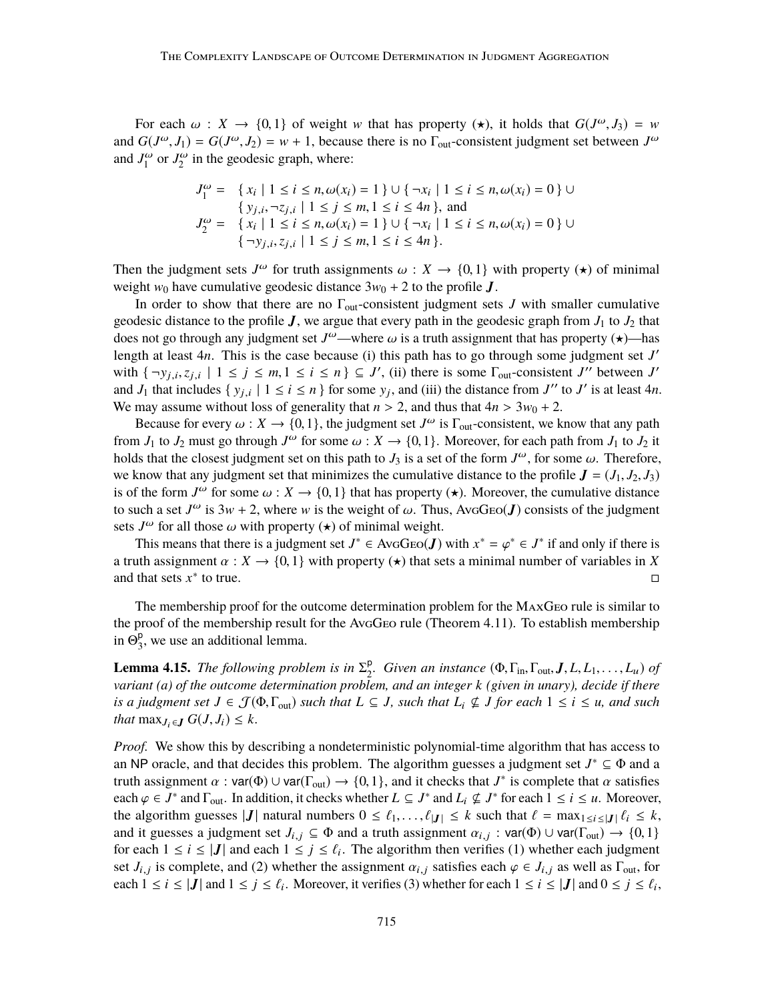For each  $\omega$  :  $X \to \{0,1\}$  of weight w that has property  $(\star)$ , it holds that  $G(J^{\omega}, J_3) = w$ <br> $G(J^{\omega}, L) = G(J^{\omega}, L) = w + 1$  because there is no  $\Gamma$ , consistent judgment set between  $J^{\omega}$ and  $G(J^{\omega}, J_1) = G(J^{\omega}, J_2) = w + 1$ , because there is no  $\Gamma_{\text{out}}$ -consistent judgment set between  $J^{\omega}$ <br>and  $J^{\omega}$  or  $J^{\omega}$  in the geodesic graph, where: and  $J_1^{\omega}$  or  $J_2^{\omega}$  in the geodesic graph, where:

$$
J_1^{\omega} = \{ x_i \mid 1 \le i \le n, \omega(x_i) = 1 \} \cup \{ \neg x_i \mid 1 \le i \le n, \omega(x_i) = 0 \} \cup \{ y_{j,i}, \neg z_{j,i} \mid 1 \le j \le m, 1 \le i \le 4n \}, \text{ and}
$$
  
\n
$$
J_2^{\omega} = \{ x_i \mid 1 \le i \le n, \omega(x_i) = 1 \} \cup \{ \neg x_i \mid 1 \le i \le n, \omega(x_i) = 0 \} \cup \{ \neg y_{j,i}, z_{j,i} \mid 1 \le j \le m, 1 \le i \le 4n \}.
$$

Then the judgment sets  $J^{\omega}$  for truth assignments  $\omega : X \to \{0, 1\}$  with property ( $\star$ ) of minimal weight we have cumulative geodesic distance  $3w_0 + 2$  to the profile  $J$ weight  $w_0$  have cumulative geodesic distance  $3w_0 + 2$  to the profile  $J$ .

In order to show that there are no Γout-consistent judgment sets *J* with smaller cumulative geodesic distance to the profile  $J$ , we argue that every path in the geodesic graph from  $J_1$  to  $J_2$  that does not go through any judgment set *J*<sup>ω</sup>—where  $\omega$  is a truth assignment that has property ( $\star$ )—has length at least *An*. This is the case because (i) this path has to go through some judgment set *I'* length at least 4*n*. This is the case because (i) this path has to go through some judgment set *J'* with  $\{\neg y_{j,i}, z_{j,i} \mid 1 \le j \le m, 1 \le i \le n\} \subseteq J'$ , (ii) there is some  $\Gamma_{\text{out}}$ -consistent *J''* between *J'*<br>and *L* that includes  $\{y_{i,j}\mid 1 \le i \le n\}$  for some  $y_{i,j}$  and (iii) the distance from *I''* to *I'* is at least and  $J_1$  that includes  $\{y_{j,i} \mid 1 \le i \le n\}$  for some  $y_j$ , and (iii) the distance from *J''* to *J'* is at least 4*n*. We may assume without loss of generality that  $n > 2$ , and thus that  $4n > 3w_0 + 2$ .

Because for every  $\omega : X \to \{0, 1\}$ , the judgment set  $J^{\omega}$  is  $\Gamma_{\text{out}}$ -consistent, we know that any path  $I^{\omega}$  for some  $\omega : X \to \{0, 1\}$ . Moreover, for each path from *L* to *L* it from *J*<sub>1</sub> to *J*<sub>2</sub> must go through *J*<sup>ω</sup> for some  $\omega$  : *X*  $\rightarrow$  {0,1}. Moreover, for each path from *J*<sub>1</sub> to *J*<sub>2</sub> it holds that the closest judgment set on this path to *L*<sub>2</sub> is a set of the form *J*<sup>ω</sup> for some holds that the closest judgment set on this path to *J*<sub>3</sub> is a set of the form  $J^{\omega}$ , for some  $\omega$ . Therefore, we know that any judgment set that minimizes the cumulative distance to the profile  $I - (L, L, L)$ we know that any judgment set that minimizes the cumulative distance to the profile  $J = (J_1, J_2, J_3)$ is of the form  $J^{\omega}$  for some  $\omega : X \to \{0,1\}$  that has property ( $\star$ ). Moreover, the cumulative distance to such a set  $I^{\omega}$  is  $3w + 2$  where w is the weight of  $\omega$ . Thus,  $\Delta y G_{\text{EO}}(I)$  consists of the judgment to such a set  $J^{\omega}$  is  $3w + 2$ , where w is the weight of  $\omega$ . Thus, AvgGeo(*J*) consists of the judgment sets  $J^{\omega}$  for all those  $\omega$  with property ( $\star$ ) of minimal weight.<br>This means that there is a judgment set  $I^* \in \Delta \vee G \in (I)$ .

This means that there is a judgment set  $J^* \in \text{AvgGeo}(J)$  with  $x^* = \varphi^* \in J^*$  if and only if there is <br>the assignment  $\alpha : Y \to (0, 1)$  with property  $(+)$  that sets a minimal number of variables in Y a truth assignment  $\alpha : X \to \{0, 1\}$  with property ( $\star$ ) that sets a minimal number of variables in *X* and that sets  $x^*$  to true. and that sets *x* ∗ to true.  $\Box$ 

The membership proof for the outcome determination problem for the MaxGeo rule is similar to the proof of the membership result for the AvgGeo rule (Theorem 4.11). To establish membership in  $\overline{\Theta}^{\text{p}}_3$  $\frac{p}{3}$ , we use an additional lemma.

**Lemma 4.15.** *The following problem is in*  $\Sigma_2^p$ <sup>2</sup>. Given an instance  $(\Phi, \Gamma_{\text{in}}, \Gamma_{\text{out}}, J, L, L_1, \ldots, L_u)$  of<br>lam, and an integer k (given in unary), decide if there *variant (a) of the outcome determination problem, and an integer k (given in unary), decide if there is a judgment set*  $J \in \mathcal{J}(\Phi, \Gamma_{out})$  *such that*  $L \subseteq J$ *, such that*  $L_i \nsubseteq J$  *for each*  $1 \leq i \leq u$ *, and such that*  $\max_{J_i \in \mathbf{J}} G(J, J_i) \leq k$ .

*Proof.* We show this by describing a nondeterministic polynomial-time algorithm that has access to an NP oracle, and that decides this problem. The algorithm guesses a judgment set  $J^* \subseteq \Phi$  and a truth assignment *α* : var(Φ) ∪ var(Γ<sub>out</sub>) → {0, 1}, and it checks that *J*<sup>\*</sup> is complete that *α* satisfies are  $\alpha \in I^*$  and Γ . In addition, it checks whether  $I \subseteq I^*$  and  $I \subseteq I^*$  for each  $1 \le i \le u$ . Moreover each  $\varphi \in J^*$  and  $\Gamma_{\text{out}}$ . In addition, it checks whether  $L \subseteq J^*$  and  $L_i \nsubseteq J^*$  for each  $1 \le i \le u$ . Moreover, the algorithm guesses *LU* patural numbers  $0 \le k$ ,  $v \le k$  such that  $\ell = \max_{i} v_i$   $\le k \le k$ the algorithm guesses |**J**| natural numbers  $0 \le \ell_1, \ldots, \ell_{|J|} \le k$  such that  $\ell = \max_{1 \le i \le |J|} \ell_i \le k$ , and it guesses a judgment set  $J_{i,j} \subseteq \Phi$  and a truth assignment  $\alpha_{i,j} : \text{var}(\Phi) \cup \text{var}(\Gamma_{\text{out}}) \to \{0, 1\}$ <br>for each  $1 \le i \le |I|$  and each  $1 \le i \le \ell$ . The algorithm then verifies (1) whether each judgment for each  $1 \le i \le |J|$  and each  $1 \le j \le \ell_i$ . The algorithm then verifies (1) whether each judgment<br>set  $L_i$ , is complete, and (2) whether the assignment  $\alpha_i$ , satisfies each  $\alpha \in L_i$ , as well as  $\Gamma_i$ , for set *J<sub>i,j</sub>* is complete, and (2) whether the assignment  $\alpha_{i,j}$  satisfies each  $\varphi \in J_{i,j}$  as well as  $\Gamma_{\text{out}}$ , for each  $1 \le i \le |J|$  and  $1 \le j \le \ell_i$ . Moreover, it verifies (3) whether for each  $1 \le i \le |J|$  and  $0 \le j \le \ell_i$ ,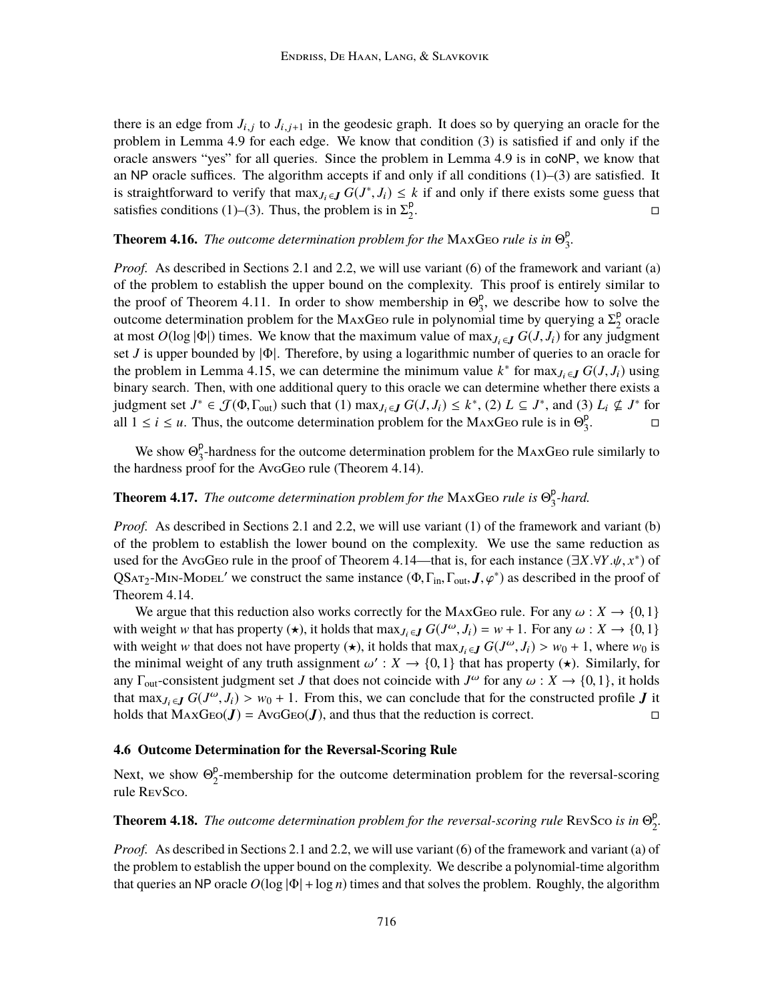there is an edge from  $J_{i,j}$  to  $J_{i,j+1}$  in the geodesic graph. It does so by querying an oracle for the graph and  $J_{i,j+1}$  in the geodesic graph. It does so by querying an oracle for the problem in Lemma 4.9 for each edge. We know that condition (3) is satisfied if and only if the oracle answers "yes" for all queries. Since the problem in Lemma 4.9 is in coNP, we know that an NP oracle suffices. The algorithm accepts if and only if all conditions  $(1)$ – $(3)$  are satisfied. It is straightforward to verify that  $\max_{J_i \in \mathbf{J}} G(J^*, J_i) \leq k$  if and only if there exists some guess that satisfies conditions  $(1)$ – $(3)$ . Thus the problem is in  $\Sigma^p$ satisfies conditions (1)–(3). Thus, the problem is in  $\Sigma_2^p$ 2 .

### **Theorem 4.16.** *The outcome determination problem for the* MAxGEO *rule is in*  $Θ^{\rho}_{3}$ 3 *.*

*Proof.* As described in Sections 2.1 and 2.2, we will use variant (6) of the framework and variant (a) of the problem to establish the upper bound on the complexity. This proof is entirely similar to the proof of Theorem 4.11. In order to show membership in  $\Theta_3^p$  $\frac{p}{3}$ , we describe how to solve the outcome determination problem for the MAxGE rule in polynomial time by querying a  $\Sigma_2^p$  $\frac{p}{2}$  oracle at most  $O(\log |\Phi|)$  times. We know that the maximum value of max $J_i \in \mathbf{J}$   $G(\mathbf{J}, \mathbf{J}_i)$  for any judgment set *J* is upper bounded by |Φ|. Therefore, by using a logarithmic number of queries to an oracle for the problem in Lemma 4.15, we can determine the minimum value  $k^*$  for  $\max_{J_i \in \mathbf{J}} G(J, J_i)$  using<br>binary search. Then with one additional query to this oracle we can determine whether there exists a binary search. Then, with one additional query to this oracle we can determine whether there exists a judgment set *J*<sup>\*</sup> ∈ *J*( $\Phi$ ,  $\Gamma_{\text{out}}$ ) such that (1) max<sub>*J<sub>i</sub>*∈*J G*(*J*, *J<sub>i</sub>*) ≤ *k*<sup>\*</sup>, (2) *L* ⊆ *J*<sup>\*</sup>, and (3) *L<sub>i</sub>* ⊈ *J*<sup>\*</sup> for  $\frac{1}{2}$  1 (4)  $\frac{1}{2}$   $\frac{1}{2}$   $\frac{1}{2}$   $\frac{1}{2}$   $\frac{1}{2}$   $\frac{1}{2}$ all  $1 \le i \le u$ . Thus, the outcome determination problem for the MAxGE rule is in  $\Theta_3^p$ 3 .

We show  $\Theta_3^{\mathsf{p}}$  $\frac{p}{3}$ -hardness for the outcome determination problem for the MAxGeo rule similarly to the hardness proof for the AvgGeo rule (Theorem 4.14).

### **Theorem 4.17.** *The outcome determination problem for the* MAxGeo *rule is*  $\Theta_{3}^{p}$ 3 *-hard.*

*Proof.* As described in Sections 2.1 and 2.2, we will use variant (1) of the framework and variant (b) of the problem to establish the lower bound on the complexity. We use the same reduction as used for the AvgGeo rule in the proof of Theorem 4.14—that is, for each instance  $(\exists X.\forall Y.\psi, x^*)$  of  $OS_{AT}$ .  $M_{IN}$ . Monet  $'$  we construct the same instance ( $\Phi$ ,  $\Gamma$ ,  $\Gamma$ ,  $\mathcal{L}^{(*)}$ ) as described in the proof of  $\operatorname{QSAT}_2$ -MIN-MODEL' we construct the same instance  $(\Phi, \Gamma_{\text{in}}, \Gamma_{\text{out}}, \mathbf{J}, \varphi^*)$  as described in the proof of Theorem 4.14 Theorem 4.14.

We argue that this reduction also works correctly for the MAxGeo rule. For any  $\omega : X \to \{0, 1\}$ with weight w that has property ( $\star$ ), it holds that  $\max J_i \in J$  *G*( $J^{\omega}, J_i$ ) = w + 1. For any  $\omega : X \to \{0, 1\}$ <br>with weight w that does not have property ( $\star$ ) it holds that  $\max J_i$ ,  $G(J^{\omega}, J_i) > w_0 + 1$ , where we is with weight w that does not have property ( $\star$ ), it holds that  $\max_{J_i \in J} G(J^{\omega}, J_i) > w_0 + 1$ , where  $w_0$  is the minimal weight of any truth assignment  $\omega' : X \to J_0$  1) that has property ( $\star$ ). Similarly, for the minimal weight of any truth assignment  $\omega' : X \to \{0, 1\}$  that has property ( $\star$ ). Similarly, for<br>any  $\Gamma$  -consistent judgment set *I* that does not coincide with  $I^{\omega}$  for any  $\omega : X \to I^0$  1) it holds any  $\Gamma_{\text{out}}$ -consistent judgment set *J* that does not coincide with  $J^{\omega}$  for any  $\omega : X \to \{0, 1\}$ , it holds that may  $\omega : G(J^{\omega} L) \to w_0 + 1$ . From this we can conclude that for the constructed profile *I* it that  $\max_{J_i \in J} G(J^{\omega}, J_i) > w_0 + 1$ . From this, we can conclude that for the constructed profile *J* it holds that  $M_{\Delta} \times G_{\text{FO}}(J) = \Delta \times G_{\text{FO}}(J)$  and thus that the reduction is correct. holds that  $\text{MaxGeo}(J) = \text{AvgGeo}(J)$ , and thus that the reduction is correct.

## **4.6 Outcome Determination for the Reversal-Scoring Rule**

Next, we show  $\Theta_2^p$  $2^{\circ}$ -membership for the outcome determination problem for the reversal-scoring rule RevSco.

### **Theorem 4.18.** *The outcome determination problem for the reversal-scoring rule* RevSco *is in*  $\Theta^{\rho}_{2}$ 2 *.*

*Proof.* As described in Sections 2.1 and 2.2, we will use variant (6) of the framework and variant (a) of the problem to establish the upper bound on the complexity. We describe a polynomial-time algorithm that queries an NP oracle  $O(\log |\Phi| + \log n)$  times and that solves the problem. Roughly, the algorithm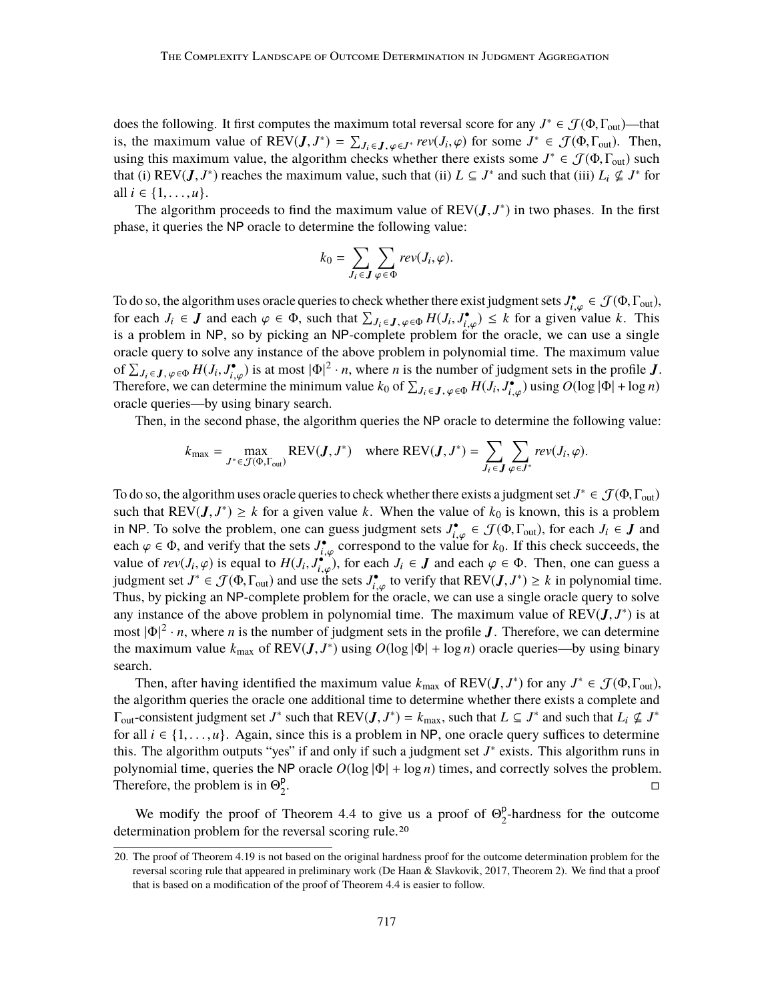does the following. It first computes the maximum total reversal score for any  $J^* \in \mathcal{J}(\Phi, \Gamma_{\text{out}})$ —that is the maximum value of  $\text{PEV}(J, J^*) = \sum_{x,y \in \mathcal{J}(\Phi)} \text{exp}(J_x, \phi)$  for some  $J^* \in \mathcal{J}(\Phi, \Gamma)$ . Then is, the maximum value of  $REV(J, J^*) = \sum_{J_i \in J, \varphi \in J^*} rev(J_i, \varphi)$  for some  $J^* \in \mathcal{J}(\Phi, \Gamma_{out})$ . Then, using this maximum value, the algorithm checks whether there exists some  $J^* \in \mathcal{J}(\Phi, \Gamma)$  such using this maximum value, the algorithm checks whether there exists some  $J^* \in \mathcal{J}(\Phi, \Gamma_{out})$  such that (i)  $PEV(J, J^*)$  reaches the maximum value, such that (ii)  $I \subset J^*$  and such that (iii)  $I \subset J^*$  for that (i) REV(*J*, *J*<sup>\*</sup>) reaches the maximum value, such that (ii)  $L \subseteq J^*$  and such that (iii)  $L_i \nsubseteq J^*$  for all  $i \in J_1$   $\ldots$ all *i* ∈ {1, . . . , *u*}.

The algorithm proceeds to find the maximum value of  $REV(J, J^*)$  in two phases. In the first<br>se it queries the NP oracle to determine the following value: phase, it queries the NP oracle to determine the following value:

$$
k_0 = \sum_{J_i \in \mathbf{J}} \sum_{\varphi \in \Phi} rev(J_i, \varphi).
$$

To do so, the algorithm uses oracle queries to check whether there exist judgment sets  $J_{i,\varphi}^{\bullet} \in \mathcal{J}(\Phi,\Gamma_{\text{out}})$ ,<br>for each  $L \in J$  and each  $\varphi \in \Phi$ , such that  $\Sigma_{\text{out}} = H(L, I^{\bullet}) \leq k$  for a given value k. This for each  $J_i \in J$  and each  $\varphi \in \Phi$ , such that  $\sum_{J_i \in J} \varphi \in \Phi$ ,  $H(J_i, J_i^{\bullet}) \leq k$  for a given v<br>is a problem in NP, so by picking an NP-complete problem for the oracle, we can  $\binom{•}{i,\varphi} \leq k$  for a given value *k*. This is a problem in NP, so by picking an NP-complete problem for the oracle, we can use a single oracle query to solve any instance of the above problem in polynomial time. The maximum value of  $\sum_{J_i \in J, \varphi \in \Phi} H(J_i, J_{i,\varphi}^{\bullet})$  is at most  $|\Phi|^2 \cdot n$ , where *n* is the number of judgment sets in the profile *J*.<br>Therefore, we can determine the minimum value  $k_0$  of  $\nabla$  and  $H(L, I^{\bullet})$  using  $O(\log |\Phi| + \log n)$ . Therefore, we can determine the minimum value  $k_0$  of  $\sum_{J_i \in J}$ ,  $\varphi \in \Phi$   $H(J_i, J_i^{\bullet})$ <br>oracle queries by using binary search  $\sum_{i,\varphi}^{\bullet}$ ) using  $O(\log |\Phi| + \log n)$ oracle queries—by using binary search.

Then, in the second phase, the algorithm queries the NP oracle to determine the following value:

$$
k_{\max} = \max_{J^* \in \mathcal{J}(\Phi, \Gamma_{\text{out}})} \text{REV}(\boldsymbol{J}, J^*) \quad \text{where } \text{REV}(\boldsymbol{J}, J^*) = \sum_{J_i \in \boldsymbol{J}} \sum_{\varphi \in J^*} rev(J_i, \varphi).
$$

To do so, the algorithm uses oracle queries to check whether there exists a judgment set  $J^* \in \mathcal{J}(\Phi, \Gamma_{out})$ <br>such that  $\text{PEV}(J, I^*) > k$  for a given value k. When the value of ke is known, this is a problem such that  $REV(J, J^*) \geq k$  for a given value *k*. When the value of  $k_0$  is known, this is a problem<br>in NP. To solve the problem, one can guess judgment sets  $J^* \in T(\Phi, \Gamma)$ , for each  $L \in J$  and in NP. To solve the problem, one can guess judgment sets  $J_{i,\varphi}^{\bullet} \in \mathcal{J}(\Phi,\Gamma_{out})$ , for each  $J_i \in \mathbf{J}$  and each  $\varphi \in \Phi$  and verify that the sets *I*<sup>o</sup> correspond to the value for  $k_{\alpha}$ . If this check succeeds t in ivi. To solve the problem, one can guess judgment sets  $J_{i,\varphi}^* \in J(\Psi, I_{\text{out}})$ , for each  $J_i \in J$  and<br>each  $\varphi \in \Phi$ , and verify that the sets  $J_{i,\varphi}^*$  correspond to the value for  $k_0$ . If this check succeeds, the value of  $rev(J_i, \varphi)$  is equal to  $H(J_i, J_i^{\bullet})$ <br>independent set  $I^* \in \mathcal{T}(\Phi, \Gamma)$  and use the value of  $rev(J_i, \varphi)$  is equal to  $H(J_i, J_{i,\varphi}^{\bullet})$ , for each  $J_i \in J$  and each  $\varphi \in \Phi$ . Then, one can guess a judgment set  $J^* \in \mathcal{J}(\Phi, \Gamma_{\text{out}})$  and use the sets  $J_{i,\varphi}^{\bullet}$  to verify that  $REV(J, J^*) \geq k$  in polynomial •• to verify that  $REV(J, J^*) \geq k$  in polynomial time.<br>the oracle, we can use a single oracle query to solve Thus, by picking an NP-complete problem for the oracle, we can use a single oracle query to solve any instance of the above problem in polynomial time. The maximum value of  $REV(J, J^*)$  is at most  $|\Phi|^2$ , *n* where *n* is the number of judgment sets in the profile *I*. Therefore, we can determine most  $|\Phi|^2 \cdot n$ , where *n* is the number of judgment sets in the profile *J*. Therefore, we can determine the maximum value  $k_{\text{max}}$  of  $\text{REV}(J, J^*)$  using  $O(\log |\Phi| + \log n)$  oracle queries—by using binary search.

Then, after having identified the maximum value  $k_{\text{max}}$  of  $REV(J, J^*)$  for any  $J^* \in \mathcal{J}(\Phi, \Gamma_{\text{out}})$ , algorithm queries the oracle one additional time to determine whether there exists a complete and the algorithm queries the oracle one additional time to determine whether there exists a complete and  $\Gamma_{\text{out}}$ -consistent judgment set *J*<sup>\*</sup> such that  $\text{REV}(J, J^*) = k_{\text{max}}$ , such that  $L \subseteq J^*$  and such that  $L_i \nsubseteq J^*$  for all  $i \in \{1, \ldots, n\}$ . Again, since this is a problem in NP, one cracle query suffices to determine for all  $i \in \{1, \ldots, u\}$ . Again, since this is a problem in NP, one oracle query suffices to determine this. The algorithm outputs "yes" if and only if such a judgment set  $J^*$  exists. This algorithm runs in polynomial time, queries the NP oracle  $O(\log |\Phi| + \log n)$  times, and correctly solves the problem. Therefore, the problem is in  $\Theta_2^p$ 2 .

We modify the proof of Theorem 4.4 to give us a proof of  $\Theta_2^p$  $2^{\circ}$ -hardness for the outcome determination problem for the reversal scoring rule.20

<sup>20.</sup> The proof of Theorem 4.19 is not based on the original hardness proof for the outcome determination problem for the reversal scoring rule that appeared in preliminary work (De Haan & Slavkovik, 2017, Theorem 2). We find that a proof that is based on a modification of the proof of Theorem 4.4 is easier to follow.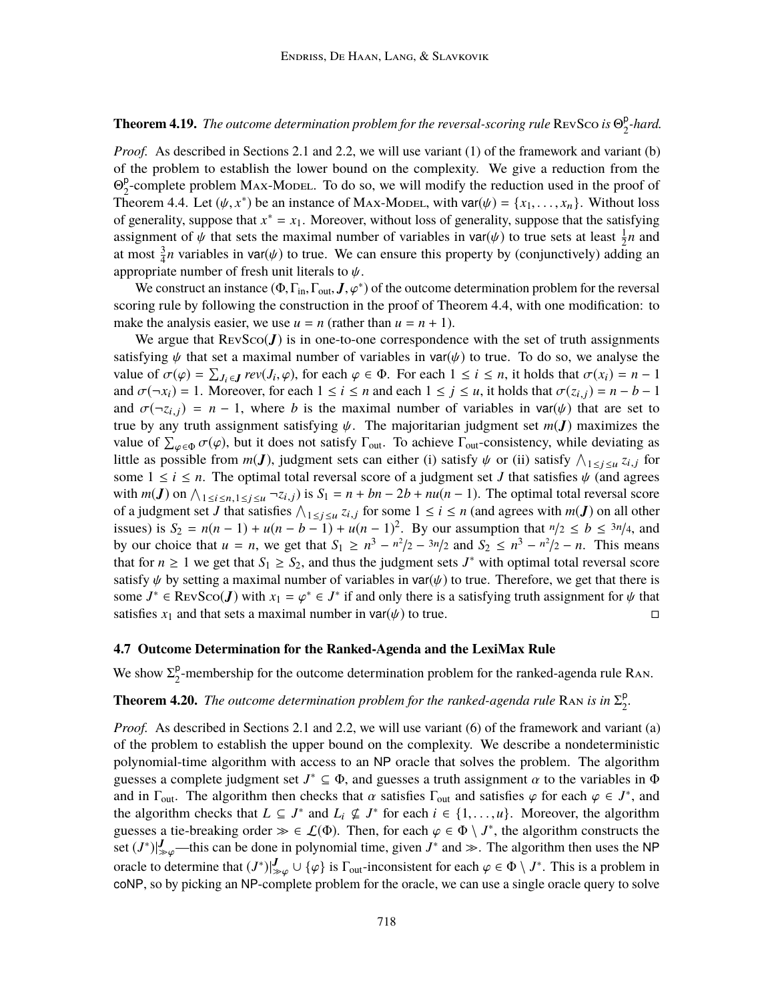### **Theorem 4.19.** *The outcome determination problem for the reversal-scoring rule* REvSco *is*  $\Theta^p$ 2 *-hard.*

*Proof.* As described in Sections 2.1 and 2.2, we will use variant (1) of the framework and variant (b) of the problem to establish the lower bound on the complexity. We give a reduction from the  $\Theta_{\gamma}^{\mathsf{p}}$  $2^{\circ}$ -complete problem MAx-Model. To do so, we will modify the reduction used in the proof of Theorem 4.4. Let  $(\psi, x^*)$  be an instance of Max-Model, with  $var(\psi) = \{x_1, \dots, x_n\}$ . Without loss of generality suppose that the satisfying of generality, suppose that  $x^* = x_1$ . Moreover, without loss of generality, suppose that the satisfying assignment of  $\psi$  that sets the maximal number of variables in  $\text{var}(\psi)$  to true sets at least  $\frac{1}{2}n$  and at most  $\frac{3}{2}n$  variables in var( $\psi$ ) to true. We can ensure this property by (conjunctively) adding an at most  $\frac{3}{4}n$  variables in var( $\psi$ ) to true. We can ensure this property by (conjunctively) adding an appropriate number of fresh unit literals to  $\psi$ appropriate number of fresh unit literals to  $\psi$ .

We construct an instance  $(\Phi, \Gamma_{\text{in}}, \Gamma_{\text{out}}, J, \varphi^*)$  of the outcome determination problem for the reversal<br>ting rule by following the construction in the proof of Theorem 4.4, with one modification: to scoring rule by following the construction in the proof of Theorem 4.4, with one modification: to make the analysis easier, we use  $u = n$  (rather than  $u = n + 1$ ).

We argue that  $\text{Rev}Sco(J)$  is in one-to-one correspondence with the set of truth assignments satisfying  $\psi$  that set a maximal number of variables in var( $\psi$ ) to true. To do so, we analyse the value of  $\sigma(\varphi) = \sum_{J_i \in \mathbf{J}} rev(J_i, \varphi)$ , for each  $\varphi \in \Phi$ . For each  $1 \le i \le n$ , it holds that  $\sigma(x_i) = n - 1$ <br>and  $\sigma(-x_i) = 1$ . Moreover, for each  $1 \le i \le n$  and each  $1 \le i \le n$ , it holds that  $\sigma(x_i) = n - h - 1$ and  $\sigma(\neg x_i) = 1$ . Moreover, for each  $1 \le i \le n$  and each  $1 \le j \le u$ , it holds that  $\sigma(z_{i,j}) = n - b - 1$ and  $\sigma(\neg z_{i,j}) = n-1$ , where *b* is the maximal number of variables in var( $\psi$ ) that are set to true by any truth assignment satisfying  $\psi$ . The majoritarian judgment set  $m(\mathbf{J})$  maximizes the value of  $\sum_{\varphi \in \Phi} \sigma(\varphi)$ , but it does not satisfy  $\Gamma_{\text{out}}$ . To achieve  $\Gamma_{\text{out}}$ -consistency, while deviating as it is satisfy  $\varphi$  as not satisfy  $\varphi$  and  $\Gamma_{\text{out}}$  is satisfy  $\varphi$  and  $\Gamma_{\text{out}}$  or (ii) satis little as possible from *m*(*J*), judgment sets can either (i) satisfy  $\psi$  or (ii) satisfy  $\bigwedge_{1 \leq j \leq u} z_{i,j}$  for some  $1 \le i \le n$ . The optimal total reversal score of a judgment set *J* that satisfies  $\psi$  (and agrees with  $m(J)$  on  $\bigwedge_{1 \le i \le n, 1 \le j \le u} \neg z_{i,j}$  is  $S_1 = n + bn - 2b + nu(n - 1)$ . The optimal total reversal score of a judgment set *I* that satisfies  $\bigwedge_{i=1}^{\infty} z_i$  for some  $1 \le i \le n$  (and agrees with  $m(J)$  on all other of a judgment set *J* that satisfies  $\bigwedge_{1 \leq j \leq u} z_{i,j}$  for some  $1 \leq i \leq n$  (and agrees with  $m(J)$  on all other issues) is  $S_2 = n(n-1) + u(n - b - 1) + u(n - 1)^2$ . By our assumption that  $n/2 \le b \le \frac{3n}{4}$ , and by our choice that  $u = n$ , we get that  $S_1 \ge n^3 - \frac{n^2}{2} - \frac{3n}{2}$  and  $S_2 \le n^3 - \frac{n^2}{2} - n$ . This means that for  $n \geq 1$  we get that  $S_1 \geq S_2$ , and thus the judgment sets  $J^*$  with optimal total reversal score satisfy  $\psi$  by setting a maximal number of variables in var( $\psi$ ) to true. Therefore, we get that there is some  $J^* \in \text{RevSco}(J)$  with  $x_1 = \varphi^* \in J^*$  if and only there is a satisfying truth assignment for  $\psi$  that satisfies  $x_1$  and that sets a maximal number in  $\varphi(x)$  to true satisfies  $x_1$  and that sets a maximal number in  $var(\psi)$  to true.

### **4.7 Outcome Determination for the Ranked-Agenda and the LexiMax Rule**

We show  $\Sigma_2^{\mathsf{p}}$  $\frac{p}{2}$ -membership for the outcome determination problem for the ranked-agenda rule RAN.

### **Theorem 4.20.** *The outcome determination problem for the ranked-agenda rule*  $\text{R}_{\text{AN}}$  *is in*  $\Sigma^{\text{D}}$ 2 *.*

*Proof.* As described in Sections 2.1 and 2.2, we will use variant (6) of the framework and variant (a) of the problem to establish the upper bound on the complexity. We describe a nondeterministic polynomial-time algorithm with access to an NP oracle that solves the problem. The algorithm guesses a complete judgment set  $J^* \subseteq \Phi$ , and guesses a truth assignment  $\alpha$  to the variables in  $\Phi$ <br>and in  $\Gamma$ . The algorithm then checks that  $\alpha$  satisfies  $\Gamma$  and satisfies  $\alpha$  for each  $\alpha \in I^*$  and and in  $\Gamma_{\text{out}}$ . The algorithm then checks that  $\alpha$  satisfies  $\Gamma_{\text{out}}$  and satisfies  $\varphi$  for each  $\varphi \in J^*$ , and the algorithm checks that  $I \subset J^*$  and  $I \subset J^*$  for each  $i \in \{1, \ldots, n\}$ . Moreover, the algorithm the algorithm checks that  $L \subseteq J^*$  and  $L_i \nsubseteq J^*$  for each  $i \in \{1, ..., u\}$ . Moreover, the algorithm<br>guesses a tie breaking order  $\infty \in \Gamma(\Phi)$ . Then, for each  $\varphi \in \Phi \setminus J^*$  the algorithm constructs the guesses a tie-breaking order  $\gg \in \mathcal{L}(\Phi)$ . Then, for each  $\varphi \in \Phi \setminus J^*$ , the algorithm constructs the set  $(I^*)|J$  this can be done in polynomial time, given  $I^*$  and  $\gg$ . The algorithm then uses the NP set  $(J^*)|J_{\gg \varphi}$ —this can be done in polynomial time, given  $J^*$  and  $\gg$ . The algorithm then uses the NP oracle to determine that  $(J^*)|_{\gg \varphi}^J \cup {\varphi}$  is  $\Gamma_{\text{out}}$ -inconsistent for each  $\varphi \in \Phi \setminus J^*$ . This is a problem in coNP, so by picking an NP-complete problem for the oracle, we can use a single oracle query to solve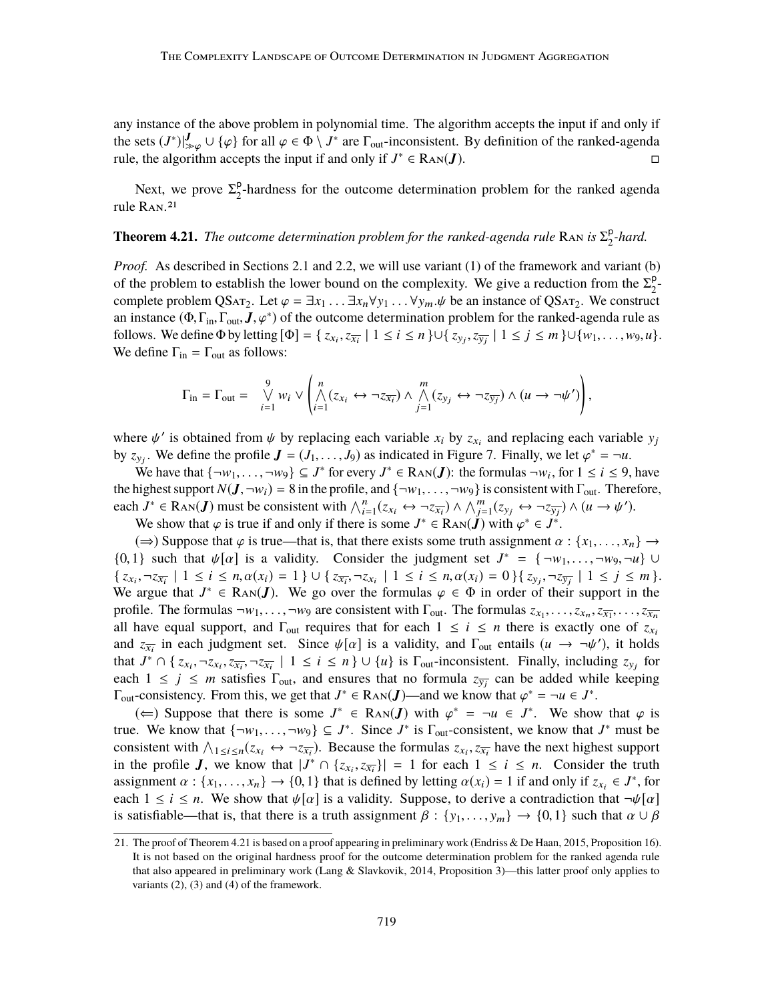any instance of the above problem in polynomial time. The algorithm accepts the input if and only if the sets  $(J^*)|_{\gg \varphi}^J \cup {\varphi}$  for all  $\varphi \in \Phi \setminus J^*$  are  $\Gamma_{\text{out}}$ -inconsistent. By definition of the ranked-agenda<br>rule, the algorithm accents the input if and only if  $J^* \in \mathbb{R}$  and  $\Gamma$ rule, the algorithm accepts the input if and only if  $J^* \in \text{Ran}(J)$ .

Next, we prove  $\Sigma_2^p$  $2<sup>p</sup>$ -hardness for the outcome determination problem for the ranked agenda rule Ran.21

### **Theorem 4.21.** *The outcome determination problem for the ranked-agenda rule*  $\text{RAN}$  *is*  $\Sigma^{\text{p}}_2$ 2 *-hard.*

*Proof.* As described in Sections 2.1 and 2.2, we will use variant (1) of the framework and variant (b) of the problem to establish the lower bound on the complexity. We give a reduction from the  $\Sigma_2^p$  $\frac{p}{2}$ complete problem  $QSAT_2$ . Let  $\varphi = \exists x_1 ... \exists x_n \forall y_1 ... \forall y_m.\psi$  be an instance of  $QSAT_2$ . We construct an instance  $(\Phi, \Gamma_{\text{in}}, \Gamma_{\text{out}}, J, \varphi^*)$  of the outcome determination problem for the ranked-agenda rule as follows. We define  $\Phi$  by letting  $[\Phi] = \int z \cdot z = |1 \le i \le n] |\int z \cdot z = |1 \le i \le m] |\int w_i - w_0| |\psi_i - \psi|^2$ follows. We define  $\Phi$  by letting  $[\Phi] = \{ z_{x_i}, z_{\overline{x_i}} \mid 1 \le i \le n \} \cup \{ z_{y_j}, z_{\overline{y_j}} \mid 1 \le j \le m \} \cup \{ w_1, \ldots, w_9, u \}.$ <br>We define  $\Gamma_{\cdot} - \Gamma_{\cdot}$  as follows: We define  $\Gamma_{\text{in}} = \Gamma_{\text{out}}$  as follows:

$$
\Gamma_{\text{in}} = \Gamma_{\text{out}} = \bigvee_{i=1}^{9} w_i \vee \left( \bigwedge_{i=1}^{n} (z_{x_i} \leftrightarrow \neg z_{\overline{x_i}}) \wedge \bigwedge_{j=1}^{m} (z_{y_j} \leftrightarrow \neg z_{\overline{y_j}}) \wedge (u \to \neg \psi') \right),
$$

where  $\psi'$  is obtained from  $\psi$  by replacing each variable  $x_i$  by  $z_{x_i}$  and replacing each variable  $y_j$ <br>by  $z = W^2$  define the profile  $I = (L - L)$  as indicated in Figure 7. Finally, we let  $\phi^* = -\mu$ . by *z*<sub>yj</sub>. We define the profile  $J = (J_1, \ldots, J_9)$  as indicated in Figure 7. Finally, we let  $\varphi^* = \neg u$ .<br>We have that  $\left(\neg u_1, \ldots, \neg v_9\right) \subset J^*$  for every  $J^* \subset P \cup J$ , the formulas  $\neg v_1$ , for  $1 \le i \le 0$ .

We have that  $\{\neg w_1, \dots, \neg w_9\} \subseteq J^*$  for every  $J^* \in \text{Ran}(J)$ : the formulas  $\neg w_i$ , for  $1 \le i \le 9$ , have the highest support  $N(J, \neg w_i) = 8$  in the profile, and  $\{\neg w_1, \dots, \neg w_9\}$  is consistent with  $\Gamma_{out}$ . Therefore, each  $J^* \in \text{Ran}(J)$  must be consistent with  $\bigwedge_{i=1}^n (z_{x_i} \leftrightarrow \neg z_{\overline{x_i}}) \wedge \bigwedge_{j=1}^m (z_{y_j} \leftrightarrow \neg z_{\overline{y_j}}) \wedge (u \to \psi').$ <br>We show that *(a* is true if and only if there is some  $I^* \subset \text{Ran}(I)$  with  $\bigwedge_{i=1}^n \mathcal{E}^* \cap I$ 

We show that  $\varphi$  is true if and only if there is some  $J^* \in \text{Ran}(\mathbf{J})$  with  $\varphi^* \in J^*$ .<br>  $\longleftrightarrow$  Suppose that  $\varphi$  is true, that is that there exists some truth assignment  $\varphi$ 

 $(\Rightarrow)$  Suppose that  $\varphi$  is true—that is, that there exists some truth assignment  $\alpha$  : { $x_1, \ldots, x_n$ }  $\rightarrow$ {0, 1} such that  $\psi[\alpha]$  is a validity. Consider the judgment set  $J^* = \{\neg w_1, \dots, \neg w_9, \neg u\} \cup$  $\{z_{x_i}, \neg z_{\overline{x_i}} \mid 1 \leq i \leq n, \alpha(x_i) = 1\} \cup \{\overline{z_{\overline{x_i}}}, \neg z_{x_i} \mid 1 \leq i \leq n, \alpha(x_i) = 0\} \{z_{y_j}, \neg z_{\overline{y_j}} \mid 1 \leq j \leq m\}.$ <br>We again that  $I^* \in \mathbb{R}$  and  $(I)$ . We go over the formulas  $\alpha \in \mathbb{R}$  in order of their support We argue that  $J^* \in \text{Ran}(J)$ . We go over the formulas  $\varphi \in \Phi$  in order of their support in the profile. The formulas  $\pi$  and  $\pi$ profile. The formulas  $\neg w_1, \dots, \neg w_9$  are consistent with  $\Gamma_{\text{out}}$ . The formulas  $z_{x_1}, \dots, z_{x_n}, z_{\overline{x_1}}, \dots, z_{\overline{x_n}}$ <br>all have equal support, and  $\Gamma$  requires that for each  $1 \le i \le n$  there is exactly one of  $\overline{z}$ all have equal support, and  $\Gamma_{\text{out}}$  requires that for each  $1 \le i \le n$  there is exactly one of  $z_{x_i}$ and  $z_{\overline{x_i}}$  in each judgment set. Since  $\psi[\alpha]$  is a validity, and  $\Gamma_{\text{out}}$  entails  $(u \to \neg \psi')$ , it holds that  $I^* \cap I \subset \mathcal{I} \subset \mathcal{I} \subset \mathcal{I} \subset \mathcal{I} \subset \mathcal{I}$  and  $I^* \cap I \subset \mathcal{I} \subset \mathcal{I}$  is  $\Gamma$  is consistent. Final that  $J^* \cap \{z_{x_i}, \neg z_{x_i}, z_{\overline{x_i}}, \neg z_{\overline{x_i}} \mid 1 \leq i \leq n\} \cup \{u\}$  is  $\Gamma_{\text{out}}$ -inconsistent. Finally, including  $z_{y_j}$  for each  $1 \leq j \leq m$  satisfies  $\Gamma_{\text{out}}$ , and ensures that no formula  $z_{\overline{y_j}}$  can be added while keeping  $\Gamma_{\text{out}}$ -consistency. From this, we get that  $J^* \in \text{Ran}(J)$ —and we know that  $\varphi^* = \neg u \in J^*$ .<br>  $\overline{J} = \Gamma^* \cap \text{Suppose that there is some } I^* \subseteq \text{Ban}(J)$  with  $\varphi^* = \neg u \in J^*$ . We show

(←) Suppose that there is some  $J^* \in \text{Ran}(J)$  with  $\varphi^* = \neg u \in J^*$ . We show that  $\varphi$  is We know that  $\varphi$  is We know that  $J^*$  must be true. We know that  $\{\neg w_1, \dots, \neg w_9\} \subseteq J^*$ . Since  $J^*$  is  $\Gamma_{\text{out}}$ -consistent, we know that  $J^*$  must be consistent with  $\Delta_{\text{out}}$  ( $\sigma \implies \pi$ ). Because the formulas  $\pi$ ,  $\pi$ -have the next highest support consistent with  $\bigwedge_{1 \le i \le n} (z_{x_i} \leftrightarrow \neg z_{\overline{x_i}})$ . Because the formulas  $z_{x_i}, z_{\overline{x_i}}$  have the next highest support in the profile *I* we know that  $|I^* \cap (z - z_{-})| = 1$  for each  $1 \le i \le n$ . Consider the truth in the profile *J*, we know that  $|J^* \cap \{z_{x_i}, z_{\overline{x_i}}\}| = 1$  for each  $1 \le i \le n$ . Consider the truth assignment  $\alpha : f_X$ ,  $x \to 0$  1) that is defined by letting  $\alpha(x) = 1$  if and only if  $z \in I^*$  for assignment  $\alpha$  : {*x*<sub>1</sub>, . . . , *x<sub>n</sub>*}  $\rightarrow$  {0, 1} that is defined by letting  $\alpha(x_i) = 1$  if and only if  $z_{x_i} \in J^*$ , for each  $1 \le i \le n$ . We show that  $\psi[\alpha]$  is a validity. Suppose, to derive a contradiction that  $\neg \psi[\alpha]$ is satisfiable—that is, that there is a truth assignment  $\beta : \{y_1, \ldots, y_m\} \to \{0, 1\}$  such that  $\alpha \cup \beta$ 

<sup>21.</sup> The proof of Theorem 4.21 is based on a proof appearing in preliminary work (Endriss & De Haan, 2015, Proposition 16). It is not based on the original hardness proof for the outcome determination problem for the ranked agenda rule that also appeared in preliminary work (Lang & Slavkovik, 2014, Proposition 3)—this latter proof only applies to variants (2), (3) and (4) of the framework.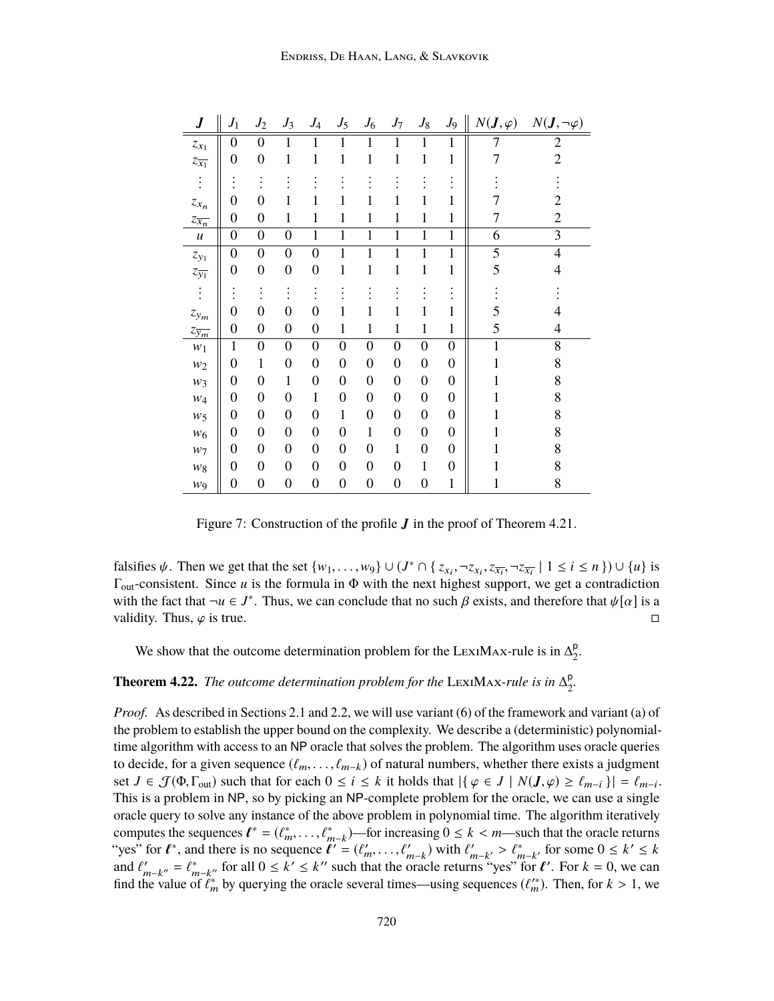| $\bm{J}$                         | $J_1$            | $J_2$            | $J_3$            | $J_4$            | $J_5$            | $J_6$            | $J_7$            | $J_{8}$          | $J_9$            | $N(\bm{J},\varphi)$ | $N(\boldsymbol{J},\neg\varphi)$ |
|----------------------------------|------------------|------------------|------------------|------------------|------------------|------------------|------------------|------------------|------------------|---------------------|---------------------------------|
| $\mathcal{Z}_{\mathcal{X}_1}$    | $\boldsymbol{0}$ | $\boldsymbol{0}$ | 1                | 1                | 1                |                  | 1                | 1                | 1                | 7                   | $\overline{c}$                  |
| $z_{\overline{x_1}}$             | $\boldsymbol{0}$ | $\boldsymbol{0}$ | $\mathbf{1}$     | $\mathbf{1}$     | $\mathbf{1}$     | $\mathbf{1}$     | $\mathbf{1}$     | $\mathbf{1}$     | $\mathbf{1}$     | 7                   | $\overline{2}$                  |
| $\vdots$                         |                  | $\vdots$         |                  |                  |                  |                  |                  |                  |                  |                     |                                 |
| $\mathcal{Z}_{\mathcal{X}_n}$    | $\boldsymbol{0}$ | 0                | 1                | 1                | 1                |                  | 1                | 1                | 1                |                     | 2                               |
| $z_{\overline{\underline{x_n}}}$ | $\boldsymbol{0}$ | $\boldsymbol{0}$ | $\mathbf{1}$     | 1                | 1                | 1                | 1                | $\mathbf{1}$     | $\mathbf{1}$     | 7                   | $\overline{2}$                  |
| $\boldsymbol{\mathcal{U}}$       | $\overline{0}$   | $\boldsymbol{0}$ | $\overline{0}$   | $\mathbf{1}$     | $\mathbf{1}$     | $\mathbf{1}$     | $\mathbf 1$      | $\mathbf 1$      | $\mathbf{1}$     | 6                   | 3                               |
| $\mathcal{Z}_{\mathcal{Y}1}$     | $\boldsymbol{0}$ | $\boldsymbol{0}$ | $\boldsymbol{0}$ | $\overline{0}$   | $\mathbf{1}$     | 1                | $\mathbf 1$      | $\mathbf{1}$     | $\mathbf{1}$     | 5                   | $\overline{4}$                  |
| $z_{\overline{\mathbf{y_1}}}$    | $\boldsymbol{0}$ | $\boldsymbol{0}$ | $\boldsymbol{0}$ | $\boldsymbol{0}$ | $\mathbf{1}$     | 1                | $\mathbf{1}$     | $\mathbf{1}$     | $\mathbf{1}$     | 5                   | $\overline{4}$                  |
| $\vdots$                         |                  | $\vdots$         |                  |                  |                  |                  |                  |                  |                  |                     |                                 |
| $z_{y_m}$                        | $\boldsymbol{0}$ | $\overline{0}$   | $\boldsymbol{0}$ | 0                | 1                | 1                | 1                | 1                | 1                | 5                   | 4                               |
| $z_{\overline{y_m}}$             | $\boldsymbol{0}$ | $\boldsymbol{0}$ | $\boldsymbol{0}$ | $\boldsymbol{0}$ | $\mathbf{1}$     | $\mathbf{1}$     | 1                | $\mathbf{1}$     | $\mathbf{1}$     | 5                   | 4                               |
| $w_1$                            | $\mathbf{1}$     | $\boldsymbol{0}$ | $\boldsymbol{0}$ | $\boldsymbol{0}$ | $\boldsymbol{0}$ | $\overline{0}$   | $\overline{0}$   | $\overline{0}$   | $\overline{0}$   | $\mathbf{1}$        | 8                               |
| $w_2$                            | $\boldsymbol{0}$ | $\mathbf{1}$     | $\boldsymbol{0}$ | $\boldsymbol{0}$ | $\boldsymbol{0}$ | $\boldsymbol{0}$ | $\boldsymbol{0}$ | $\boldsymbol{0}$ | $\boldsymbol{0}$ | 1                   | 8                               |
| $W_3$                            | $\boldsymbol{0}$ | $\boldsymbol{0}$ | $\mathbf{1}$     | $\boldsymbol{0}$ | $\boldsymbol{0}$ | $\boldsymbol{0}$ | $\boldsymbol{0}$ | $\boldsymbol{0}$ | $\overline{0}$   | 1                   | 8                               |
| $W_4$                            | $\boldsymbol{0}$ | $\overline{0}$   | $\boldsymbol{0}$ | 1                | $\boldsymbol{0}$ | $\boldsymbol{0}$ | $\boldsymbol{0}$ | $\boldsymbol{0}$ | $\boldsymbol{0}$ | 1                   | 8                               |
| $W_5$                            | $\boldsymbol{0}$ | $\boldsymbol{0}$ | $\boldsymbol{0}$ | $\boldsymbol{0}$ | $\mathbf{1}$     | $\boldsymbol{0}$ | $\boldsymbol{0}$ | $\boldsymbol{0}$ | $\boldsymbol{0}$ | 1                   | 8                               |
| $W_6$                            | $\boldsymbol{0}$ | $\boldsymbol{0}$ | $\overline{0}$   | $\boldsymbol{0}$ | $\boldsymbol{0}$ | $\mathbf 1$      | $\boldsymbol{0}$ | $\boldsymbol{0}$ | $\boldsymbol{0}$ | 1                   | 8                               |
| $w_7$                            | $\boldsymbol{0}$ | $\boldsymbol{0}$ | $\boldsymbol{0}$ | $\boldsymbol{0}$ | $\boldsymbol{0}$ | $\boldsymbol{0}$ | $\mathbf{1}$     | $\boldsymbol{0}$ | $\boldsymbol{0}$ |                     | 8                               |
| $W\mathbf{8}$                    | $\boldsymbol{0}$ | $\boldsymbol{0}$ | $\boldsymbol{0}$ | $\boldsymbol{0}$ | $\boldsymbol{0}$ | $\boldsymbol{0}$ | $\boldsymbol{0}$ | $\mathbf{1}$     | $\boldsymbol{0}$ |                     | 8                               |
| W9                               | $\boldsymbol{0}$ | $\overline{0}$   | $\overline{0}$   | $\overline{0}$   | $\overline{0}$   | $\overline{0}$   | $\boldsymbol{0}$ | $\boldsymbol{0}$ | $\mathbf{1}$     | 1                   | 8                               |

Figure 7: Construction of the profile  $J$  in the proof of Theorem 4.21.

falsifies  $\psi$ . Then we get that the set  $\{w_1, \ldots, w_9\} \cup (J^* \cap \{z_{x_i}, \neg z_{x_i}, z_{\overline{x_i}}, \neg z_{\overline{x_i}} \mid 1 \le i \le n\}) \cup \{u\}$  is<br> $\Gamma$  -consistent. Since *u* is the formula in  $\Phi$  with the next bighest support, we get a contradic  $\Gamma_{\text{out}}$ -consistent. Since *u* is the formula in  $\Phi$  with the next highest support, we get a contradiction with the fact that  $\neg u \in J^*$ . Thus, we can conclude that no such  $\beta$  exists, and therefore that  $\psi[\alpha]$  is a validity. Thus,  $\alpha$  is true validity. Thus,  $\varphi$  is true.

We show that the outcome determination problem for the LEXIMAX-rule is in  $\Delta_2^p$ p.<br>2

### **Theorem 4.22.** *The outcome determination problem for the* LEXIMAX-rule is in  $\Delta_2^{\text{p}}$ p<br>2.

*Proof.* As described in Sections 2.1 and 2.2, we will use variant (6) of the framework and variant (a) of the problem to establish the upper bound on the complexity. We describe a (deterministic) polynomialtime algorithm with access to an NP oracle that solves the problem. The algorithm uses oracle queries to decide, for a given sequence  $(\ell_m, \ldots, \ell_{m-k})$  of natural numbers, whether there exists a judgment set  $J \in \mathcal{J}(\Phi, \Gamma_{\text{out}})$  such that for each  $0 \le i \le k$  it holds that  $|\{\varphi \in J \mid N(J, \varphi) \ge \ell_{m-i}\}| = \ell_{m-i}$ .<br>This is a problem in NP, so by picking an NP complete problem for the oracle, we can use a single This is a problem in NP, so by picking an NP-complete problem for the oracle, we can use a single oracle query to solve any instance of the above problem in polynomial time. The algorithm iteratively computes the sequences  $\ell^* = (\ell_m^*, \ldots, \ell_{m-k}^*)$ —for increasing  $0 \le k < m$ —such that the oracle returns  $\ell_{\ell}$  or  $\ell^*$  and there is no sequence  $\ell' = (\ell' - \ell')$  with  $\ell' > \ell^*$  for some  $0 \le k' \le k$ "yes" for  $\ell^*$ , and there is no sequence  $\ell' = (\ell'_m, \ldots, \ell'_{m-k})$  with  $\ell'_{m-k'} > \ell^*_{m-k'}$  for some  $0 \le k' \le k$ <br>and  $\ell' = \ell^*$  for all  $0 \le k' \le k''$  such that the oracle returns "yes" for  $\ell'$ . For  $k = 0$  we can and  $\ell'_{m-k''} = \ell^*_{m-k''}$  for all  $0 \le k' \le k''$  such that the oracle returns "yes" for  $\ell'$ . For  $k = 0$ , we can<br>find the value of  $\ell^*$  by querying the oracle several times—using sequences  $(\ell'^*)$ . Then, for  $k > 1$ , we find the value of  $\ell_m^*$  by querying the oracle several times—using sequences  $(\ell_m^*)$ . Then, for  $k > 1$ , we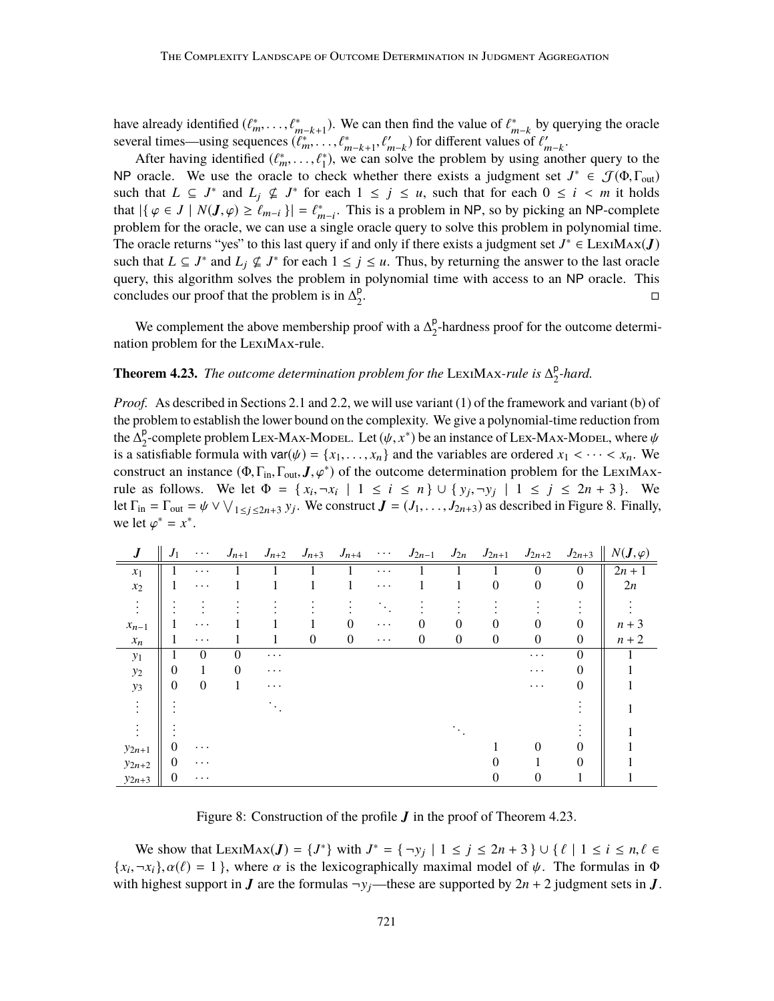have already identified  $(\ell_m^*, \ldots, \ell_{m-k+1}^*)$ . We can then find the value of  $\ell_{m-k}^*$  by querying the oracle several times using sequences  $(\ell^* - \ell^*)$  for different values of  $\ell'$ several times—using sequences  $(\ell_m^*, \ldots, \ell_{m-k+1}^*, \ell_{m-k}')$  for different values of  $\ell_{m-k}'$ .

After having identified  $(\ell_m^*, \ldots, \ell_1^*)$ , we can solve the problem by using another query to the oracle. We use the oracle to check whether there exists a judgment set  $I^* \in \mathcal{T}(\Phi, \Gamma)$ . NP oracle. We use the oracle to check whether there exists a judgment set  $J^* \in \mathcal{J}(\Phi, \Gamma_{\text{out}})$ <br>such that  $I \subset I^*$  and  $I \in \mathcal{J}^*$  for each  $1 \le i \le u$  such that for each  $0 \le i \le m$  it holds such that  $L \subseteq J^*$  and  $L_j \nsubseteq J^*$  for each  $1 \le j \le u$ , such that for each  $0 \le i < m$  it holds<br>that  $|J_{j,0} \in I | M(I_{j,0}) \ge \ell$  .  $|J - J^*|$  This is a problem in NP, so by picking an NP complete that  $|\{\varphi \in J \mid N(\mathbf{J}, \varphi) \geq \ell_{m-i}\}| = \ell_{m-i}^*$ . This is a problem in NP, so by picking an NP-complete problem for the oracle we can use a single oracle query to solve this problem in polynomial time problem for the oracle, we can use a single oracle query to solve this problem in polynomial time. The oracle returns "yes" to this last query if and only if there exists a judgment set  $J^* \in$  LEXIMAX(*J*) such that  $L \subseteq J^*$  and  $L_j \nsubseteq J^*$  for each  $1 \le j \le u$ . Thus, by returning the answer to the last oracle query, this algorithm solves the problem in polynomial time with access to an NP oracle. This concludes our proof that the problem is in  $\Delta_2^p$ 2 .

We complement the above membership proof with a  $\Delta_2^p$  $_{2}^{\circ}$ -hardness proof for the outcome determination problem for the LexiMax-rule.

### **Theorem 4.23.** *The outcome determination problem for the* LEXIMAX-rule is  $\Delta_2^{\text{p}}$ 2 *-hard.*

*Proof.* As described in Sections 2.1 and 2.2, we will use variant (1) of the framework and variant (b) of the problem to establish the lower bound on the complexity. We give a polynomial-time reduction from the  $\Delta_2^p$ <sup>p</sup>-complete problem Lex-Max-Model. Let  $(\psi, x^*)$  be an instance of Lex-Max-Model, where  $\psi$ <br>atisfiable formula with var( $\psi$ ) = *l* r, we kept the variables are ordered  $x \leq \psi \leq x$ . We is a satisfiable formula with  $var(\psi) = \{x_1, \ldots, x_n\}$  and the variables are ordered  $x_1 < \cdots < x_n$ . We construct an instance  $(\Phi, \Gamma_{\text{in}}, \Gamma_{\text{out}}, J, \varphi^*)$  of the outcome determination problem for the LexiMax-<br>rule as follows. We let  $\Phi = \{x_i, -x_j \mid 1 \leq i \leq n\} \cup \{y_i, -y_j \mid 1 \leq i \leq 2n + 3\}$ . We rule as follows. We let  $\Phi = \{x_i, \neg x_i \mid 1 \le i \le n\} \cup \{y_j, \neg y_j \mid 1 \le j \le 2n + 3\}$ . We let  $\Gamma_{i} = \Gamma_{i} = y_i \vee \vee \vee \dots \vee \emptyset$  construct  $I = (I_{i} \cup I_{i})$  as described in Figure 8. Finally let  $\Gamma_{\text{in}} = \Gamma_{\text{out}} = \psi \vee \bigvee_{1 \leq j \leq 2n+3} y_j$ . We construct  $\boldsymbol{J} = (J_1, \dots, J_{2n+3})$  as described in Figure 8. Finally, we let  $\varphi^* = x^*$ .

| $\bm{J}$           | $J_1$    | $\ldots$         | $J_{n+1}$    | $J_{n+2}$ | $J_{n+3}$        | $J_{n+4}$        | $\cdot$ $\cdot$ $\cdot$ | $J_{2n-1}$ | $J_{2n}$         | $J_{2n+1}$       | $J_{2n+2}$       | $J_{2n+3}$       | $N(\mathbf{J},\varphi)$ |
|--------------------|----------|------------------|--------------|-----------|------------------|------------------|-------------------------|------------|------------------|------------------|------------------|------------------|-------------------------|
| $x_1$              |          | .                |              |           |                  |                  | $\cdots$                |            |                  |                  | $\boldsymbol{0}$ | $\boldsymbol{0}$ | $2n + 1$                |
| $x_2$              |          | $\ddots$         |              |           |                  | 1                | $\ddots$                |            |                  | $\boldsymbol{0}$ | $\boldsymbol{0}$ | $\boldsymbol{0}$ | 2n                      |
| $\ddot{\cdot}$     |          |                  |              |           |                  |                  | $\sigma_{\rm{max}}$     |            |                  |                  |                  |                  |                         |
| $x_{n-1}$          |          | $\cdots$         |              |           |                  |                  | $\cdots$                | 0          | $\Omega$         | $\Omega$         | 0                | $\theta$         | $n+3$                   |
| $\boldsymbol{x}_n$ |          | $\cdots$         |              |           | $\boldsymbol{0}$ | $\boldsymbol{0}$ | $\cdots$                | 0          | $\boldsymbol{0}$ | $\boldsymbol{0}$ | $\boldsymbol{0}$ | $\boldsymbol{0}$ | $n + 2$                 |
| $y_1$              |          | $\boldsymbol{0}$ | $\mathbf{0}$ | $\cdots$  |                  |                  |                         |            |                  |                  | .                | $\overline{0}$   |                         |
| $\mathcal{Y}2$     | 0        |                  | $\Omega$     | $\cdots$  |                  |                  |                         |            |                  |                  | $\cdots$         | $\theta$         |                         |
| $y_3$              | 0        | $\boldsymbol{0}$ |              | $\cdots$  |                  |                  |                         |            |                  |                  | $\cdots$         | 0                |                         |
|                    |          |                  |              |           |                  |                  |                         |            |                  |                  |                  |                  |                         |
|                    |          |                  |              |           |                  |                  |                         |            |                  |                  |                  |                  |                         |
| $y_{2n+1}$         | $\theta$ | $\ddots$         |              |           |                  |                  |                         |            |                  |                  | 0                |                  |                         |
| $y_{2n+2}$         | 0        | .                |              |           |                  |                  |                         |            |                  |                  |                  | 0                |                         |
| $y_{2n+3}$         | 0        | $\cdots$         |              |           |                  |                  |                         |            |                  | $\boldsymbol{0}$ | 0                |                  |                         |

Figure 8: Construction of the profile  $J$  in the proof of Theorem 4.23.

We show that LexiMax( $J$ ) = { $J^*$ } with  $J^* = \{\neg y_j \mid 1 \le j \le 2n + 3\} \cup \{\ell \mid 1 \le i \le n, \ell \in J^* \}$  $\{x_i, \neg x_i\}$ ,  $\alpha(\ell) = 1$ , where  $\alpha$  is the lexicographically maximal model of  $\psi$ . The formulas in  $\Phi$  with highest support in *L* are the formulas  $\neg y$  to these are supported by  $2n + 2$  judgment sets in *L* with highest support in  $J$  are the formulas  $\neg y_j$ —these are supported by  $2n + 2$  judgment sets in  $J$ .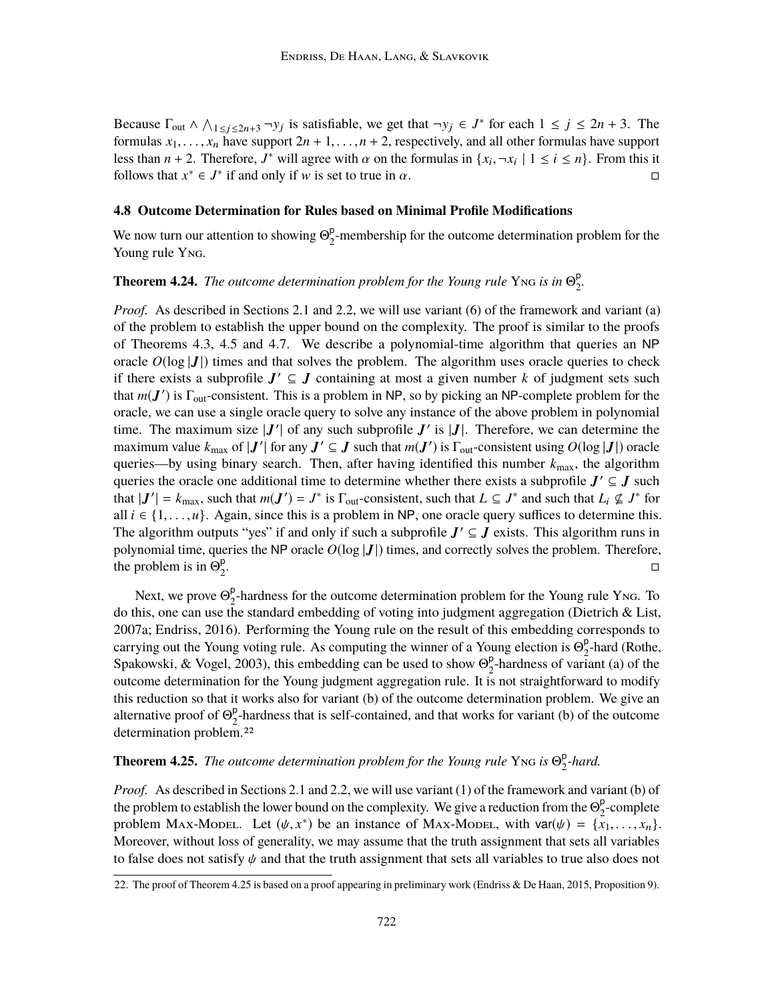Because  $\Gamma_{\text{out}} \wedge \bigwedge_{1 \leq j \leq 2n+3} \neg y_j$  is satisfiable, we get that  $\neg y_j \in J^*$  for each  $1 \leq j \leq 2n+3$ . The formulas  $x_1, \ldots, x_n$  have support  $2n + 1, \ldots, n + 2$ , respectively, and all other formulas have support less than *n* + 2. Therefore, *J*<sup>\*</sup> will agree with  $\alpha$  on the formulas in  $\{x_i, \neg x_i \mid 1 \le i \le n\}$ . From this it follows that  $x^* \in I^*$  if and only if w is set to true in  $\alpha$ follows that  $x^* \in J^*$  if and only if w is set to true in  $\alpha$ .

## **4.8 Outcome Determination for Rules based on Minimal Profile Modifications**

We now turn our attention to showing  $\Theta_2^{\mathsf{p}}$  $2^{\circ}$ -membership for the outcome determination problem for the Young rule Y<sub>NG</sub>.

**Theorem 4.24.** *The outcome determination problem for the Young rule* Yng *is in* Θ<sup>ρ</sup> 2 *.*

*Proof.* As described in Sections 2.1 and 2.2, we will use variant (6) of the framework and variant (a) of the problem to establish the upper bound on the complexity. The proof is similar to the proofs of Theorems 4.3, 4.5 and 4.7. We describe a polynomial-time algorithm that queries an NP oracle  $O(\log |J|)$  times and that solves the problem. The algorithm uses oracle queries to check if there exists a subprofile  $J' \subseteq J$  containing at most a given number k of judgment sets such that  $m(\mathbf{J}')$  is  $\Gamma_{\text{out}}$ -consistent. This is a problem in NP, so by picking an NP-complete problem for the oracle, we can use a single oracle query to solve any instance of the above problem in polynomial time. The maximum size  $|J'|$  of any such subprofile  $J'$  is  $|J|$ . Therefore, we can determine the maximum value  $k_{\max}$  of  $|J'|$  for any  $J' \subseteq J$  such that  $m(J')$  is  $\Gamma_{\text{out}}$ -consistent using  $O(\log |J|)$  oracle queries—by using binary search. Then, after having identified this number  $k_{\text{max}}$ , the algorithm queries the oracle one additional time to determine whether there exists a subprofile  $J' \subseteq J$  such that  $|J'| = k_{\text{max}}$ , such that  $m(J') = J^*$  is  $\Gamma_{\text{out}}$ -consistent, such that  $L \subseteq J^*$  and such that  $L_i \nsubseteq J^*$  for all  $i \in \{1, \ldots, u\}$ . Again, since this is a problem in NP, one oracle query suffices to determine this. The algorithm outputs "yes" if and only if such a subprofile  $J' \subseteq J$  exists. This algorithm runs in polynomial time, queries the NP oracle  $O(\log |J|)$  times, and correctly solves the problem. Therefore, the problem is in  $\Theta_2^p$ 2 . The contract of the contract of the contract of the contract of the contract of the contract of the contract<br>The contract of the contract of the contract of the contract of the contract of the contract of the contract o

Next, we prove  $\Theta_2^p$  $2<sup>p</sup>$ -hardness for the outcome determination problem for the Young rule Yng. To do this, one can use the standard embedding of voting into judgment aggregation (Dietrich & List, 2007a; Endriss, 2016). Performing the Young rule on the result of this embedding corresponds to carrying out the Young voting rule. As computing the winner of a Young election is  $\Theta_2^p$  $2^{\circ}$ -hard (Rothe, Spakowski, & Vogel, 2003), this embedding can be used to show  $\Theta_2^p$  $_{2}^{\circ}$ -hardness of variant (a) of the outcome determination for the Young judgment aggregation rule. It is not straightforward to modify this reduction so that it works also for variant (b) of the outcome determination problem. We give an alternative proof of  $\Theta_2^p$  $2<sup>p</sup>$ -hardness that is self-contained, and that works for variant (b) of the outcome determination problem.22

### **Theorem 4.25.** *The outcome determination problem for the Young rule* Yng *is* Θ<sup>ρ</sup> 2 *-hard.*

*Proof.* As described in Sections 2.1 and 2.2, we will use variant (1) of the framework and variant (b) of the problem to establish the lower bound on the complexity. We give a reduction from the  $\Theta_2^p$  $2^{\circ}$ -complete problem Max-Model. Let  $(\psi, x^*)$  be an instance of Max-Model, with  $\text{var}(\psi) = \{x_1, \ldots, x_n\}$ .<br>Moreover without loss of generality, we may assume that the truth assignment that sets all variables Moreover, without loss of generality, we may assume that the truth assignment that sets all variables to false does not satisfy  $\psi$  and that the truth assignment that sets all variables to true also does not

<sup>22.</sup> The proof of Theorem 4.25 is based on a proof appearing in preliminary work (Endriss & De Haan, 2015, Proposition 9).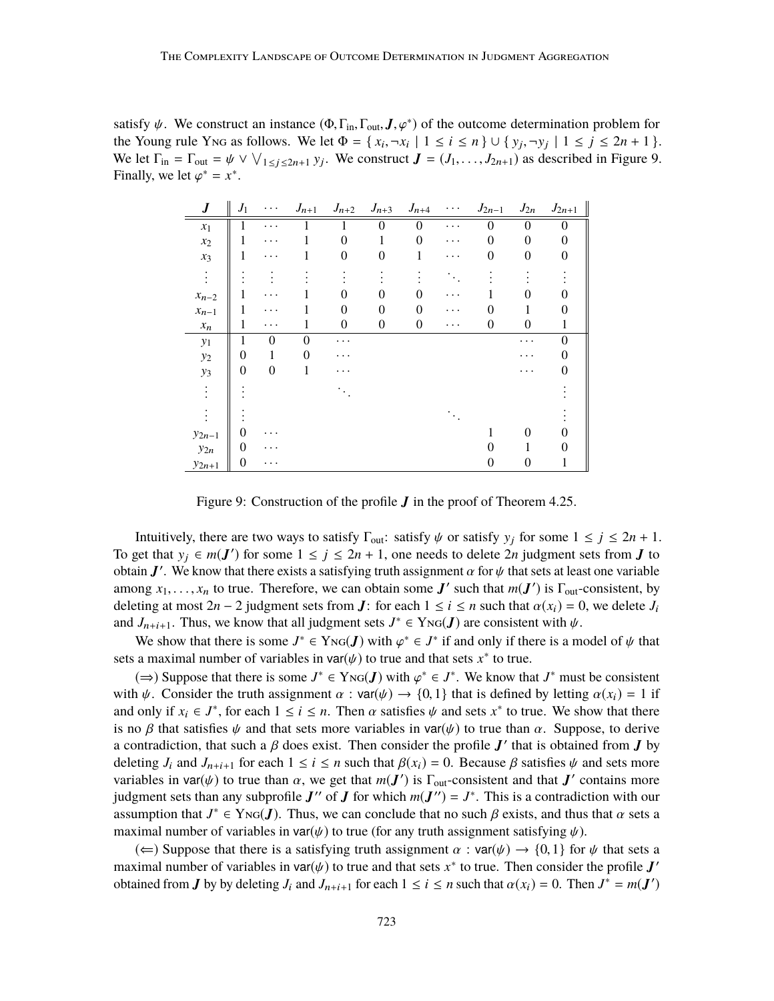satisfy  $\psi$ . We construct an instance  $(\Phi, \Gamma_{\text{in}}, \Gamma_{\text{out}}, J, \varphi^*)$  of the outcome determination problem for<br>the Young rule Yout as follows. We let  $\Phi = \{x_1, x_2, \ldots, x_n\}$   $1 \le i \le n$   $+1 \le i \le 2n+1$ the Young rule Yng as follows. We let  $\Phi = \{x_i, \neg x_i \mid 1 \le i \le n\} \cup \{y_j, \neg y_j \mid 1 \le j \le 2n + 1\}$ .<br>We let  $\Gamma_{i} = \Gamma_{i} = y'_{i} \vee \vee \vee \dots \vee \dots$  We construct  $I = (L_{i} - L_{i})$  as described in Figure 9. We let  $\Gamma_{\text{in}} = \Gamma_{\text{out}} = \psi \vee \bigvee_{1 \leq j \leq 2n+1} y_j$ . We construct  $\mathbf{J} = (J_1, \dots, J_{2n+1})$  as described in Figure 9. Finally, we let  $\varphi^* = x^*$ .

| $\bm{J}$           | $J_1$    | $\cdots$         | $J_{n+\underline{1}}$ |                | $J_{n+2}$ $J_{n+3}$ $J_{n+4}$ |          | $\cdots$ | $J_{2n-1}$ | $J_{2n}$ | $J_{2n+1}$ |
|--------------------|----------|------------------|-----------------------|----------------|-------------------------------|----------|----------|------------|----------|------------|
| $x_1$              |          |                  |                       |                | $\Omega$                      | $\Omega$ | . .      | $\Omega$   | $\theta$ | $\theta$   |
| $x_2$              |          | .                |                       | $\overline{0}$ |                               | 0        | .        | 0          | 0        |            |
| $x_3$              |          |                  |                       | 0              | 0                             |          |          | 0          | 0        | 0          |
| $\vdots$           |          |                  |                       |                |                               |          |          |            |          |            |
| $x_{n-2}$          |          |                  |                       | 0              | וו                            | 0        |          |            |          |            |
| $x_{n-1}$          |          |                  |                       | 0              | 0                             | 0        |          | 0          |          |            |
| $\boldsymbol{x}_n$ | L        | .                |                       | 0              | $\theta$                      | $\theta$ |          | 0          | $\theta$ |            |
| $y_1$              | 1        | $\theta$         | $\Omega$              | .              |                               |          |          |            | .        | ∩          |
| $\mathcal{Y}2$     | 0        |                  | 0                     | .              |                               |          |          |            |          |            |
| $y_3$              | $\theta$ | $\boldsymbol{0}$ |                       |                |                               |          |          |            |          |            |
| $\vdots$           |          |                  |                       |                |                               |          |          |            |          |            |
|                    |          |                  |                       |                |                               |          |          |            |          |            |
| $y_{2n-1}$         | 0        |                  |                       |                |                               |          |          |            | 0        |            |
| $y_{2n}$           | 0        |                  |                       |                |                               |          |          |            |          |            |
| $y_{2n+1}$         | 0        |                  |                       |                |                               |          |          | 0          | 0        |            |

Figure 9: Construction of the profile  $J$  in the proof of Theorem 4.25.

Intuitively, there are two ways to satisfy  $\Gamma_{\text{out}}$ : satisfy  $\psi$  or satisfy  $y_j$  for some  $1 \le j \le 2n + 1$ . To get that  $y_j \in m(J')$  for some  $1 \le j \le 2n + 1$ , one needs to delete 2*n* judgment sets from *J* to obtain  $J'$ . We know that there exists a satisfying truth assignment  $\alpha$  for  $\psi$  that sets at least one variable<br>among  $x_i$ , is to true. Therefore, we can obtain some  $J'$  such that  $m(J')$  is  $\Gamma$ , consistent, by among  $x_1, \ldots, x_n$  to true. Therefore, we can obtain some  $J'$  such that  $m(J')$  is  $\Gamma_{\text{out}}$ -consistent, by deleting at most  $2n - 2$  independent sets from  $J'$ ; for each  $1 \le i \le n$  such that  $\alpha(x_i) = 0$ , we delete  $J$ . deleting at most  $2n - 2$  judgment sets from *J*: for each  $1 \le i \le n$  such that  $\alpha(x_i) = 0$ , we delete  $J_i$ and *J<sub>n+i+1</sub>*. Thus, we know that all judgment sets  $J^* \in Y_{NG}(J)$  are consistent with  $\psi$ .<br>We show that there is some  $J^* \in Y_{NG}(J)$  with  $\psi^* \in J^*$  if and only if there is a m

We show that there is some  $J^* \in Y_{NG}(J)$  with  $\varphi^* \in J^*$  if and only if there is a model of  $\psi$  that a maximal number of variables in var( $\psi$ ) to true and that sets  $x^*$  to true sets a maximal number of variables in  $var(\psi)$  to true and that sets  $x^*$  to true.<br>  $(\rightarrow)$  Suppose that there is some  $I^* \subseteq N_{\text{NS}}(I)$  with  $x^* \subseteq I^*$ . We know the

(⇒) Suppose that there is some  $J^* \in Y_{NG}(J)$  with  $\varphi^* \in J^*$ . We know that  $J^*$  must be consistent  $\varphi^* \downarrow$  Consider the truth assignment  $\varphi : Y_{NG}(J) \rightarrow \{0, 1\}$  that is defined by letting  $\varphi(x) = 1$  if with  $\psi$ . Consider the truth assignment  $\alpha$ :  $var(\psi) \rightarrow \{0, 1\}$  that is defined by letting  $\alpha(x_i) = 1$  if and only if  $x_i \in J^*$ , for each  $1 \le i \le n$ . Then  $\alpha$  satisfies  $\psi$  and sets  $x^*$  to true. We show that there is no  $\beta$  that satisfies  $\psi$  and that sets more variables in var $(\psi)$  to true than  $\alpha$ . Suppose, to derive is no  $\beta$  that satisfies  $\psi$  and that sets more variables in var( $\psi$ ) to true than  $\alpha$ . Suppose, to derive a contradiction, that such a  $\beta$  does exist. Then consider the profile  $J'$  that is obtained from  $J$  by deleting L and  $J_{\text{max}}$  for each  $1 \le i \le n$  such that  $\beta(x_i) = 0$ . Because  $\beta$  satisfies  $y_i$  and sets more deleting  $J_i$  and  $J_{n+i+1}$  for each  $1 \le i \le n$  such that  $\beta(x_i) = 0$ . Because  $\beta$  satisfies  $\psi$  and sets more variables in var( $\psi$ ) to true than  $\alpha$ , we get that  $m(J')$  is  $\Gamma_{\text{out}}$ -consistent and that  $J'$  contains more<br>independent sets than any subprofile  $J'$  of  $J$  for which  $m(J'') = J^*$ . This is a contradiction with our judgment sets than any subprofile  $J''$  of  $J$  for which  $m(J'') = J^*$ . This is a contradiction with our assumption that  $J^* \in Y_{NG}(J)$ . Thus, we can conclude that no such  $\beta$  exists, and thus that  $\alpha$  sets a maximal number of variables in var(*ik*) to true (for any truth assignment satisfying *k*) maximal number of variables in var( $\psi$ ) to true (for any truth assignment satisfying  $\psi$ ).

 $(\Leftarrow)$  Suppose that there is a satisfying truth assignment  $\alpha$ : var $(\psi) \rightarrow \{0, 1\}$  for  $\psi$  that sets a maximal number of variables in  $var(\psi)$  to true and that sets  $x^*$  to true. Then consider the profile  $J'$ <br>obtained from  $J$  by hydeleting  $J$ , and  $J$ ,  $\psi$  for each  $1 \le i \le n$  such that  $\alpha(x) = 0$ . Then  $J^* = m(J')$ obtained from *J* by by deleting *J<sub>i</sub>* and *J*<sub>n+i+1</sub> for each  $1 \le i \le n$  such that  $\alpha(x_i) = 0$ . Then  $J^* = m(J')$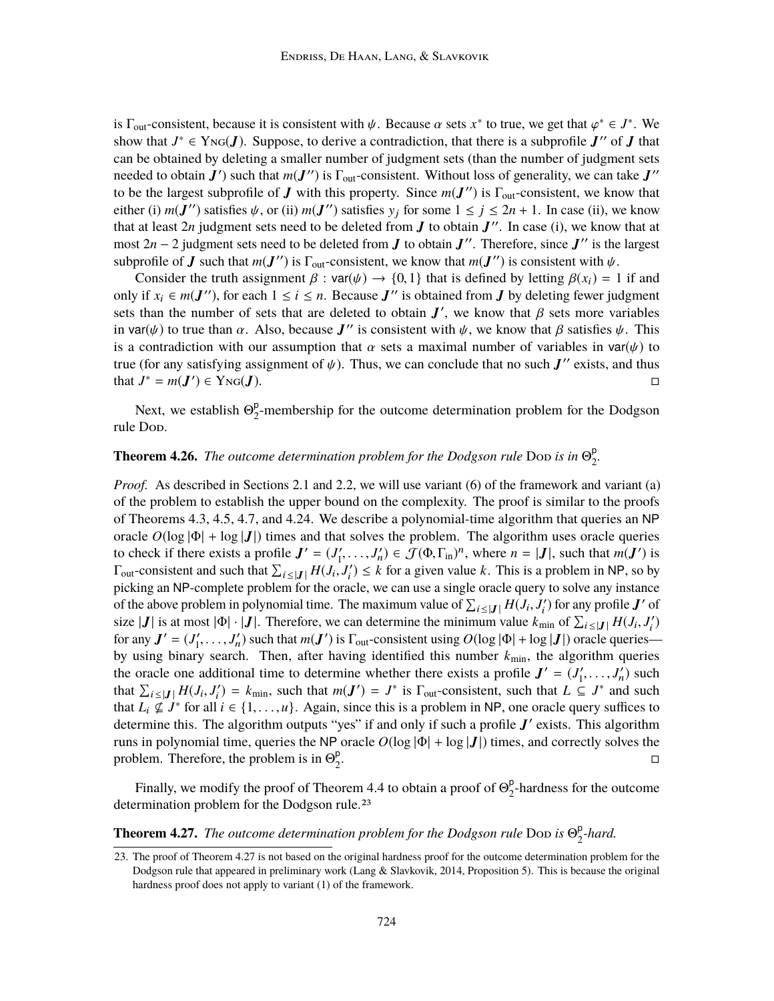is  $\Gamma_{\text{out}}$ -consistent, because it is consistent with  $\psi$ . Because  $\alpha$  sets  $x^*$  to true, we get that  $\varphi^* \in J^*$ . We show that  $I^* \in \text{YNC}(I)$ . Suppose, to derive a contradiction, that there is a subprofile  $I''$  of show that  $J^* \in \text{YNG}(J)$ . Suppose, to derive a contradiction, that there is a subprofile  $J''$  of  $J$  that can be obtained by deleting a smaller number of judgment sets (than the number of judgment sets needed to obtain  $J'$ ) such that  $m(J'')$  is  $\Gamma_{\text{out}}$ -consistent. Without loss of generality, we can take  $J''$ to be the largest subprofile of  $J$  with this property. Since  $m(J'')$  is  $\Gamma_{\text{out}}$ -consistent, we know that either (i)  $m(J'')$  satisfies  $\psi$ , or (ii)  $m(J'')$  satisfies  $y_j$  for some  $1 \le j \le 2n + 1$ . In case (ii), we know that at least 2*n* judgment sets need to be deleted from  $J$  to obtain  $J''$ . In case (i), we know that at most  $2n - 2$  judgment sets need to be deleted from  $J$  to obtain  $J''$ . Therefore, since  $J''$  is the largest subprofile of **J** such that  $m(J'')$  is  $\Gamma_{\text{out}}$ -consistent, we know that  $m(J'')$  is consistent with  $\psi$ .<br>Consider the truth assignment  $\beta$ :  $y\alpha(\psi) \rightarrow \beta(0, 1)$  that is defined by letting  $\beta(x) = 1$ 

Consider the truth assignment  $\beta$ : var( $\psi$ )  $\rightarrow$  {0,1} that is defined by letting  $\beta(x_i) = 1$  if and only if  $x_i$  ∈  $m(J'')$ , for each  $1 \le i \le n$ . Because  $J''$  is obtained from  $J$  by deleting fewer judgment sets than the number of sets that are deleted to obtain  $J'$ , we know that  $\beta$  sets more variables<br>in var(*v*) to true than  $\alpha$ . Also, because  $J''$  is consistent with  $\nu_{\alpha}$  we know that  $\beta$  satisfies  $\nu_{\alpha}$ . This in var( $\psi$ ) to true than  $\alpha$ . Also, because  $J''$  is consistent with  $\psi$ , we know that  $\beta$  satisfies  $\psi$ . This is a contradiction with our assumption that  $\alpha$  sets a maximal number of variables in var( $\psi$ ) to is a contradiction with our assumption that  $\alpha$  sets a maximal number of variables in var $(\psi)$  to true (for any satisfying assignment of  $\psi$ ). Thus, we can conclude that no such  $J''$  exists, and thus that  $I^* = m(I') \in \text{Vec}(I)$ that  $J^* = m(J') \in Y_{NG}(J)$ .

Next, we establish  $\Theta_2^p$  $2^{\circ}$ -membership for the outcome determination problem for the Dodgson rule Dop.

### **Theorem 4.26.** *The outcome determination problem for the Dodgson rule* Dop *is in*  $\Theta^p$ 2 *.*

*Proof.* As described in Sections 2.1 and 2.2, we will use variant (6) of the framework and variant (a) of the problem to establish the upper bound on the complexity. The proof is similar to the proofs of Theorems 4.3, 4.5, 4.7, and 4.24. We describe a polynomial-time algorithm that queries an NP oracle  $O(\log |\Phi| + \log |J|)$  times and that solves the problem. The algorithm uses oracle queries to check if there exists a profile  $J' = (J'_1)$  $J'_1, \ldots, J'_n$   $\in \mathcal{J}(\Phi, \Gamma_{\text{in}})^n$ , where  $n = |J|$ , such that  $m(J')$  is  $J' \le k$  for a given value k. This is a problem in NP, so by  $\Gamma_{\text{out}}$ -consistent and such that  $\sum_{i \leq |\mathbf{J}|} H(J_i, J'_i)$ <br>picking an NP complete problem for the orga  $i'$   $\leq k$  for a given value *k*. This is a problem in NP, so by picking an NP-complete problem for the oracle, we can use a single oracle query to solve any instance of the above problem in polynomial time. The maximum value of  $\sum_{i \leq |J|} H(J_i, J'_i)$ <br>size | *I*| is at most  $|\Phi|$ , | *I*| Therefore, we can determine the minimum value k  $I'_i$ ) for any profile  $J'$  of size |**J**| is at most  $|\Phi| \cdot |\mathbf{J}|$ . Therefore, we can determine the minimum value  $k_{\text{min}}$  of  $\sum_{i \leq |\mathbf{J}|} H(J_i, J'_i)$  for any  $\mathbf{J}' = (J' - J')$  such that  $m(\mathbf{J}')$  is  $\Gamma$  acconsistent using  $O(\log |\Phi| + \log |\mathbf{J}|)$  oracle que  $\binom{'}{i}$ for any  $J' = (J'_1)$  $T_1', \ldots, J_n'$  such that  $m(\mathbf{J}')$  is  $\Gamma_{\text{out}}$ -consistent using  $O(\log |\Phi| + \log |\mathbf{J}|)$  oracle queries—<br>the algorithm queries by using binary search. Then, after having identified this number  $k_{\text{min}}$ , the algorithm queries the oracle one additional time to determine whether there exists a profile  $J' = (J'_1)$  $J'_1, \ldots, J'_n$  such<br> $J'_1$  and such that  $\sum_{i \leq |\mathbf{J}|} H(J_i, J'_i)$ <br>that  $I_i$ ,  $\sigma^i$ ,  $I^*$  for all  $I'_i$ ) =  $k_{\text{min}}$ , such that  $m(J') = J^*$  is  $\Gamma_{\text{out}}$ -consistent, such that  $L \subseteq J^*$  and such that  $L_i \nsubseteq J^*$  for all  $i \in \{1, ..., u\}$ . Again, since this is a problem in NP, one oracle query suffices to determine this. The algorithm outputs "ves" if and only if such a profile I' exists. This algorithm determine this. The algorithm outputs "yes" if and only if such a profile  $J'$  exists. This algorithm runs in polynomial time, queries the NP oracle  $O(\log |\Phi| + \log |J|)$  times, and correctly solves the problem. Therefore, the problem is in  $\Theta_2^p$ 2 .<br>1980 - Jacques Company, actor est anno 1990 - Company and Company and Company and Company and Company and Comp<br>1990 - Company and Company and Company and Company and Company and Company and Company and Company and Compan

Finally, we modify the proof of Theorem 4.4 to obtain a proof of  $\Theta_2^p$  $2^{\circ}$ -hardness for the outcome determination problem for the Dodgson rule.23

**Theorem 4.27.** *The outcome determination problem for the Dodgson rule* Dop *is*  $\Theta^p$ 2 *-hard.*

<sup>23.</sup> The proof of Theorem 4.27 is not based on the original hardness proof for the outcome determination problem for the Dodgson rule that appeared in preliminary work (Lang & Slavkovik, 2014, Proposition 5). This is because the original hardness proof does not apply to variant (1) of the framework.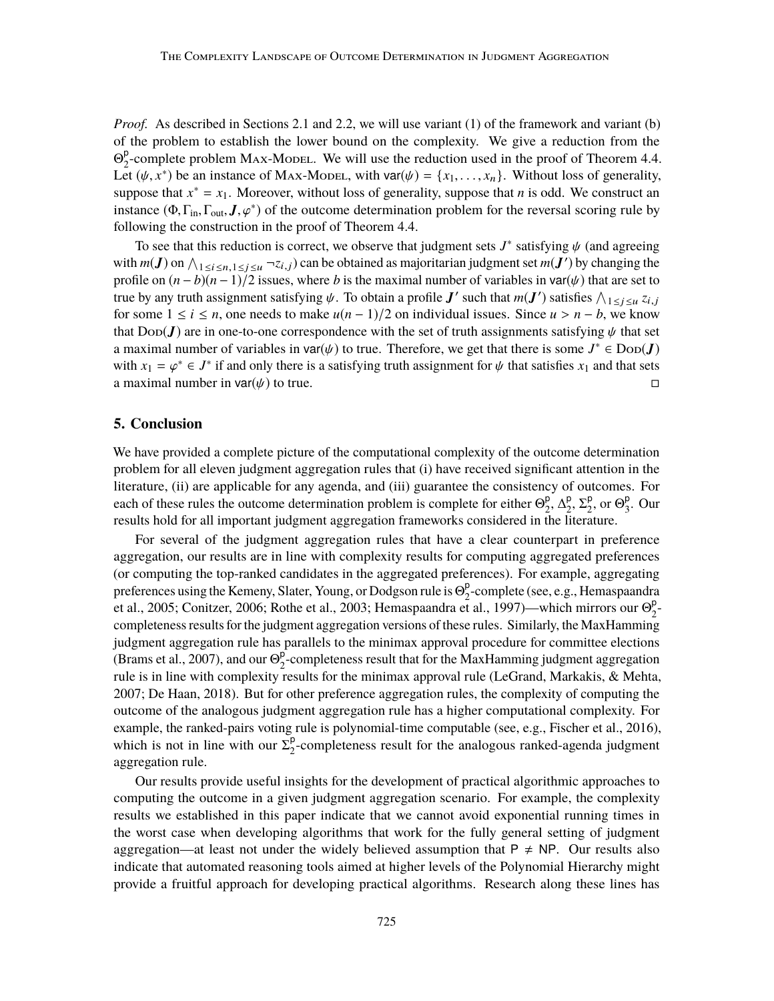*Proof.* As described in Sections 2.1 and 2.2, we will use variant (1) of the framework and variant (b) of the problem to establish the lower bound on the complexity. We give a reduction from the  $\Theta_2^{\mathsf{p}}$  $\frac{p}{2}$ -complete problem MAx-Model. We will use the reduction used in the proof of Theorem 4.4. Let  $(\psi, x^*)$  be an instance of Max-Model, with var $(\psi) = \{x_1, \dots, x_n\}$ . Without loss of generality, suppose that  $x^* = x_1$ . Moreover, without loss of generality, suppose that *n* is odd. We construct an suppose that  $x^* = x_1$ . Moreover, without loss of generality, suppose that *n* is odd. We construct an instance  $(\Phi, \Gamma_{\text{in}}, \Gamma_{\text{out}}, \mathbf{J}, \varphi^*)$  of the outcome determination problem for the reversal scoring rule by following the construction in the proof of Theorem 4.4 following the construction in the proof of Theorem 4.4.

To see that this reduction is correct, we observe that judgment sets  $J^*$  satisfying  $\psi$  (and agreeing  $\mathbf{F}(\mathbf{I})$ ) on  $\wedge$ with  $m(J)$  on  $\bigwedge_{1 \le i \le n, 1 \le j \le u} \neg z_{i,j}$  can be obtained as majoritarian judgment set  $m(J')$  by changing the profile on  $(n - b)(n - 1)/2$  issues, where *b* is the maximal number of variables in var( $\psi$ ) that are set to true by any truth assignment satisfying  $\psi$ . To obtain a profile  $J'$  such that  $m(J')$  satisfies  $\bigwedge_{1 \leq j \leq u} z_{i,j}$ <br>for some  $1 \leq i \leq n$  one needs to make  $u(n-1)/2$  on individual issues. Since  $u \geq n - h$  we know for some  $1 \le i \le n$ , one needs to make  $u(n-1)/2$  on individual issues. Since  $u > n - b$ , we know that  $\text{DoD}(J)$  are in one-to-one correspondence with the set of truth assignments satisfying  $\psi$  that set a maximal number of variables in var( $\psi$ ) to true. Therefore, we get that there is some *J*<sup>\*</sup> ∈ Dop(*J*) with  $x_i = \omega^* \in I^*$  if and only there is a satisfying truth assignment for  $\psi$  that satisfies  $x_i$  and that sets with  $x_1 = \varphi^* \in J^*$  if and only there is a satisfying truth assignment for  $\psi$  that satisfies  $x_1$  and that sets a maximal number in var( $\psi$ ) to true.

## **5. Conclusion**

We have provided a complete picture of the computational complexity of the outcome determination problem for all eleven judgment aggregation rules that (i) have received significant attention in the literature, (ii) are applicable for any agenda, and (iii) guarantee the consistency of outcomes. For each of these rules the outcome determination problem is complete for either  $\Theta_2^{\mathsf{p}}$  $\frac{p}{2}$ ,  $\Delta_2^p$  $\frac{p}{2}$ ,  $\Sigma_2^p$  $\frac{p}{2}$ , or  $\Theta_3^p$  $\frac{p}{3}$ . Our results hold for all important judgment aggregation frameworks considered in the literature.

For several of the judgment aggregation rules that have a clear counterpart in preference aggregation, our results are in line with complexity results for computing aggregated preferences (or computing the top-ranked candidates in the aggregated preferences). For example, aggregating preferences using the Kemeny, Slater, Young, or Dodgson rule is  $\Theta_2^{\mathsf{p}}$  $\frac{p}{2}$ -complete (see, e.g., Hemaspaandra et al., 2005; Conitzer, 2006; Rothe et al., 2003; Hemaspaandra et al., 1997)—which mirrors our  $\Theta^p$  $\frac{p}{2}$ completeness results for the judgment aggregation versions of these rules. Similarly, the MaxHamming judgment aggregation rule has parallels to the minimax approval procedure for committee elections (Brams et al., 2007), and our  $\Theta_2^p$  $2^P$ -completeness result that for the MaxHamming judgment aggregation rule is in line with complexity results for the minimax approval rule (LeGrand, Markakis, & Mehta, 2007; De Haan, 2018). But for other preference aggregation rules, the complexity of computing the outcome of the analogous judgment aggregation rule has a higher computational complexity. For example, the ranked-pairs voting rule is polynomial-time computable (see, e.g., Fischer et al., 2016), which is not in line with our  $\Sigma_2^p$  $2^{\circ}$ -completeness result for the analogous ranked-agenda judgment aggregation rule.

Our results provide useful insights for the development of practical algorithmic approaches to computing the outcome in a given judgment aggregation scenario. For example, the complexity results we established in this paper indicate that we cannot avoid exponential running times in the worst case when developing algorithms that work for the fully general setting of judgment aggregation—at least not under the widely believed assumption that  $P \neq NP$ . Our results also indicate that automated reasoning tools aimed at higher levels of the Polynomial Hierarchy might provide a fruitful approach for developing practical algorithms. Research along these lines has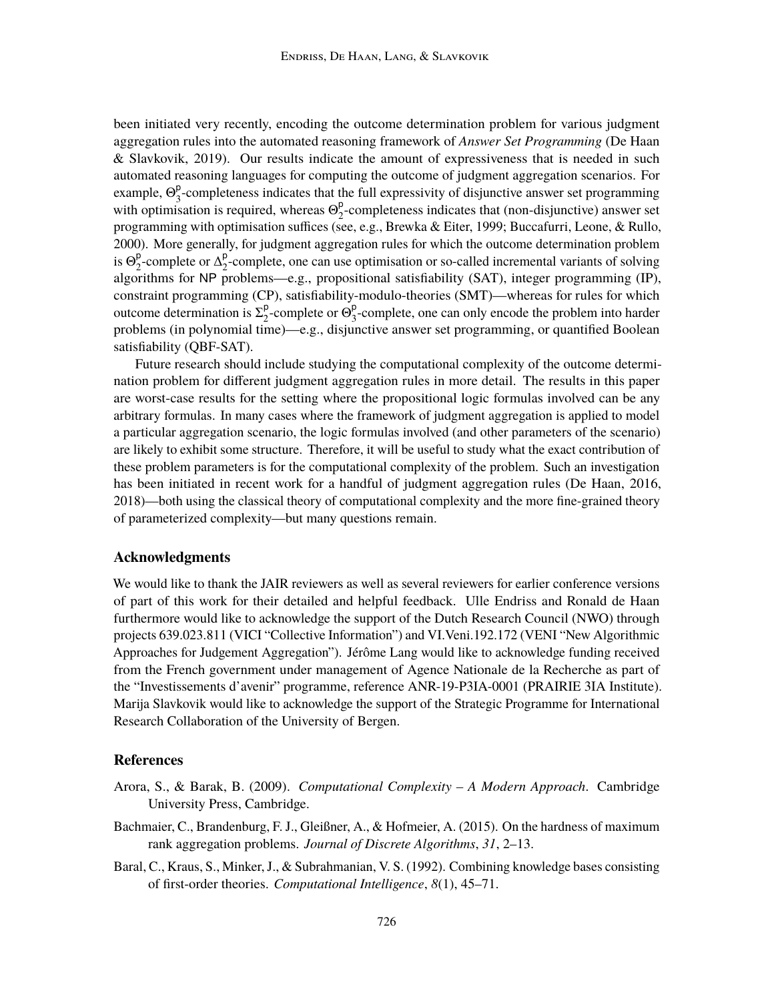been initiated very recently, encoding the outcome determination problem for various judgment aggregation rules into the automated reasoning framework of *Answer Set Programming* (De Haan & Slavkovik, 2019). Our results indicate the amount of expressiveness that is needed in such automated reasoning languages for computing the outcome of judgment aggregation scenarios. For example,  $\Theta_3^{\rho}$  $\frac{p}{3}$ -completeness indicates that the full expressivity of disjunctive answer set programming with optimisation is required, whereas  $\Theta_2^{\mathsf{p}}$  $2^{\circ}$ -completeness indicates that (non-disjunctive) answer set programming with optimisation suffices (see, e.g., Brewka & Eiter, 1999; Buccafurri, Leone, & Rullo, 2000). More generally, for judgment aggregation rules for which the outcome determination problem is  $\Theta_2^{\mathsf{p}}$  $2^{\circ}$ -complete or  $\Delta_2^{\circ}$  $2^{\circ}$ -complete, one can use optimisation or so-called incremental variants of solving algorithms for NP problems—e.g., propositional satisfiability (SAT), integer programming (IP), constraint programming (CP), satisfiability-modulo-theories (SMT)—whereas for rules for which outcome determination is  $\Sigma_2^p$  $_2^p$ -complete or  $\Theta_3^p$  $\frac{p}{3}$ -complete, one can only encode the problem into harder problems (in polynomial time)—e.g., disjunctive answer set programming, or quantified Boolean satisfiability (QBF-SAT).

Future research should include studying the computational complexity of the outcome determination problem for different judgment aggregation rules in more detail. The results in this paper are worst-case results for the setting where the propositional logic formulas involved can be any arbitrary formulas. In many cases where the framework of judgment aggregation is applied to model a particular aggregation scenario, the logic formulas involved (and other parameters of the scenario) are likely to exhibit some structure. Therefore, it will be useful to study what the exact contribution of these problem parameters is for the computational complexity of the problem. Such an investigation has been initiated in recent work for a handful of judgment aggregation rules (De Haan, 2016, 2018)—both using the classical theory of computational complexity and the more fine-grained theory of parameterized complexity—but many questions remain.

## **Acknowledgments**

We would like to thank the JAIR reviewers as well as several reviewers for earlier conference versions of part of this work for their detailed and helpful feedback. Ulle Endriss and Ronald de Haan furthermore would like to acknowledge the support of the Dutch Research Council (NWO) through projects 639.023.811 (VICI "Collective Information") and VI.Veni.192.172 (VENI "New Algorithmic Approaches for Judgement Aggregation"). Jérôme Lang would like to acknowledge funding received from the French government under management of Agence Nationale de la Recherche as part of the "Investissements d'avenir" programme, reference ANR-19-P3IA-0001 (PRAIRIE 3IA Institute). Marija Slavkovik would like to acknowledge the support of the Strategic Programme for International Research Collaboration of the University of Bergen.

## **References**

- Arora, S., & Barak, B. (2009). *Computational Complexity A Modern Approach*. Cambridge University Press, Cambridge.
- Bachmaier, C., Brandenburg, F. J., Gleißner, A., & Hofmeier, A. (2015). On the hardness of maximum rank aggregation problems. *Journal of Discrete Algorithms*, *31*, 2–13.
- Baral, C., Kraus, S., Minker, J., & Subrahmanian, V. S. (1992). Combining knowledge bases consisting of first-order theories. *Computational Intelligence*, *8*(1), 45–71.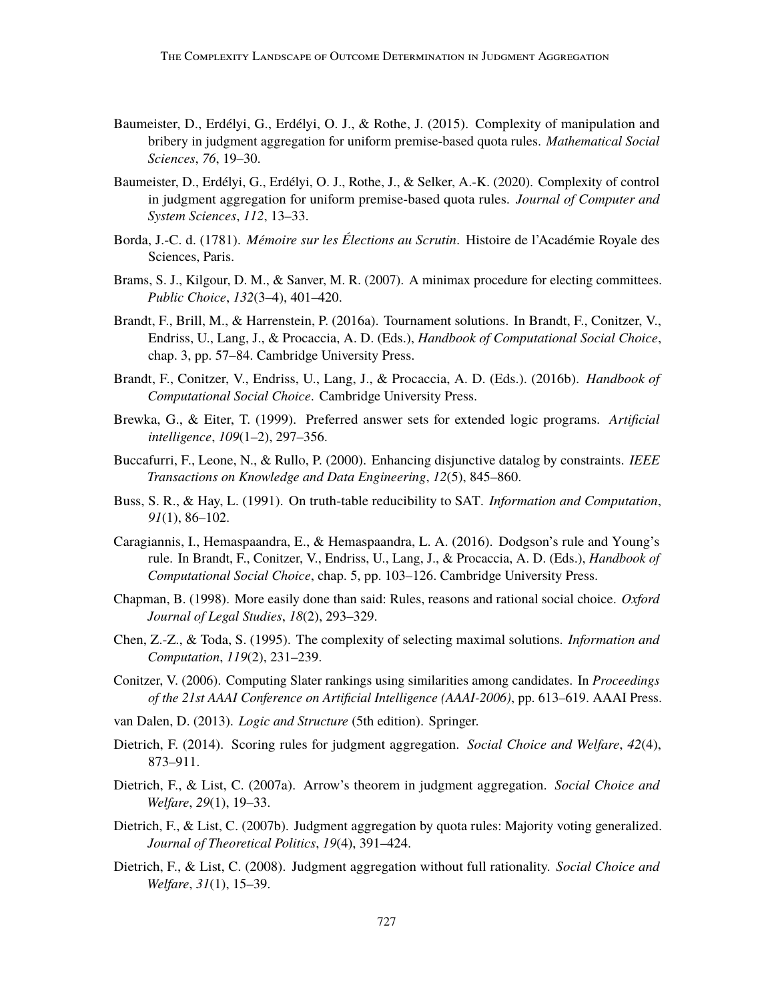- Baumeister, D., Erdélyi, G., Erdélyi, O. J., & Rothe, J. (2015). Complexity of manipulation and bribery in judgment aggregation for uniform premise-based quota rules. *Mathematical Social Sciences*, *76*, 19–30.
- Baumeister, D., Erdélyi, G., Erdélyi, O. J., Rothe, J., & Selker, A.-K. (2020). Complexity of control in judgment aggregation for uniform premise-based quota rules. *Journal of Computer and System Sciences*, *112*, 13–33.
- Borda, J.-C. d. (1781). *Mémoire sur les Élections au Scrutin*. Histoire de l'Académie Royale des Sciences, Paris.
- Brams, S. J., Kilgour, D. M., & Sanver, M. R. (2007). A minimax procedure for electing committees. *Public Choice*, *132*(3–4), 401–420.
- Brandt, F., Brill, M., & Harrenstein, P. (2016a). Tournament solutions. In Brandt, F., Conitzer, V., Endriss, U., Lang, J., & Procaccia, A. D. (Eds.), *Handbook of Computational Social Choice*, chap. 3, pp. 57–84. Cambridge University Press.
- Brandt, F., Conitzer, V., Endriss, U., Lang, J., & Procaccia, A. D. (Eds.). (2016b). *Handbook of Computational Social Choice*. Cambridge University Press.
- Brewka, G., & Eiter, T. (1999). Preferred answer sets for extended logic programs. *Artificial intelligence*, *109*(1–2), 297–356.
- Buccafurri, F., Leone, N., & Rullo, P. (2000). Enhancing disjunctive datalog by constraints. *IEEE Transactions on Knowledge and Data Engineering*, *12*(5), 845–860.
- Buss, S. R., & Hay, L. (1991). On truth-table reducibility to SAT. *Information and Computation*, *91*(1), 86–102.
- Caragiannis, I., Hemaspaandra, E., & Hemaspaandra, L. A. (2016). Dodgson's rule and Young's rule. In Brandt, F., Conitzer, V., Endriss, U., Lang, J., & Procaccia, A. D. (Eds.), *Handbook of Computational Social Choice*, chap. 5, pp. 103–126. Cambridge University Press.
- Chapman, B. (1998). More easily done than said: Rules, reasons and rational social choice. *Oxford Journal of Legal Studies*, *18*(2), 293–329.
- Chen, Z.-Z., & Toda, S. (1995). The complexity of selecting maximal solutions. *Information and Computation*, *119*(2), 231–239.
- Conitzer, V. (2006). Computing Slater rankings using similarities among candidates. In *Proceedings of the 21st AAAI Conference on Artificial Intelligence (AAAI-2006)*, pp. 613–619. AAAI Press.
- van Dalen, D. (2013). *Logic and Structure* (5th edition). Springer.
- Dietrich, F. (2014). Scoring rules for judgment aggregation. *Social Choice and Welfare*, *42*(4), 873–911.
- Dietrich, F., & List, C. (2007a). Arrow's theorem in judgment aggregation. *Social Choice and Welfare*, *29*(1), 19–33.
- Dietrich, F., & List, C. (2007b). Judgment aggregation by quota rules: Majority voting generalized. *Journal of Theoretical Politics*, *19*(4), 391–424.
- Dietrich, F., & List, C. (2008). Judgment aggregation without full rationality. *Social Choice and Welfare*, *31*(1), 15–39.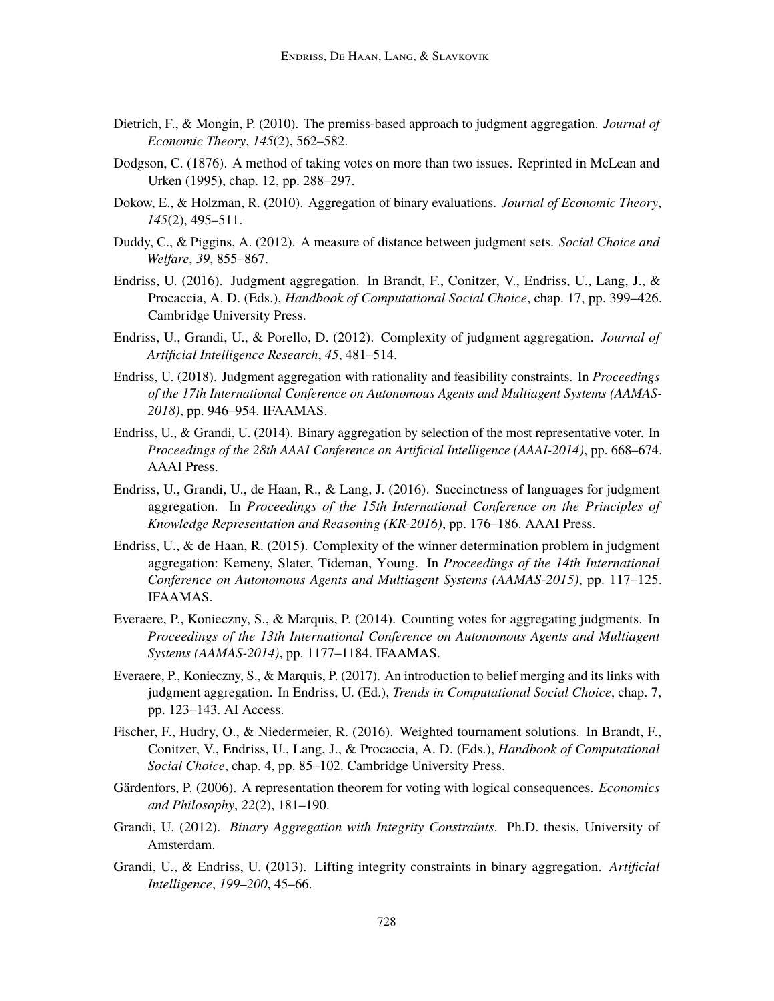- Dietrich, F., & Mongin, P. (2010). The premiss-based approach to judgment aggregation. *Journal of Economic Theory*, *145*(2), 562–582.
- Dodgson, C. (1876). A method of taking votes on more than two issues. Reprinted in McLean and Urken (1995), chap. 12, pp. 288–297.
- Dokow, E., & Holzman, R. (2010). Aggregation of binary evaluations. *Journal of Economic Theory*, *145*(2), 495–511.
- Duddy, C., & Piggins, A. (2012). A measure of distance between judgment sets. *Social Choice and Welfare*, *39*, 855–867.
- Endriss, U. (2016). Judgment aggregation. In Brandt, F., Conitzer, V., Endriss, U., Lang, J., & Procaccia, A. D. (Eds.), *Handbook of Computational Social Choice*, chap. 17, pp. 399–426. Cambridge University Press.
- Endriss, U., Grandi, U., & Porello, D. (2012). Complexity of judgment aggregation. *Journal of Artificial Intelligence Research*, *45*, 481–514.
- Endriss, U. (2018). Judgment aggregation with rationality and feasibility constraints. In *Proceedings of the 17th International Conference on Autonomous Agents and Multiagent Systems (AAMAS-2018)*, pp. 946–954. IFAAMAS.
- Endriss, U., & Grandi, U. (2014). Binary aggregation by selection of the most representative voter. In *Proceedings of the 28th AAAI Conference on Artificial Intelligence (AAAI-2014)*, pp. 668–674. AAAI Press.
- Endriss, U., Grandi, U., de Haan, R., & Lang, J. (2016). Succinctness of languages for judgment aggregation. In *Proceedings of the 15th International Conference on the Principles of Knowledge Representation and Reasoning (KR-2016)*, pp. 176–186. AAAI Press.
- Endriss, U., & de Haan, R. (2015). Complexity of the winner determination problem in judgment aggregation: Kemeny, Slater, Tideman, Young. In *Proceedings of the 14th International Conference on Autonomous Agents and Multiagent Systems (AAMAS-2015)*, pp. 117–125. IFAAMAS.
- Everaere, P., Konieczny, S., & Marquis, P. (2014). Counting votes for aggregating judgments. In *Proceedings of the 13th International Conference on Autonomous Agents and Multiagent Systems (AAMAS-2014)*, pp. 1177–1184. IFAAMAS.
- Everaere, P., Konieczny, S., & Marquis, P. (2017). An introduction to belief merging and its links with judgment aggregation. In Endriss, U. (Ed.), *Trends in Computational Social Choice*, chap. 7, pp. 123–143. AI Access.
- Fischer, F., Hudry, O., & Niedermeier, R. (2016). Weighted tournament solutions. In Brandt, F., Conitzer, V., Endriss, U., Lang, J., & Procaccia, A. D. (Eds.), *Handbook of Computational Social Choice*, chap. 4, pp. 85–102. Cambridge University Press.
- Gärdenfors, P. (2006). A representation theorem for voting with logical consequences. *Economics and Philosophy*, *22*(2), 181–190.
- Grandi, U. (2012). *Binary Aggregation with Integrity Constraints*. Ph.D. thesis, University of Amsterdam.
- Grandi, U., & Endriss, U. (2013). Lifting integrity constraints in binary aggregation. *Artificial Intelligence*, *199–200*, 45–66.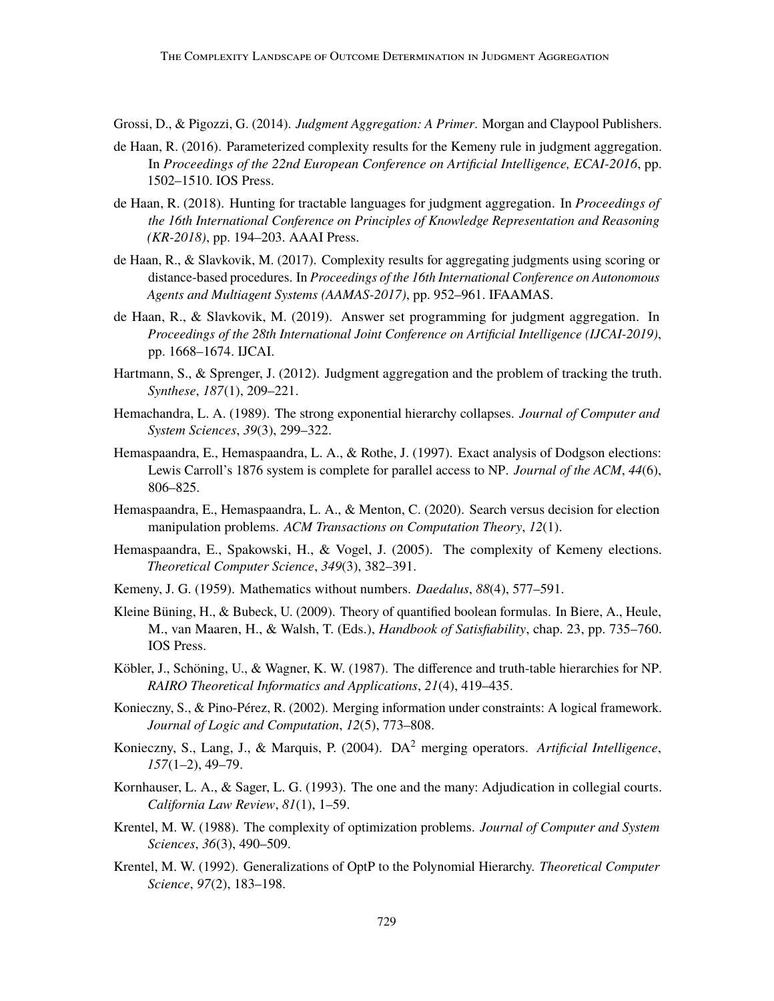Grossi, D., & Pigozzi, G. (2014). *Judgment Aggregation: A Primer*. Morgan and Claypool Publishers.

- de Haan, R. (2016). Parameterized complexity results for the Kemeny rule in judgment aggregation. In *Proceedings of the 22nd European Conference on Artificial Intelligence, ECAI-2016*, pp. 1502–1510. IOS Press.
- de Haan, R. (2018). Hunting for tractable languages for judgment aggregation. In *Proceedings of the 16th International Conference on Principles of Knowledge Representation and Reasoning (KR-2018)*, pp. 194–203. AAAI Press.
- de Haan, R., & Slavkovik, M. (2017). Complexity results for aggregating judgments using scoring or distance-based procedures. In *Proceedings of the 16th International Conference on Autonomous Agents and Multiagent Systems (AAMAS-2017)*, pp. 952–961. IFAAMAS.
- de Haan, R., & Slavkovik, M. (2019). Answer set programming for judgment aggregation. In *Proceedings of the 28th International Joint Conference on Artificial Intelligence (IJCAI-2019)*, pp. 1668–1674. IJCAI.
- Hartmann, S., & Sprenger, J. (2012). Judgment aggregation and the problem of tracking the truth. *Synthese*, *187*(1), 209–221.
- Hemachandra, L. A. (1989). The strong exponential hierarchy collapses. *Journal of Computer and System Sciences*, *39*(3), 299–322.
- Hemaspaandra, E., Hemaspaandra, L. A., & Rothe, J. (1997). Exact analysis of Dodgson elections: Lewis Carroll's 1876 system is complete for parallel access to NP. *Journal of the ACM*, *44*(6), 806–825.
- Hemaspaandra, E., Hemaspaandra, L. A., & Menton, C. (2020). Search versus decision for election manipulation problems. *ACM Transactions on Computation Theory*, *12*(1).
- Hemaspaandra, E., Spakowski, H., & Vogel, J. (2005). The complexity of Kemeny elections. *Theoretical Computer Science*, *349*(3), 382–391.
- Kemeny, J. G. (1959). Mathematics without numbers. *Daedalus*, *88*(4), 577–591.
- Kleine Büning, H., & Bubeck, U. (2009). Theory of quantified boolean formulas. In Biere, A., Heule, M., van Maaren, H., & Walsh, T. (Eds.), *Handbook of Satisfiability*, chap. 23, pp. 735–760. IOS Press.
- Köbler, J., Schöning, U., & Wagner, K. W. (1987). The difference and truth-table hierarchies for NP. *RAIRO Theoretical Informatics and Applications*, *21*(4), 419–435.
- Konieczny, S., & Pino-Pérez, R. (2002). Merging information under constraints: A logical framework. *Journal of Logic and Computation*, *12*(5), 773–808.
- Konieczny, S., Lang, J., & Marquis, P. (2004). DA<sup>2</sup> merging operators. *Artificial Intelligence*, *157*(1–2), 49–79.
- Kornhauser, L. A., & Sager, L. G. (1993). The one and the many: Adjudication in collegial courts. *California Law Review*, *81*(1), 1–59.
- Krentel, M. W. (1988). The complexity of optimization problems. *Journal of Computer and System Sciences*, *36*(3), 490–509.
- Krentel, M. W. (1992). Generalizations of OptP to the Polynomial Hierarchy. *Theoretical Computer Science*, *97*(2), 183–198.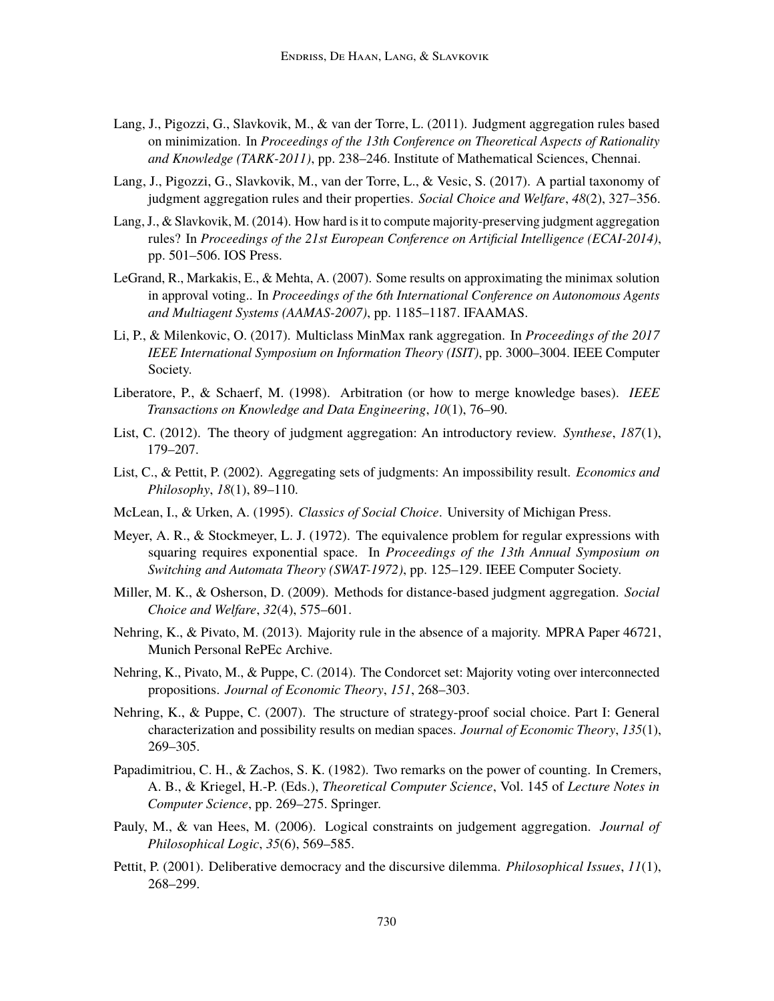- Lang, J., Pigozzi, G., Slavkovik, M., & van der Torre, L. (2011). Judgment aggregation rules based on minimization. In *Proceedings of the 13th Conference on Theoretical Aspects of Rationality and Knowledge (TARK-2011)*, pp. 238–246. Institute of Mathematical Sciences, Chennai.
- Lang, J., Pigozzi, G., Slavkovik, M., van der Torre, L., & Vesic, S. (2017). A partial taxonomy of judgment aggregation rules and their properties. *Social Choice and Welfare*, *48*(2), 327–356.
- Lang, J., & Slavkovik, M. (2014). How hard is it to compute majority-preserving judgment aggregation rules? In *Proceedings of the 21st European Conference on Artificial Intelligence (ECAI-2014)*, pp. 501–506. IOS Press.
- LeGrand, R., Markakis, E., & Mehta, A. (2007). Some results on approximating the minimax solution in approval voting.. In *Proceedings of the 6th International Conference on Autonomous Agents and Multiagent Systems (AAMAS-2007)*, pp. 1185–1187. IFAAMAS.
- Li, P., & Milenkovic, O. (2017). Multiclass MinMax rank aggregation. In *Proceedings of the 2017 IEEE International Symposium on Information Theory (ISIT)*, pp. 3000–3004. IEEE Computer Society.
- Liberatore, P., & Schaerf, M. (1998). Arbitration (or how to merge knowledge bases). *IEEE Transactions on Knowledge and Data Engineering*, *10*(1), 76–90.
- List, C. (2012). The theory of judgment aggregation: An introductory review. *Synthese*, *187*(1), 179–207.
- List, C., & Pettit, P. (2002). Aggregating sets of judgments: An impossibility result. *Economics and Philosophy*, *18*(1), 89–110.
- McLean, I., & Urken, A. (1995). *Classics of Social Choice*. University of Michigan Press.
- Meyer, A. R., & Stockmeyer, L. J. (1972). The equivalence problem for regular expressions with squaring requires exponential space. In *Proceedings of the 13th Annual Symposium on Switching and Automata Theory (SWAT-1972)*, pp. 125–129. IEEE Computer Society.
- Miller, M. K., & Osherson, D. (2009). Methods for distance-based judgment aggregation. *Social Choice and Welfare*, *32*(4), 575–601.
- Nehring, K., & Pivato, M. (2013). Majority rule in the absence of a majority. MPRA Paper 46721, Munich Personal RePEc Archive.
- Nehring, K., Pivato, M., & Puppe, C. (2014). The Condorcet set: Majority voting over interconnected propositions. *Journal of Economic Theory*, *151*, 268–303.
- Nehring, K., & Puppe, C. (2007). The structure of strategy-proof social choice. Part I: General characterization and possibility results on median spaces. *Journal of Economic Theory*, *135*(1), 269–305.
- Papadimitriou, C. H., & Zachos, S. K. (1982). Two remarks on the power of counting. In Cremers, A. B., & Kriegel, H.-P. (Eds.), *Theoretical Computer Science*, Vol. 145 of *Lecture Notes in Computer Science*, pp. 269–275. Springer.
- Pauly, M., & van Hees, M. (2006). Logical constraints on judgement aggregation. *Journal of Philosophical Logic*, *35*(6), 569–585.
- Pettit, P. (2001). Deliberative democracy and the discursive dilemma. *Philosophical Issues*, *11*(1), 268–299.